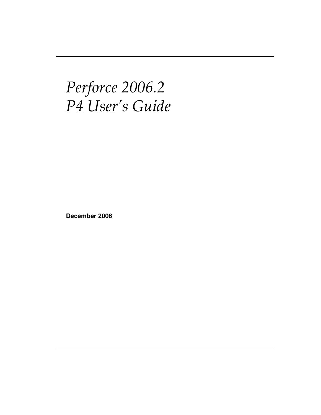# *Perforce 2006.2 P4 User's Guide*

**December 2006**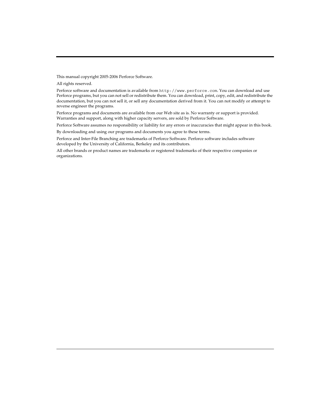This manual copyright 2005-2006 Perforce Software.

All rights reserved.

Perforce software and documentation is available from http://www.perforce.com. You can download and use Perforce programs, but you can not sell or redistribute them. You can download, print, copy, edit, and redistribute the documentation, but you can not sell it, or sell any documentation derived from it. You can not modify or attempt to reverse engineer the programs.

Perforce programs and documents are available from our Web site as is. No warranty or support is provided. Warranties and support, along with higher capacity servers, are sold by Perforce Software.

Perforce Software assumes no responsibility or liability for any errors or inaccuracies that might appear in this book.

By downloading and using our programs and documents you agree to these terms.

Perforce and Inter-File Branching are trademarks of Perforce Software. Perforce software includes software developed by the University of California, Berkeley and its contributors.

All other brands or product names are trademarks or registered trademarks of their respective companies or organizations.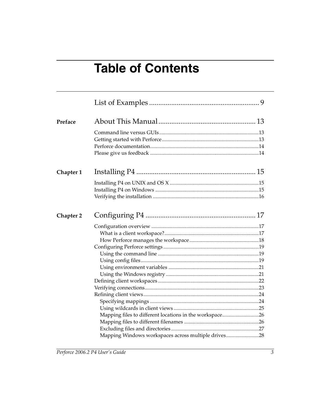# **Table of Contents**

| Preface   |                                                         |  |
|-----------|---------------------------------------------------------|--|
|           |                                                         |  |
|           |                                                         |  |
| Chapter 1 |                                                         |  |
|           |                                                         |  |
| Chapter 2 |                                                         |  |
|           |                                                         |  |
|           |                                                         |  |
|           |                                                         |  |
|           |                                                         |  |
|           |                                                         |  |
|           |                                                         |  |
|           |                                                         |  |
|           |                                                         |  |
|           |                                                         |  |
|           |                                                         |  |
|           |                                                         |  |
|           |                                                         |  |
|           | Mapping files to different locations in the workspace26 |  |
|           |                                                         |  |
|           |                                                         |  |
|           | Mapping Windows workspaces across multiple drives28     |  |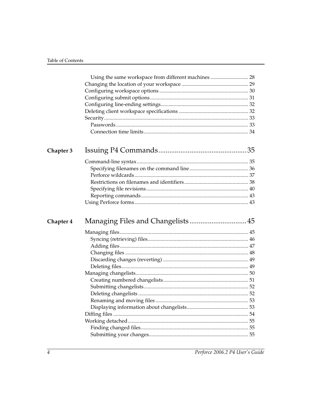| Chapter 3 |  |
|-----------|--|
|           |  |
|           |  |
|           |  |
|           |  |
|           |  |
|           |  |
|           |  |
|           |  |
| Chapter 4 |  |
|           |  |
|           |  |
|           |  |
|           |  |
|           |  |
|           |  |
|           |  |
|           |  |
|           |  |
|           |  |
|           |  |
|           |  |
|           |  |
|           |  |
|           |  |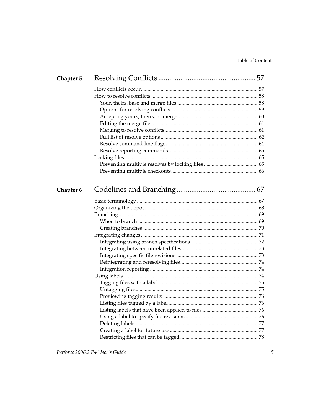| Chapter 5 |  |
|-----------|--|
|           |  |
|           |  |
|           |  |
|           |  |
|           |  |
|           |  |
|           |  |
|           |  |
|           |  |
|           |  |
|           |  |
|           |  |
|           |  |
| Chapter 6 |  |
|           |  |
|           |  |
|           |  |
|           |  |
|           |  |
|           |  |
|           |  |
|           |  |
|           |  |
|           |  |
|           |  |
|           |  |
|           |  |
|           |  |
|           |  |
|           |  |
|           |  |
|           |  |
|           |  |
|           |  |
|           |  |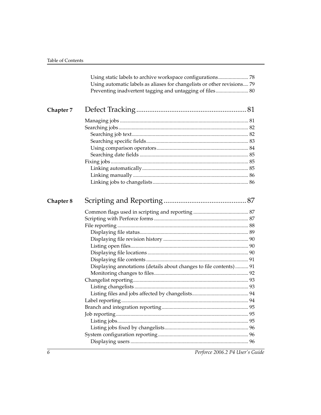|           | Using automatic labels as aliases for changelists or other revisions 79<br>Preventing inadvertent tagging and untagging of files 80 |  |
|-----------|-------------------------------------------------------------------------------------------------------------------------------------|--|
|           |                                                                                                                                     |  |
| Chapter 7 |                                                                                                                                     |  |
|           |                                                                                                                                     |  |
|           |                                                                                                                                     |  |
|           |                                                                                                                                     |  |
|           |                                                                                                                                     |  |
|           |                                                                                                                                     |  |
|           |                                                                                                                                     |  |
|           |                                                                                                                                     |  |
|           |                                                                                                                                     |  |
|           |                                                                                                                                     |  |
|           |                                                                                                                                     |  |
| Chapter 8 |                                                                                                                                     |  |
|           |                                                                                                                                     |  |
|           |                                                                                                                                     |  |
|           |                                                                                                                                     |  |
|           |                                                                                                                                     |  |
|           |                                                                                                                                     |  |
|           |                                                                                                                                     |  |
|           |                                                                                                                                     |  |
|           |                                                                                                                                     |  |
|           | Displaying annotations (details about changes to file contents) 91                                                                  |  |
|           |                                                                                                                                     |  |
|           |                                                                                                                                     |  |
|           |                                                                                                                                     |  |
|           |                                                                                                                                     |  |
|           |                                                                                                                                     |  |
|           |                                                                                                                                     |  |
|           |                                                                                                                                     |  |
|           |                                                                                                                                     |  |
|           |                                                                                                                                     |  |
|           |                                                                                                                                     |  |
|           |                                                                                                                                     |  |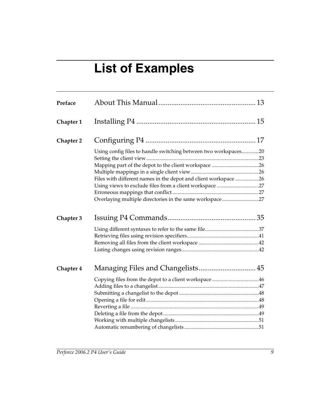# **List of Examples**

<span id="page-8-0"></span>

| Preface   |                                                                 |  |
|-----------|-----------------------------------------------------------------|--|
| Chapter 1 |                                                                 |  |
| Chapter 2 |                                                                 |  |
|           | Using config files to handle switching between two workspaces20 |  |
|           |                                                                 |  |
|           |                                                                 |  |
|           |                                                                 |  |
|           | Files with different names in the depot and client workspace 26 |  |
|           | Using views to exclude files from a client workspace 27         |  |
|           |                                                                 |  |
|           | Overlaying multiple directories in the same workspace 27        |  |
| Chapter 3 |                                                                 |  |
|           |                                                                 |  |
|           |                                                                 |  |
|           |                                                                 |  |
|           |                                                                 |  |
| Chapter 4 |                                                                 |  |
|           | Copying files from the depot to a client workspace46            |  |
|           |                                                                 |  |
|           |                                                                 |  |
|           |                                                                 |  |
|           |                                                                 |  |
|           |                                                                 |  |
|           |                                                                 |  |
|           |                                                                 |  |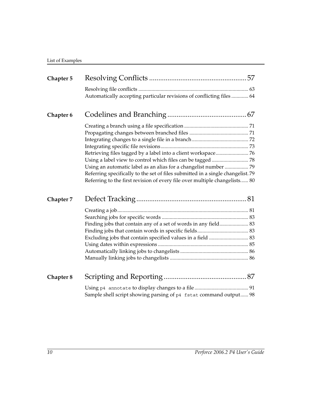| Chapter 5 |                                                                                | 57 |
|-----------|--------------------------------------------------------------------------------|----|
|           | Automatically accepting particular revisions of conflicting files  64          |    |
|           |                                                                                |    |
| Chapter 6 |                                                                                |    |
|           |                                                                                |    |
|           |                                                                                |    |
|           |                                                                                |    |
|           |                                                                                |    |
|           | Using an automatic label as an alias for a changelist number  79               |    |
|           | Referring specifically to the set of files submitted in a single changelist.79 |    |
|           | Referring to the first revision of every file over multiple changelists 80     |    |
| Chapter 7 |                                                                                |    |
|           |                                                                                |    |
|           |                                                                                |    |
|           | Finding jobs that contain any of a set of words in any field 83                |    |
|           |                                                                                |    |
|           | Excluding jobs that contain specified values in a field  83                    |    |
|           |                                                                                |    |
|           |                                                                                |    |
|           |                                                                                |    |
| Chapter 8 |                                                                                |    |
|           | Sample shell script showing parsing of p4 fstat command output 98              |    |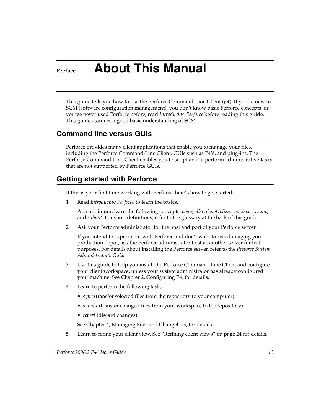# <span id="page-12-0"></span>**Preface About This Manual**

This guide tells you how to use the Perforce Command-Line Client  $(p4)$ . If you're new to SCM (software configuration management), you don't know basic Perforce concepts, or you've never used Perforce before, read *Introducing Perforce* before reading this guide. This guide assumes a good basic understanding of SCM.

# <span id="page-12-1"></span>**Command line versus GUIs**

Perforce provides many client applications that enable you to manage your files, including the Perforce Command-Line Client, GUIs such as P4V, and plug-ins. The Perforce Command-Line Client enables you to script and to perform administrative tasks that are not supported by Perforce GUIs.

## <span id="page-12-2"></span>**Getting started with Perforce**

If this is your first time working with Perforce, here's how to get started:

1. Read *Introducing Perforce* to learn the basics.

At a minimum, learn the following concepts: *[changelist](#page-99-0)*, *[depot](#page-100-0)*, *[client workspace](#page-99-1)*, *[sync](#page-105-0)*, and *[submit](#page-105-1)*. For short definitions, refer to the glossary at the back of this guide.

2. Ask your Perforce administrator for the host and port of your Perforce server.

If you intend to experiment with Perforce and don't want to risk damaging your production depot, ask the Perforce administrator to start another server for test purposes. For details about installing the Perforce server, refer to the *Perforce System Administrator's Guide*.

- 3. Use this guide to help you install the Perforce Command-Line Client and configure your client workspace, unless your system administrator has already configured your machine. See [Chapter 2, Configuring P4](#page-16-3), for details.
- 4. Learn to perform the following tasks:
	- *sync* (transfer selected files from the repository to your computer)
	- *submit* (transfer changed files from your workspace to the repository)
	- *revert* (discard changes)

See [Chapter 4, Managing Files and Changelists](#page-44-2), for details.

5. Learn to refine your client view. See ["Refining client views" on page 24](#page-23-2) for details.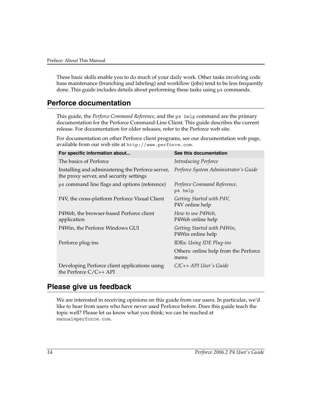These basic skills enable you to do much of your daily work. Other tasks involving code base maintenance (branching and labeling) and workflow (jobs) tend to be less frequently done. This guide includes details about performing these tasks using p4 commands.

### <span id="page-13-0"></span>**Perforce documentation**

This guide, the *Perforce Command Reference*, and the p4 help command are the primary documentation for the Perforce Command-Line Client. This guide describes the current release. For documentation for older releases, refer to the Perforce web site.

For documentation on other Perforce client programs, see our documentation web page, available from our web site at http://www.perforce.com.

| For specific information about                                                               | See this documentation                           |
|----------------------------------------------------------------------------------------------|--------------------------------------------------|
| The basics of Perforce                                                                       | Introducing Perforce                             |
| Installing and administering the Perforce server,<br>the proxy server, and security settings | Perforce System Administrator's Guide            |
| p4 command line flags and options (reference)                                                | Perforce Command Reference,<br>p4 help           |
| P4V, the cross-platform Perforce Visual Client                                               | Getting Started with P4V,<br>P4V online help     |
| P4Web, the browser-based Perforce client<br>application                                      | How to use P4Web.<br>P4Web online help           |
| P4Win, the Perforce Windows GUI                                                              | Getting Started with P4Win,<br>P4Win online help |
| Perforce plug-ins                                                                            | IDEs: Using IDE Plug-ins                         |
|                                                                                              | Others: online help from the Perforce<br>menu    |
| Developing Perforce client applications using<br>the Perforce $C/C_{++}$ API                 | $C/C++ API$ User's Guide                         |

### <span id="page-13-1"></span>**Please give us feedback**

We are interested in receiving opinions on this guide from our users. In particular, we'd like to hear from users who have never used Perforce before. Does this guide teach the topic well? Please let us know what you think; we can be reached at manual@perforce.com.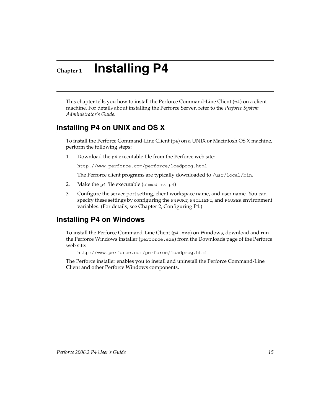# <span id="page-14-0"></span>**Chapter 1 Installing P4**

This chapter tells you how to install the Perforce Command-Line Client (p4) on a client machine. For details about installing the Perforce Server, refer to the *Perforce System Administrator's Guide*.

## <span id="page-14-1"></span>**Installing P4 on UNIX and OS X**

To install the Perforce Command-Line Client  $(p_4)$  on a UNIX or Macintosh OS X machine, perform the following steps:

1. Download the p4 executable file from the Perforce web site:

http://www.perforce.com/perforce/loadprog.html

The Perforce client programs are typically downloaded to /usr/local/bin.

- 2. Make the p4 file executable (chmod +x p4)
- 3. Configure the server port setting, client workspace name, and user name. You can specify these settings by configuring the P4PORT, P4CLIENT, and P4USER environment variables. (For details, see [Chapter 2, Configuring P4](#page-16-3).)

## <span id="page-14-2"></span>**Installing P4 on Windows**

To install the Perforce Command-Line Client  $(p_4, e_{\text{xe}})$  on Windows, download and run the Perforce Windows installer (perforce.exe) from the Downloads page of the Perforce web site:

```
http://www.perforce.com/perforce/loadprog.html
```
The Perforce installer enables you to install and uninstall the Perforce Command-Line Client and other Perforce Windows components.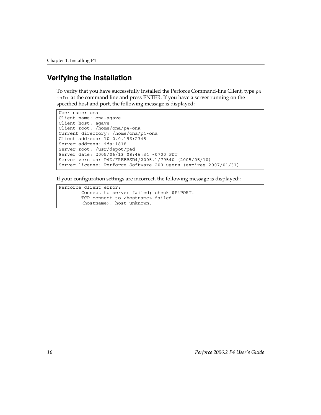## <span id="page-15-0"></span>**Verifying the installation**

To verify that you have successfully installed the Perforce Command-line Client, type  $p4$ info at the command line and press ENTER. If you have a server running on the specified host and port, the following message is displayed:

```
User name: ona
Client name: ona-agave
Client host: agave
Client root: /home/ona/p4-ona
Current directory: /home/ona/p4-ona
Client address: 10.0.0.196:2345
Server address: ida:1818
Server root: /usr/depot/p4d
Server date: 2005/06/13 08:46:34 -0700 PDT
Server version: P4D/FREEBSD4/2005.1/79540 (2005/05/10)
Server license: Perforce Software 200 users (expires 2007/01/31)
```
If your configuration settings are incorrect, the following message is displayed::

```
Perforce client error:
         Connect to server failed; check $P4PORT.
        TCP connect to <hostname> failed.
         <hostname>: host unknown.
```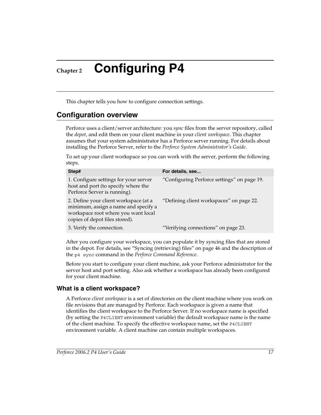<span id="page-16-3"></span><span id="page-16-0"></span>**Chapter 2 Configuring P4**

This chapter tells you how to configure connection settings.

## <span id="page-16-1"></span>**Configuration overview**

Perforce uses a client/server architecture: you *sync* files from the server repository, called the *[depot](#page-100-0)*, and edit them on your client machine in your *[client workspace](#page-99-1)*. This chapter assumes that your system administrator has a Perforce server running. For details about installing the Perforce Server, refer to the *Perforce System Administrator's Guide*.

To set up your client workspace so you can work with the server, perform the following steps.

| Step#                                                                                                                                                  | For details, see                            |
|--------------------------------------------------------------------------------------------------------------------------------------------------------|---------------------------------------------|
| 1. Configure settings for your server<br>host and port (to specify where the<br>Perforce Server is running).                                           | "Configuring Perforce settings" on page 19. |
| 2. Define your client workspace (at a<br>minimum, assign a name and specify a<br>workspace root where you want local<br>copies of depot files stored). | "Defining client workspaces" on page 22.    |
| 3. Verify the connection.                                                                                                                              | "Verifying connections" on page 23.         |

After you configure your workspace, you can populate it by syncing files that are stored in the depot. For details, see ["Syncing \(retrieving\) files" on page 46](#page-45-2) and the description of the p4 sync command in the *Perforce Command Reference*.

Before you start to configure your client machine, ask your Perforce administrator for the server host and port setting. Also ask whether a workspace has already been configured for your client machine.

#### <span id="page-16-2"></span>**What is a client workspace?**

A Perforce *client workspace* is a set of directories on the client machine where you work on file revisions that are managed by Perforce. Each workspace is given a name that identifies the client workspace to the Perforce Server. If no workspace name is specified (by setting the P4CLIENT environment variable) the default workspace name is the name of the client machine. To specify the effective workspace name, set the P4CLIENT environment variable. A client machine can contain multiple workspaces.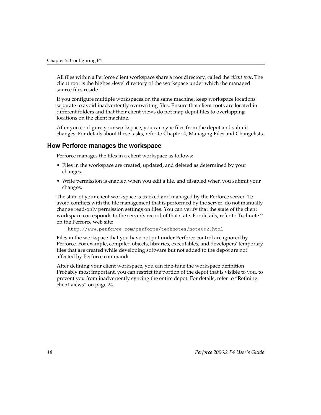All files within a Perforce client workspace share a root directory, called the *client root*. The client root is the highest-level directory of the workspace under which the managed source files reside.

If you configure multiple workspaces on the same machine, keep workspace locations separate to avoid inadvertently overwriting files. Ensure that client roots are located in different folders and that their client views do not map depot files to overlapping locations on the client machine.

After you configure your workspace, you can sync files from the depot and submit changes. For details about these tasks, refer to [Chapter 4, Managing Files and Changelists](#page-44-2).

#### <span id="page-17-0"></span>**How Perforce manages the workspace**

Perforce manages the files in a client workspace as follows:

- Files in the workspace are created, updated, and deleted as determined by your changes.
- Write permission is enabled when you edit a file, and disabled when you submit your changes.

The state of your client workspace is tracked and managed by the Perforce server. To avoid conflicts with the file management that is performed by the server, do not manually change read-only permission settings on files. You can verify that the state of the client workspace corresponds to the server's record of that state. For details, refer to Technote 2 on the Perforce web site:

http://www.perforce.com/perforce/technotes/note002.html

Files in the workspace that you have not put under Perforce control are ignored by Perforce. For example, compiled objects, libraries, executables, and developers' temporary files that are created while developing software but not added to the depot are not affected by Perforce commands.

After defining your client workspace, you can fine-tune the workspace definition. Probably most important, you can restrict the portion of the depot that is visible to you, to prevent you from inadvertently syncing the entire depot. For details, refer to ["Refining](#page-23-0)  [client views" on page 24.](#page-23-0)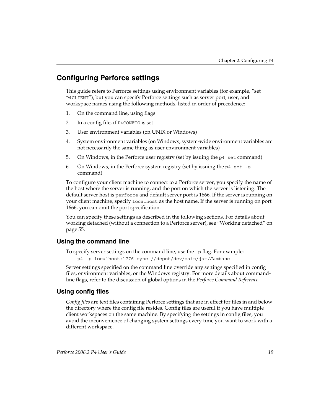# <span id="page-18-0"></span>**Configuring Perforce settings**

This guide refers to Perforce settings using environment variables (for example, "set P4CLIENT"), but you can specify Perforce settings such as server port, user, and workspace names using the following methods, listed in order of precedence:

- 1. On the command line, using flags
- 2. In a config file, if P4CONFIG is set
- 3. User environment variables (on UNIX or Windows)
- 4. System environment variables (on Windows, system-wide environment variables are not necessarily the same thing as user environment variables)
- 5. On Windows, in the Perforce user registry (set by issuing the  $p4$  set command)
- 6. On Windows, in the Perforce system registry (set by issuing the  $p4$  set -s command)

To configure your client machine to connect to a Perforce server, you specify the name of the host where the server is running, and the port on which the server is listening. The default server host is perforce and default server port is 1666. If the server is running on your client machine, specify localhost as the host name. If the server is running on port 1666, you can omit the port specification.

You can specify these settings as described in the following sections. For details about working detached (without a connection to a Perforce server), see ["Working detached" on](#page-54-3)  [page 55.](#page-54-3)

#### <span id="page-18-1"></span>**Using the command line**

To specify server settings on the command line, use the -p flag. For example:

```
p4 -p localhost:1776 sync //depot/dev/main/jam/Jambase
```
Server settings specified on the command line override any settings specified in config files, environment variables, or the Windows registry. For more details about commandline flags, refer to the discussion of global options in the *Perforce Command Reference*.

### <span id="page-18-2"></span>**Using config files**

*Config files* are text files containing Perforce settings that are in effect for files in and below the directory where the config file resides. Config files are useful if you have multiple client workspaces on the same machine. By specifying the settings in config files, you avoid the inconvenience of changing system settings every time you want to work with a different workspace.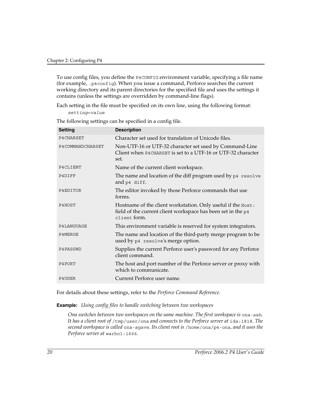To use config files, you define the P4CONFIG environment variable, specifying a file name (for example, .p4config). When you issue a command, Perforce searches the current working directory and its parent directories for the specified file and uses the settings it contains (unless the settings are overridden by command-line flags).

Each setting in the file must be specified on its own line, using the following format: *setting*=*value*

The following settings can be specified in a config file.

| <b>Setting</b>   | <b>Description</b>                                                                                                                           |
|------------------|----------------------------------------------------------------------------------------------------------------------------------------------|
| P4CHARSET        | Character set used for translation of Unicode files.                                                                                         |
| P4COMMANDCHARSET | Non-UTF-16 or UTF-32 character set used by Command-Line<br>Client when P4CHARSET is set to a UTF-16 or UTF-32 character<br>set.              |
| P4CLIENT         | Name of the current client workspace.                                                                                                        |
| P4DIFF           | The name and location of the diff program used by $p4$ resolve<br>and p4 diff.                                                               |
| P4EDITOR         | The editor invoked by those Perforce commands that use<br>forms.                                                                             |
| P4HOST           | Hostname of the client workstation. Only useful if the Host:<br>field of the current client workspace has been set in the p4<br>client form. |
| P4LANGUAGE       | This environment variable is reserved for system integrators.                                                                                |
| P4MERGE          | The name and location of the third-party merge program to be<br>used by p4 resolve's merge option.                                           |
| P4PASSWD         | Supplies the current Perforce user's password for any Perforce<br>client command.                                                            |
| P4PORT           | The host and port number of the Perforce server or proxy with<br>which to communicate.                                                       |
| P4USER           | Current Perforce user name.                                                                                                                  |

For details about these settings, refer to the *Perforce Command Reference*.

<span id="page-19-0"></span>**Example:** *Using config files to handle switching between two workspaces*

*Ona switches between two workspaces on the same machine. The first workspace is* ona-ash. *It has a client root of* /tmp/user/ona *and connects to the Perforce server at* ida:1818*. The second workspace is called* ona-agave*. Its client root is* /home/ona/p4-ona*, and it uses the Perforce server at* warhol:1666*.*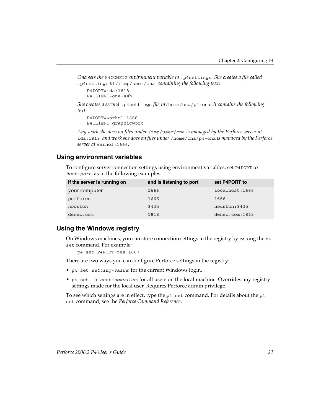*Ona sets the* P4CONFIG *environment variable to* .p4settings*. She creates a file called* .p4settings *in* //tmp/user/ona *containing the following text:* 

```
P4PORT=ida:1818
P4CLIENT=ona-ash
```
*She creates a second* .p4settings *file in*/home/ona/p4-ona*. It contains the following text:*

```
P4PORT=warhol:1666
P4CLIENT=graphicwork
```
*Any work she does on files under* /tmp/user/ona *is managed by the Perforce server at*  ida:1818 *and work she does on files under* /home/ona/p4-ona *is managed by the Perforce server at* warhol:1666*.*

#### <span id="page-20-0"></span>**Using environment variables**

To configure server connection settings using environment variables, set P4PORT to *host*:*port*, as in the following examples.

| If the server is running on | and is listening to port | set P4PORT to  |
|-----------------------------|--------------------------|----------------|
| your computer               | 1666                     | localhost:1666 |
| perforce                    | 1666                     | 1666           |
| houston                     | 3435                     | houston: 3435  |
| deneb.com                   | 1818                     | deneb.com:1818 |

#### <span id="page-20-1"></span>**Using the Windows registry**

On Windows machines, you can store connection settings in the registry by issuing the p4 set command. For example:

```
p4 set P4PORT=tea:1667
```
There are two ways you can configure Perforce settings in the registry:

- p4 set *setting=value*: for the current Windows login.
- p4 set -s *setting=value*: for all users on the local machine. Overrides any registry settings made for the local user. Requires Perforce admin privilege.

To see which settings are in effect, type the  $p4$  set command. For details about the  $p4$ set command, see the *Perforce Command Reference*.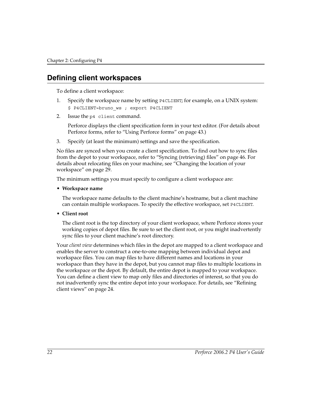### <span id="page-21-0"></span>**Defining client workspaces**

To define a client workspace:

- 1. Specify the workspace name by setting P4CLIENT; for example, on a UNIX system: \$ P4CLIENT=bruno\_ws ; export P4CLIENT
- 2. Issue the p4 client command.

Perforce displays the client specification form in your text editor. (For details about Perforce forms, refer to ["Using Perforce forms" on page 43](#page-42-2).)

3. Specify (at least the minimum) settings and save the specification.

No files are synced when you create a client specification. To find out how to sync files from the depot to your workspace, refer to ["Syncing \(retrieving\) files" on page 46](#page-45-2). For details about relocating files on your machine, see ["Changing the location of your](#page-28-0)  [workspace" on page 29.](#page-28-0)

The minimum settings you must specify to configure a client workspace are:

• **Workspace name**

The workspace name defaults to the client machine's hostname, but a client machine can contain multiple workspaces. To specify the effective workspace, set P4CLIENT.

**• Client root** 

The client root is the top directory of your client workspace, where Perforce stores your working copies of depot files. Be sure to set the client root, or you might inadvertently sync files to your client machine's root directory.

Your *client view* determines which files in the depot are mapped to a client workspace and enables the server to construct a one-to-one mapping between individual depot and workspace files. You can map files to have different names and locations in your workspace than they have in the depot, but you cannot map files to multiple locations in the workspace or the depot. By default, the entire depot is mapped to your workspace. You can define a client view to map only files and directories of interest, so that you do not inadvertently sync the entire depot into your workspace. For details, see ["Refining](#page-23-0)  [client views" on page 24.](#page-23-0)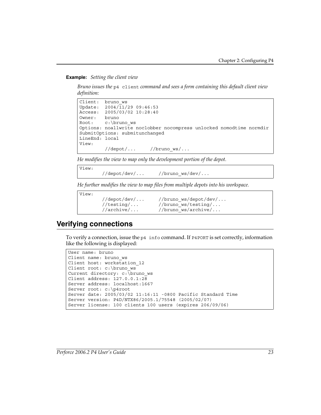<span id="page-22-1"></span>**Example:** *Setting the client view*

*Bruno issues the* p4 client *command and sees a form containing this default client view definition:*

```
Client: bruno_ws
Update: 2004/11/29 09:46:53
Access: 2005/03/02 10:28:40
Owner: bruno
Root: c:\bruno_ws
Options: noallwrite noclobber nocompress unlocked nomodtime normdir
SubmitOptions: submitunchanged
LineEnd: local
View:
         //depot/... //bruno_ws/...
```
*He modifies the view to map only the development portion of the depot.* 

View: //depot/dev/... //bruno\_ws/dev/...

*He further modifies the view to map files from multiple depots into his workspace.* 

```
View:
        //depot/dev/... //bruno_ws/depot/dev/...
       //testing/... //bruno ws/testing/...
       //archive/... //bruno_ws/archive/...
```
# <span id="page-22-0"></span>**Verifying connections**

To verify a connection, issue the  $p4$  info command. If P4PORT is set correctly, information like the following is displayed:

```
User name: bruno
Client name: bruno_ws
Client host: workstation_12
Client root: c:\bruno_ws
Current directory: c:\bruno_ws
Client address: 127.0.0.1:28
Server address: localhost:1667
Server root: c:\p4root
Server date: 2005/03/02 11:16:11 -0800 Pacific Standard Time
Server version: P4D/NTX86/2005.1/75548 (2005/02/07)
Server license: 100 clients 100 users (expires 206/09/06)
```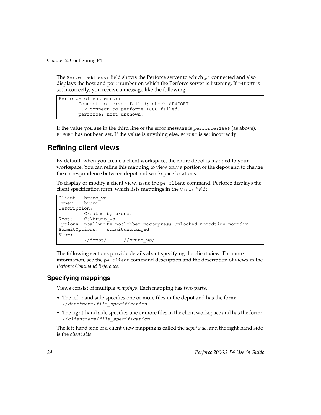The Server address: field shows the Perforce server to which p4 connected and also displays the host and port number on which the Perforce server is listening. If P4PORT is set incorrectly, you receive a message like the following:

```
Perforce client error:
      Connect to server failed; check $P4PORT.
       TCP connect to perforce:1666 failed.
       perforce: host unknown.
```
If the value you see in the third line of the error message is perforce:1666 (as above), P4PORT has not been set. If the value is anything else, P4PORT is set incorrectly.

### <span id="page-23-2"></span><span id="page-23-0"></span>**Refining client views**

By default, when you create a client workspace, the entire depot is mapped to your workspace. You can refine this mapping to view only a portion of the depot and to change the correspondence between depot and workspace locations.

To display or modify a client view, issue the p4 client command. Perforce displays the client specification form, which lists mappings in the View: field:

```
Client: bruno_ws
Owner: bruno
Description:
         Created by bruno.
Root: C:\bruno ws
Options: noallwrite noclobber nocompress unlocked nomodtime normdir
SubmitOptions: submitunchanged
View:
         //depot/... //bruno_ws/...
```
The following sections provide details about specifying the client view. For more information, see the p4 client command description and the description of views in the *Perforce Command Reference*.

#### <span id="page-23-1"></span>**Specifying mappings**

Views consist of multiple *mappings*. Each mapping has two parts.

- The left-hand side specifies one or more files in the depot and has the form: //*depotname*/*file\_specification*
- The right-hand side specifies one or more files in the client workspace and has the form: //*clientname*/*file\_specification*

The left-hand side of a client view mapping is called the *depot side*, and the right-hand side is the *client side*.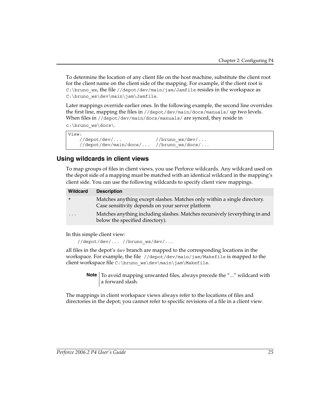To determine the location of any client file on the host machine, substitute the client root for the client name on the client side of the mapping. For example, if the client root is C:\bruno\_ws, the file //depot/dev/main/jam/Jamfile resides in the workspace as C:\bruno ws\dev\main\jam\Jamfile.

Later mappings override earlier ones. In the following example, the second line overrides the first line, mapping the files in //depot/dev/main/docs/manuals/ up two levels. When files in //depot/dev/main/docs/manuals/ are synced, they reside in

c:\bruno\_ws\docs\.

```
View:
    //depot/dev/... //bruno_ws/dev/...
    //depot/dev/main/docs/... //bruno_ws/docs/...
```
#### <span id="page-24-0"></span>**Using wildcards in client views**

To map groups of files in client views, you use Perforce wildcards. Any wildcard used on the depot side of a mapping must be matched with an identical wildcard in the mapping's client side. You can use the following wildcards to specify client view mappings.

| Wildcard | <b>Description</b>                                                                                                           |
|----------|------------------------------------------------------------------------------------------------------------------------------|
| $\star$  | Matches anything except slashes. Matches only within a single directory.<br>Case sensitivity depends on your server platform |
| $\cdot$  | Matches anything including slashes. Matches recursively (everything in and<br>below the specified directory).                |

In this simple client view:

//depot/dev/... //bruno\_ws/dev/...

all files in the depot's dev branch are mapped to the corresponding locations in the workspace. For example, the file //depot/dev/main/jam/Makefile is mapped to the client workspace file C:\bruno\_ws\dev\main\jam\Makefile.

> **Note** To avoid mapping unwanted files, always precede the "..." wildcard with a forward slash.

The mappings in client workspace views always refer to the locations of files and directories in the depot; you cannot refer to specific revisions of a file in a client view.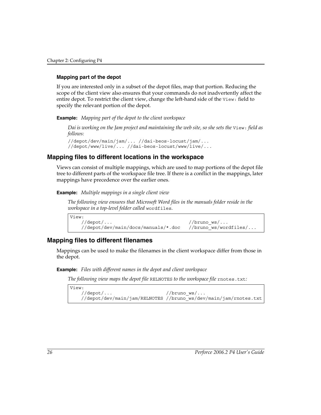#### **Mapping part of the depot**

If you are interested only in a subset of the depot files, map that portion. Reducing the scope of the client view also ensures that your commands do not inadvertently affect the entire depot. To restrict the client view, change the left-hand side of the View: field to specify the relevant portion of the depot.

<span id="page-25-2"></span>**Example:** *Mapping part of the depot to the client workspace*

*Dai is working on the Jam project and maintaining the web site, so she sets the view: field as follows:*

```
//depot/dev/main/jam/... //dai-beos-locust/jam/...
//depot/www/live/... //dai-beos-locust/www/live/...
```
#### <span id="page-25-0"></span>**Mapping files to different locations in the workspace**

Views can consist of multiple mappings, which are used to map portions of the depot file tree to different parts of the workspace file tree. If there is a conflict in the mappings, later mappings have precedence over the earlier ones.

<span id="page-25-3"></span>**Example:** *Multiple mappings in a single client view*

*The following view ensures that Microsoft Word files in the manuals folder reside in the workspace in a top-level folder called* wordfiles*.*

```
View:
  //depot/... //bruno_ws/...
    //depot/dev/main/docs/manuals/*.doc //bruno_ws/wordfiles/...
```
#### <span id="page-25-1"></span>**Mapping files to different filenames**

Mappings can be used to make the filenames in the client workspace differ from those in the depot.

<span id="page-25-4"></span>**Example:** *Files with different names in the depot and client workspace*

*The following view maps the depot file* RELNOTES *to the workspace file* rnotes.txt*:* 

```
View:
   //depot/... //bruno ws/...
    //depot/dev/main/jam/RELNOTES //bruno_ws/dev/main/jam/rnotes.txt
```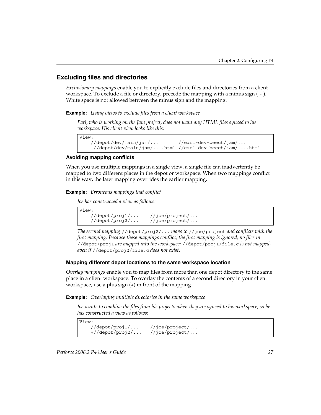#### <span id="page-26-0"></span>**Excluding files and directories**

*Exclusionary mappings* enable you to explicitly exclude files and directories from a client workspace. To exclude a file or directory, precede the mapping with a minus sign ( - ). White space is not allowed between the minus sign and the mapping.

<span id="page-26-1"></span>**Example:** *Using views to exclude files from a client workspace*

*Earl, who is working on the Jam project, does not want any HTML files synced to his workspace. His client view looks like this:*

```
View:
```

```
 //depot/dev/main/jam/... //earl-dev-beech/jam/...
 -//depot/dev/main/jam/....html //earl-dev-beech/jam/....html
```
#### **Avoiding mapping conflicts**

When you use multiple mappings in a single view, a single file can inadvertently be mapped to two different places in the depot or workspace. When two mappings conflict in this way, the later mapping overrides the earlier mapping.

<span id="page-26-2"></span>**Example:** *Erroneous mappings that conflict*

*Joe has constructed a view as follows:*

View: //depot/proj1/... //joe/project/... //depot/proj2/... //joe/project/...

*The second mapping* //depot/proj2/... *maps to* //joe/project *and conflicts with the first mapping. Because these mappings conflict, the first mapping is ignored; no files in*  //depot/proj1 *are mapped into the workspace:* //depot/proj1/file.c *is not mapped, even if* //depot/proj2/file.c *does not exist.*

#### **Mapping different depot locations to the same workspace location**

*Overlay mappings* enable you to map files from more than one depot directory to the same place in a client workspace. To overlay the contents of a second directory in your client workspace, use a plus sign (+) in front of the mapping.

<span id="page-26-3"></span>**Example:** *Overlaying multiple directories in the same workspace*

*Joe wants to combine the files from his projects when they are synced to his workspace, so he has constructed a view as follows:*

```
View:
    //depot/proj1/... //joe/project/...
    +//depot/proj2/... //joe/project/...
```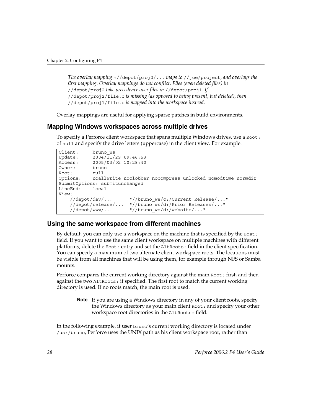*The overlay mapping* +//depot/proj2/... *maps to* //joe/project*, and overlays the first mapping. Overlay mappings do not conflict. Files (even deleted files) in*  //depot/proj2 *take precedence over files in* //depot/proj1*. If*  //depot/proj2/file.c *is missing (as opposed to being present, but deleted), then*  //depot/proj1/file.c *is mapped into the workspace instead.* 

Overlay mappings are useful for applying sparse patches in build environments.

#### <span id="page-27-0"></span>**Mapping Windows workspaces across multiple drives**

To specify a Perforce client workspace that spans multiple Windows drives, use a Root: of null and specify the drive letters (uppercase) in the client view. For example:

```
Client: bruno_ws
Update: 2004/11/29 09:46:53
Access: 2005/03/02 10:28:40
Owner: bruno
Root: null
Options: noallwrite noclobber nocompress unlocked nomodtime normdir
SubmitOptions: submitunchanged
LineEnd: local
View:
    //depot/dev/... "//bruno_ws/c:/Current Release/..."
    //depot/release/... "//bruno_ws/d:/Prior Releases/..."
    //depot/www/... "//bruno_ws/d:/website/..."
```
#### <span id="page-27-1"></span>**Using the same workspace from different machines**

By default, you can only use a workspace on the machine that is specified by the Host: field. If you want to use the same client workspace on multiple machines with different platforms, delete the Host: entry and set the AltRoots: field in the client specification. You can specify a maximum of two alternate client workspace roots. The locations must be visible from all machines that will be using them, for example through NFS or Samba mounts.

Perforce compares the current working directory against the main Root: first, and then against the two AltRoots: if specified. The first root to match the current working directory is used. If no roots match, the main root is used.

**Note** If you are using a Windows directory in any of your client roots, specify the Windows directory as your main client Root: and specify your other workspace root directories in the AltRoots: field.

In the following example, if user bruno's current working directory is located under /usr/bruno, Perforce uses the UNIX path as his client workspace root, rather than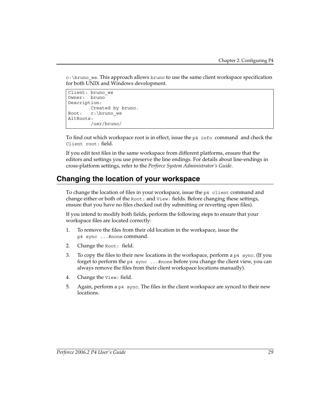c:\bruno\_ws. This approach allows bruno to use the same client workspace specification for both UNIX and Windows development.

```
Client: bruno_ws
Owner: bruno
Description:
        Created by bruno.
Root: c:\bruno_ws
AltRoots:
         /usr/bruno/
```
To find out which workspace root is in effect, issue the p4 info command and check the Client root: field.

If you edit text files in the same workspace from different platforms, ensure that the editors and settings you use preserve the line endings. For details about line-endings in cross-platform settings, refer to the *Perforce System Administrator's Guide*.

## <span id="page-28-0"></span>**Changing the location of your workspace**

To change the location of files in your workspace, issue the  $p4$  client command and change either or both of the Root: and View: fields. Before changing these settings, ensure that you have no files checked out (by submitting or reverting open files).

If you intend to modify both fields, perform the following steps to ensure that your workspace files are located correctly:

- 1. To remove the files from their old location in the workspace, issue the p4 sync ...#none command.
- 2. Change the Root: field.
- 3. To copy the files to their new locations in the workspace, perform a p4 sync. (If you forget to perform the p4 sync ...#none before you change the client view, you can always remove the files from their client workspace locations manually).
- 4. Change the View: field.
- 5. Again, perform a p4 sync. The files in the client workspace are synced to their new locations.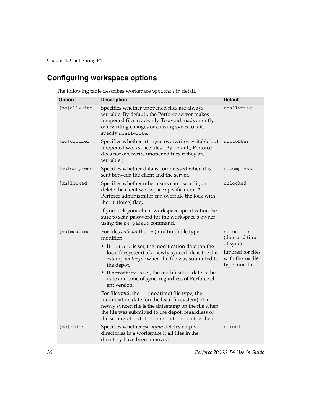# <span id="page-29-0"></span>**Configuring workspace options**

| <b>Option</b> | <b>Description</b>                                                                                                                                                                                                                                                             | <b>Default</b>                                            |
|---------------|--------------------------------------------------------------------------------------------------------------------------------------------------------------------------------------------------------------------------------------------------------------------------------|-----------------------------------------------------------|
| [no]allwrite  | Specifies whether unopened files are always<br>writable. By default, the Perforce server makes<br>unopened files read-only. To avoid inadvertently<br>overwriting changes or causing syncs to fail,<br>specify noallwrite.                                                     | noallwrite                                                |
| [no]clobber   | Specifies whether p4 sync overwrites writable but<br>unopened workspace files. (By default, Perforce<br>does not overwrite unopened files if they are<br>writable.)                                                                                                            | noclobber                                                 |
| [no] compress | Specifies whether data is compressed when it is<br>sent between the client and the server.                                                                                                                                                                                     | nocompress                                                |
| [un] locked   | Specifies whether other users can use, edit, or<br>delete the client workspace specification. A<br>Perforce administrator can override the lock with<br>the -f (force) flag.                                                                                                   | unlocked                                                  |
|               | If you lock your client workspace specification, be<br>sure to set a password for the workspace's owner<br>using the p4 passwd command.                                                                                                                                        |                                                           |
| [no]modtime   | For files <i>without</i> the $+m$ (modtime) file type<br>modifier:                                                                                                                                                                                                             | nomodtime<br>(date and time<br>of sync).                  |
|               | • If modtime is set, the modification date (on the<br>local filesystem) of a newly synced file is the dat-<br>estamp on the file when the file was submitted to<br>the depot.                                                                                                  | Ignored for files<br>with the $+m$ file<br>type modifier. |
|               | • If nomodtime is set, the modification date is the<br>date and time of sync, regardless of Perforce cli-<br>ent version.                                                                                                                                                      |                                                           |
|               | For files <i>with</i> the $+m$ (modtime) file type, the<br>modification date (on the local filesystem) of a<br>newly synced file is the datestamp on the file when<br>the file was submitted to the depot, regardless of<br>the setting of modtime or nomodtime on the client. |                                                           |
| [no]rmdir     | Specifies whether p4 sync deletes empty<br>directories in a workspace if all files in the<br>directory have been removed.                                                                                                                                                      | normdir                                                   |

The following table describes workspace Options: in detail.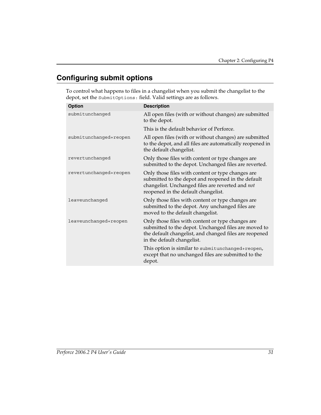# <span id="page-30-0"></span>**Configuring submit options**

To control what happens to files in a changelist when you submit the changelist to the depot, set the SubmitOptions: field. Valid settings are as follows.

| <b>Option</b>          | <b>Description</b>                                                                                                                                                                                 |
|------------------------|----------------------------------------------------------------------------------------------------------------------------------------------------------------------------------------------------|
| submitunchanged        | All open files (with or without changes) are submitted<br>to the depot.                                                                                                                            |
|                        | This is the default behavior of Perforce.                                                                                                                                                          |
| submitunchanged+reopen | All open files (with or without changes) are submitted<br>to the depot, and all files are automatically reopened in<br>the default changelist.                                                     |
| revertunchanged        | Only those files with content or type changes are<br>submitted to the depot. Unchanged files are reverted.                                                                                         |
| revertunchanged+reopen | Only those files with content or type changes are<br>submitted to the depot and reopened in the default<br>changelist. Unchanged files are reverted and not<br>reopened in the default changelist. |
| leaveunchanged         | Only those files with content or type changes are<br>submitted to the depot. Any unchanged files are<br>moved to the default changelist.                                                           |
| leaveunchanged+reopen  | Only those files with content or type changes are<br>submitted to the depot. Unchanged files are moved to<br>the default changelist, and changed files are reopened<br>in the default changelist.  |
|                        | This option is similar to submitunchanged+reopen,<br>except that no unchanged files are submitted to the<br>depot.                                                                                 |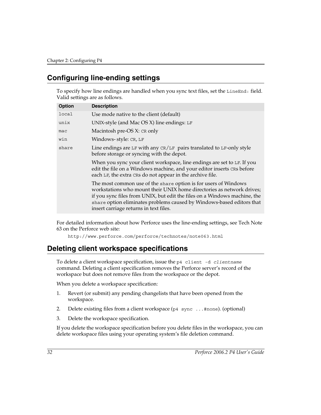# <span id="page-31-0"></span>**Configuring line-ending settings**

To specify how line endings are handled when you sync text files, set the LineEnd: field. Valid settings are as follows.

| <b>Option</b> | <b>Description</b>                                                                                                                                                                                                                                                                                                                       |
|---------------|------------------------------------------------------------------------------------------------------------------------------------------------------------------------------------------------------------------------------------------------------------------------------------------------------------------------------------------|
| local         | Use mode native to the client (default)                                                                                                                                                                                                                                                                                                  |
| unix          | UNIX-style (and Mac OS X) line endings: LF                                                                                                                                                                                                                                                                                               |
| mac           | Macintosh pre-OS X: CR only                                                                                                                                                                                                                                                                                                              |
| win           | Windows-style: CR, LF                                                                                                                                                                                                                                                                                                                    |
| share         | Line endings are LF with any $CR/LF$ pairs translated to LF-only style<br>before storage or syncing with the depot.                                                                                                                                                                                                                      |
|               | When you sync your client workspace, line endings are set to LF. If you<br>edit the file on a Windows machine, and your editor inserts CRS before<br>each LF, the extra CRs do not appear in the archive file.                                                                                                                           |
|               | The most common use of the share option is for users of Windows<br>workstations who mount their UNIX home directories as network drives;<br>if you sync files from UNIX, but edit the files on a Windows machine, the<br>share option eliminates problems caused by Windows-based editors that<br>insert carriage returns in text files. |
|               |                                                                                                                                                                                                                                                                                                                                          |

For detailed information about how Perforce uses the line-ending settings, see Tech Note 63 on the Perforce web site:

http://www.perforce.com/perforce/technotes/note063.html

## <span id="page-31-1"></span>**Deleting client workspace specifications**

To delete a client workspace specification, issue the p4 client -d *clientname* command. Deleting a client specification removes the Perforce server's record of the workspace but does not remove files from the workspace or the depot.

When you delete a workspace specification:

- 1. Revert (or submit) any pending changelists that have been opened from the workspace.
- 2. Delete existing files from a client workspace  $(p4 \text{ sync} \dots \text{#none})$ . (optional)
- 3. Delete the workspace specification.

If you delete the workspace specification before you delete files in the workspace, you can delete workspace files using your operating system's file deletion command.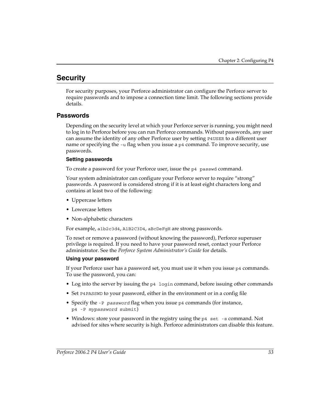# <span id="page-32-0"></span>**Security**

For security purposes, your Perforce administrator can configure the Perforce server to require passwords and to impose a connection time limit. The following sections provide details.

#### <span id="page-32-1"></span>**Passwords**

Depending on the security level at which your Perforce server is running, you might need to log in to Perforce before you can run Perforce commands. Without passwords, any user can assume the identity of any other Perforce user by setting P4USER to a different user name or specifying the  $-u$  flag when you issue a  $p4$  command. To improve security, use passwords.

#### **Setting passwords**

To create a password for your Perforce user, issue the p4 passwd command.

Your system administrator can configure your Perforce server to require "strong" passwords. A password is considered strong if it is at least eight characters long and contains at least two of the following:

- Uppercase letters
- Lowercase letters
- Non-alphabetic characters

For example, a1b2c3d4, A1B2C3D4, aBcDeFgH are strong passwords.

To reset or remove a password (without knowing the password), Perforce superuser privilege is required. If you need to have your password reset, contact your Perforce administrator. See the *Perforce System Administrator's Guide* for details.

#### **Using your password**

If your Perforce user has a password set, you must use it when you issue p4 commands. To use the password, you can:

- Log into the server by issuing the p4 login command, before issuing other commands
- Set P4PASSWD to your password, either in the environment or in a config file
- Specify the -P *password* flag when you issue p4 commands (for instance, p4 -P *mypassword* submit)
- Windows: store your password in the registry using the p4 set -s command. Not advised for sites where security is high. Perforce administrators can disable this feature.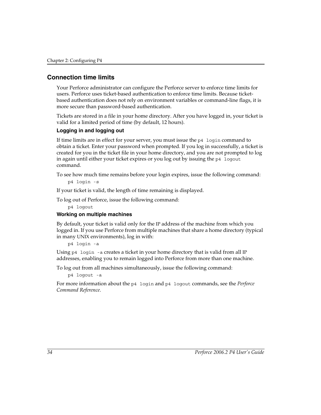#### <span id="page-33-0"></span>**Connection time limits**

Your Perforce administrator can configure the Perforce server to enforce time limits for users. Perforce uses ticket-based authentication to enforce time limits. Because ticketbased authentication does not rely on environment variables or command-line flags, it is more secure than password-based authentication.

Tickets are stored in a file in your home directory. After you have logged in, your ticket is valid for a limited period of time (by default, 12 hours).

#### **Logging in and logging out**

If time limits are in effect for your server, you must issue the p4 login command to obtain a ticket. Enter your password when prompted. If you log in successfully, a ticket is created for you in the ticket file in your home directory, and you are not prompted to log in again until either your ticket expires or you log out by issuing the p4 logout command.

To see how much time remains before your login expires, issue the following command:

```
p4 login -s
```
If your ticket is valid, the length of time remaining is displayed.

To log out of Perforce, issue the following command:

p4 logout

#### **Working on multiple machines**

By default, your ticket is valid only for the IP address of the machine from which you logged in. If you use Perforce from multiple machines that share a home directory (typical in many UNIX environments), log in with:

p4 login -a

Using p4 login -a creates a ticket in your home directory that is valid from all IP addresses, enabling you to remain logged into Perforce from more than one machine.

To log out from all machines simultaneously, issue the following command:

```
p4 logout -a
```
For more information about the p4 login and p4 logout commands, see the *Perforce Command Reference*.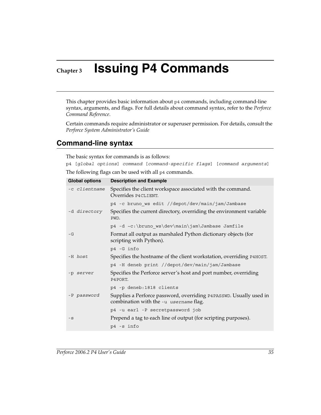# <span id="page-34-0"></span>**Chapter 3 Issuing P4 Commands**

This chapter provides basic information about p4 commands, including command-line syntax, arguments, and flags. For full details about command syntax, refer to the *Perforce Command Reference*.

Certain commands require administrator or superuser permission. For details, consult the *Perforce System Administrator's Guide*

### <span id="page-34-1"></span>**Command-line syntax**

The basic syntax for commands is as follows:

p4 [*global options*] *command* [*command-specific flags*] [*command arguments*]

The following flags can be used with all p4 commands.

| <b>Global options</b> | <b>Description and Example</b>                                                                               |
|-----------------------|--------------------------------------------------------------------------------------------------------------|
| -c clientname         | Specifies the client workspace associated with the command.<br>Overrides P4CLIENT.                           |
|                       | p4 -c bruno ws edit //depot/dev/main/jam/Jambase                                                             |
| -d <i>directory</i>   | Specifies the current directory, overriding the environment variable<br>PWD.                                 |
|                       | p4 -d ~c:\bruno ws\dev\main\jam\Jambase Jamfile                                                              |
| $-G$                  | Format all output as marshaled Python dictionary objects (for<br>scripting with Python).                     |
|                       | p4 -G info                                                                                                   |
| -H host               | Specifies the hostname of the client workstation, overriding P4HOST.                                         |
|                       | p4 -H deneb print //depot/dev/main/jam/Jambase                                                               |
| -p server             | Specifies the Perforce server's host and port number, overriding<br>P4 PORT.                                 |
|                       | p4 -p deneb:1818 clients                                                                                     |
| -P password           | Supplies a Perforce password, overriding P4PASSWD. Usually used in<br>combination with the -u username flag. |
|                       | p4 -u earl -P secretpassword job                                                                             |
| $-S$                  | Prepend a tag to each line of output (for scripting purposes).                                               |
|                       | p4 -s info                                                                                                   |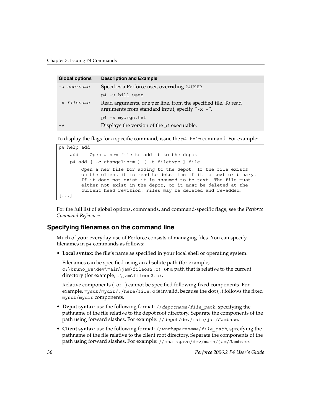| <b>Global options</b> | <b>Description and Example</b>                                                                                   |
|-----------------------|------------------------------------------------------------------------------------------------------------------|
| -u username           | Specifies a Perforce user, overriding P4USER.                                                                    |
|                       | p4 -u bill user                                                                                                  |
| -x filename           | Read arguments, one per line, from the specified file. To read<br>arguments from standard input, specify "-x -". |
|                       | p4 -x myarqs.txt                                                                                                 |
| $-V$                  | Displays the version of the p4 executable.                                                                       |

To display the flags for a specific command, issue the p4 help command. For example:

```
p4 help add
     add -- Open a new file to add it to the depot
     p4 add [ -c changelist# ] [ -t filetype ] file ...
         Open a new file for adding to the depot. If the file exists
         on the client it is read to determine if it is text or binary.
         If it does not exist it is assumed to be text. The file must
         either not exist in the depot, or it must be deleted at the
         current head revision. Files may be deleted and re-added.
[...]
```
For the full list of global options, commands, and command-specific flags, see the *Perforce Command Reference.* 

#### <span id="page-35-0"></span>**Specifying filenames on the command line**

Much of your everyday use of Perforce consists of managing files. You can specify filenames in p4 commands as follows:

• **Local syntax**: the file's name as specified in your local shell or operating system.

Filenames can be specified using an absolute path (for example, c:\bruno\_ws\dev\main\jam\fileos2.c) or a path that is relative to the current directory (for example, .\jam\fileos2.c).

Relative components (. or ..) cannot be specified following fixed components. For example, mysub/mydir/./here/file.c is invalid, because the dot (.) follows the fixed mysub/mydir components.

- **Depot syntax**: use the following format: //*depotname*/*file\_path*, specifying the pathname of the file relative to the depot root directory. Separate the components of the path using forward slashes. For example: //depot/dev/main/jam/Jambase.
- **Client syntax**: use the following format: //*workspacename*/*file\_path*, specifying the pathname of the file relative to the client root directory. Separate the components of the path using forward slashes. For example: //ona-agave/dev/main/jam/Jambase.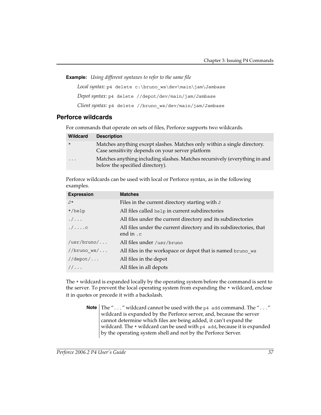**Example:** *Using different syntaxes to refer to the same file*

*Local syntax*: p4 delete c:\bruno ws\dev\main\jam\Jambase *Depot syntax:* p4 delete //depot/dev/main/jam/Jambase *Client syntax:* p4 delete //bruno\_ws/dev/main/jam/Jambase

# <span id="page-36-0"></span>**Perforce wildcards**

For commands that operate on sets of files, Perforce supports two wildcards.

| <b>Wildcard</b> | <b>Description</b>                                                                                                           |
|-----------------|------------------------------------------------------------------------------------------------------------------------------|
| $\star$         | Matches anything except slashes. Matches only within a single directory.<br>Case sensitivity depends on your server platform |
| $\cdot$         | Matches anything including slashes. Matches recursively (everything in and<br>below the specified directory).                |

Perforce wildcards can be used with local or Perforce syntax, as in the following examples.

| <b>Expression</b> | <b>Matches</b>                                                                  |
|-------------------|---------------------------------------------------------------------------------|
| J*                | Files in the current directory starting with J                                  |
| $*/\text{help}$   | All files called help in current subdirectories                                 |
| . /               | All files under the current directory and its subdirectories                    |
| . / c             | All files under the current directory and its subdirectories, that<br>end in .c |
| /usr/bruno/       | All files under /usr/bruno                                                      |
| $//$ bruno_ws $/$ | All files in the workspace or depot that is named bruno ws                      |
| $//$ depot $/$    | All files in the depot                                                          |
| $1/\ldots$        | All files in all depots                                                         |

The \* wildcard is expanded locally by the operating system before the command is sent to the server. To prevent the local operating system from expanding the \* wildcard, enclose it in quotes or precede it with a backslash.

> **Note** The "..." wildcard cannot be used with the p4 add command. The "..." wildcard is expanded by the Perforce server, and, because the server cannot determine which files are being added, it can't expand the wildcard. The \* wildcard can be used with p4 add, because it is expanded by the operating system shell and not by the Perforce Server.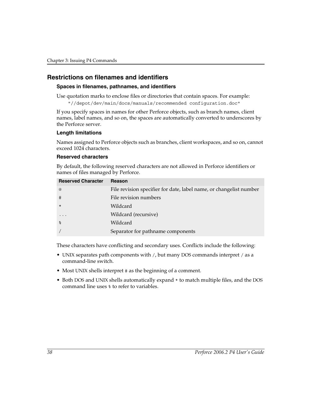## **Restrictions on filenames and identifiers**

#### **Spaces in filenames, pathnames, and identifiers**

Use quotation marks to enclose files or directories that contain spaces. For example:

"//depot/dev/main/docs/manuals/recommended configuration.doc"

If you specify spaces in names for other Perforce objects, such as branch names, client names, label names, and so on, the spaces are automatically converted to underscores by the Perforce server.

#### **Length limitations**

Names assigned to Perforce objects such as branches, client workspaces, and so on, cannot exceed 1024 characters.

#### **Reserved characters**

By default, the following reserved characters are not allowed in Perforce identifiers or names of files managed by Perforce.

| <b>Reserved Character</b> | Reason                                                             |
|---------------------------|--------------------------------------------------------------------|
| $\omega$                  | File revision specifier for date, label name, or changelist number |
| #                         | File revision numbers                                              |
| $\star$                   | Wildcard                                                           |
| $\ddotsc$                 | Wildcard (recursive)                                               |
| $\approx$                 | Wildcard                                                           |
|                           | Separator for pathname components                                  |

These characters have conflicting and secondary uses. Conflicts include the following:

- UNIX separates path components with /, but many DOS commands interpret / as a command-line switch.
- Most UNIX shells interpret # as the beginning of a comment.
- Both DOS and UNIX shells automatically expand \* to match multiple files, and the DOS command line uses % to refer to variables.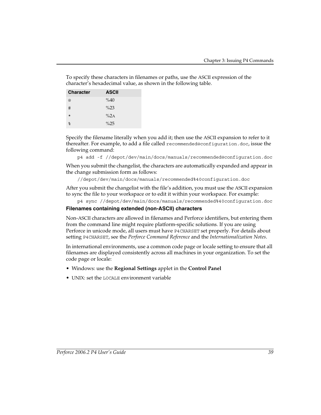To specify these characters in filenames or paths, use the ASCII expression of the character's hexadecimal value, as shown in the following table.

| <b>Character</b> | <b>ASCII</b> |
|------------------|--------------|
| @                | %40          |
| #                | $\%23$       |
| $\star$          | $\%$ 2A      |
| ిన               | $\%25$       |

Specify the filename literally when you add it; then use the ASCII expansion to refer to it thereafter. For example, to add a file called recommended@configuration.doc, issue the following command:

```
p4 add -f //depot/dev/main/docs/manuals/recommended@configuration.doc
```
When you submit the changelist, the characters are automatically expanded and appear in the change submission form as follows:

//depot/dev/main/docs/manuals/recommended%40configuration.doc

After you submit the changelist with the file's addition, you must use the ASCII expansion to sync the file to your workspace or to edit it within your workspace. For example:

```
p4 sync //depot/dev/main/docs/manuals/recommended%40configuration.doc
```
#### **Filenames containing extended (non-ASCII) characters**

Non-ASCII characters are allowed in filenames and Perforce identifiers, but entering them from the command line might require platform-specific solutions. If you are using Perforce in unicode mode, all users must have P4CHARSET set properly. For details about setting P4CHARSET, see the *Perforce Command Reference* and the *Internationalization Notes*.

In international environments, use a common code page or locale setting to ensure that all filenames are displayed consistently across all machines in your organization. To set the code page or locale:

- Windows: use the **Regional Settings** applet in the **Control Panel**
- UNIX: set the LOCALE environment variable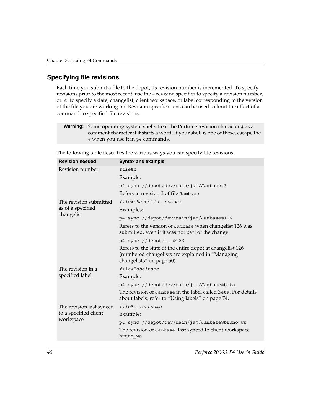# <span id="page-39-0"></span>**Specifying file revisions**

Each time you submit a file to the depot, its revision number is incremented. To specify revisions prior to the most recent, use the # revision specifier to specify a revision number, or @ to specify a date, changelist, client workspace, or label corresponding to the version of the file you are working on. Revision specifications can be used to limit the effect of a command to specified file revisions.

| <b>Warning!</b> Some operating system shells treat the Perforce revision character # as a |
|-------------------------------------------------------------------------------------------|
| comment character if it starts a word. If your shell is one of these, escape the          |
| # when you use it in p4 commands.                                                         |

| <b>Revision needed</b>   | <b>Syntax and example</b>                                                                                                                  |  |
|--------------------------|--------------------------------------------------------------------------------------------------------------------------------------------|--|
| Revision number          | file#n                                                                                                                                     |  |
|                          | Example:                                                                                                                                   |  |
|                          | p4 sync //depot/dev/main/jam/Jambase#3                                                                                                     |  |
|                          | Refers to revision 3 of file Jambase                                                                                                       |  |
| The revision submitted   | file@changelist number                                                                                                                     |  |
| as of a specified        | Examples:                                                                                                                                  |  |
| changelist               | p4 sync //depot/dev/main/jam/Jambase@126                                                                                                   |  |
|                          | Refers to the version of Jambase when changelist 126 was<br>submitted, even if it was not part of the change.                              |  |
|                          | p4 sync //depot/@126                                                                                                                       |  |
|                          | Refers to the state of the entire depot at changelist 126<br>(numbered changelists are explained in "Managing<br>changelists" on page 50). |  |
| The revision in a        | file@labelname                                                                                                                             |  |
| specified label          | Example:                                                                                                                                   |  |
|                          | p4 sync //depot/dev/main/jam/Jambase@beta                                                                                                  |  |
|                          | The revision of Jambase in the label called beta. For details<br>about labels, refer to "Using labels" on page 74.                         |  |
| The revision last synced | file@clientname                                                                                                                            |  |
| to a specified client    | Example:                                                                                                                                   |  |
| workspace                | p4 sync //depot/dev/main/jam/Jambase@bruno ws                                                                                              |  |
|                          | The revision of Jambase last synced to client workspace<br>bruno ws                                                                        |  |

The following table describes the various ways you can specify file revisions.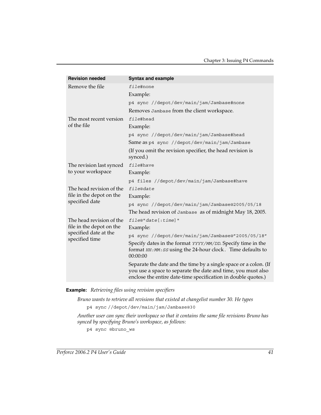| <b>Revision needed</b>                  | <b>Syntax and example</b>                                                                                                                                                                         |
|-----------------------------------------|---------------------------------------------------------------------------------------------------------------------------------------------------------------------------------------------------|
| Remove the file                         | file#none                                                                                                                                                                                         |
|                                         | Example:                                                                                                                                                                                          |
|                                         | p4 sync //depot/dev/main/jam/Jambase#none                                                                                                                                                         |
|                                         | Removes Jambase from the client workspace.                                                                                                                                                        |
| The most recent version                 | file#head                                                                                                                                                                                         |
| of the file                             | Example:                                                                                                                                                                                          |
|                                         | p4 sync //depot/dev/main/jam/Jambase#head                                                                                                                                                         |
|                                         | Same as p4 sync //depot/dev/main/jam/Jambase                                                                                                                                                      |
|                                         | (If you omit the revision specifier, the head revision is<br>synced.)                                                                                                                             |
| The revision last synced                | file#have                                                                                                                                                                                         |
| to your workspace                       | Example:                                                                                                                                                                                          |
|                                         | p4 files //depot/dev/main/jam/Jambase#have                                                                                                                                                        |
| The head revision of the                | file@date                                                                                                                                                                                         |
| file in the depot on the                | Example:                                                                                                                                                                                          |
| specified date                          | p4 sync //depot/dev/main/jam/Jambase@2005/05/18                                                                                                                                                   |
|                                         | The head revision of Jambase as of midnight May 18, 2005.                                                                                                                                         |
| The head revision of the                | file@"date[:time]"                                                                                                                                                                                |
| file in the depot on the                | Example:                                                                                                                                                                                          |
| specified date at the<br>specified time | p4 sync //depot/dev/main/jam/Jambase@"2005/05/18"                                                                                                                                                 |
|                                         | Specify dates in the format YYYY/MM/DD. Specify time in the<br>format HH: MM: SS using the 24-hour clock. Time defaults to<br>00:00:00                                                            |
|                                         | Separate the date and the time by a single space or a colon. (If<br>you use a space to separate the date and time, you must also<br>enclose the entire date-time specification in double quotes.) |

#### **Example:** *Retrieving files using revision specifiers*

*Bruno wants to retrieve all revisions that existed at changelist number 30. He types* p4 sync //depot/dev/main/jam/Jambase@30

*Another user can sync their workspace so that it contains the same file revisions Bruno has synced by specifying Bruno's workspace, as follows:*

p4 sync @bruno\_ws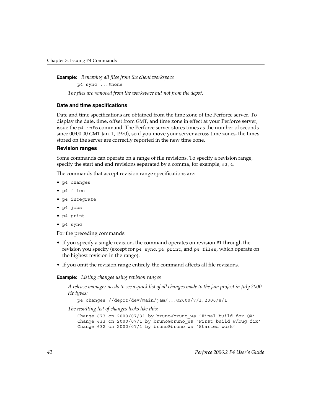**Example:** *Removing all files from the client workspace* p4 sync ...#none *The files are removed from the workspace but not from the depot.*

#### **Date and time specifications**

Date and time specifications are obtained from the time zone of the Perforce server. To display the date, time, offset from GMT, and time zone in effect at your Perforce server, issue the p4 info command. The Perforce server stores times as the number of seconds since 00:00:00 GMT Jan. 1, 1970), so if you move your server across time zones, the times stored on the server are correctly reported in the new time zone.

#### **Revision ranges**

Some commands can operate on a range of file revisions. To specify a revision range, specify the start and end revisions separated by a comma, for example, #3,4.

The commands that accept revision range specifications are:

- p4 changes
- p4 files
- p4 integrate
- p4 jobs
- p4 print
- p4 sync

For the preceding commands:

- If you specify a single revision, the command operates on revision #1 through the revision you specify (except for p4 sync, p4 print, and p4 files, which operate on the highest revision in the range).
- If you omit the revision range entirely, the command affects all file revisions.

**Example:** *Listing changes using revision ranges*

*A release manager needs to see a quick list of all changes made to the jam project in July 2000. He types:* 

```
p4 changes //depot/dev/main/jam/...@2000/7/1,2000/8/1
```
*The resulting list of changes looks like this:*

```
Change 673 on 2000/07/31 by bruno@bruno_ws 'Final build for QA'
Change 633 on 2000/07/1 by bruno@bruno ws 'First build w/bug fix'
Change 632 on 2000/07/1 by bruno@bruno_ws 'Started work'
```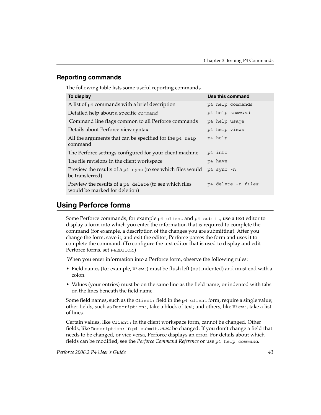# **Reporting commands**

The following table lists some useful reporting commands.

| To display                                                                              | Use this command   |
|-----------------------------------------------------------------------------------------|--------------------|
| A list of p4 commands with a brief description                                          | p4 help commands   |
| Detailed help about a specific command                                                  | p4 help command    |
| Command line flags common to all Perforce commands                                      | p4 help usage      |
| Details about Perforce view syntax                                                      | p4 help views      |
| All the arguments that can be specified for the p4 help<br>command                      | p4 help            |
| The Perforce settings configured for your client machine                                | p4 info            |
| The file revisions in the client workspace                                              | p4 have            |
| Preview the results of a p4 sync (to see which files would<br>be transferred)           | p4 sync -n         |
| Preview the results of a p4 delete (to see which files<br>would be marked for deletion) | p4 delete -n files |

# **Using Perforce forms**

Some Perforce commands, for example  $p4$  client and  $p4$  submit, use a text editor to display a form into which you enter the information that is required to complete the command (for example, a description of the changes you are submitting). After you change the form, save it, and exit the editor, Perforce parses the form and uses it to complete the command. (To configure the text editor that is used to display and edit Perforce forms, set P4EDITOR.)

When you enter information into a Perforce form, observe the following rules:

- Field names (for example, View:) must be flush left (not indented) and must end with a colon.
- Values (your entries) must be on the same line as the field name, or indented with tabs on the lines beneath the field name.

Some field names, such as the Client: field in the p4 client form, require a single value; other fields, such as Description:, take a block of text; and others, like View:, take a list of lines.

Certain values, like Client: in the client workspace form, cannot be changed. Other fields, like Description: in p4 submit, *must* be changed. If you don't change a field that needs to be changed, or vice versa, Perforce displays an error. For details about which fields can be modified, see the *Perforce Command Reference* or use p4 help *command*.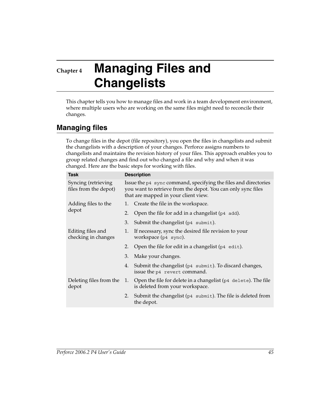# **Chapter 4 Managing Files and Changelists**

This chapter tells you how to manage files and work in a team development environment, where multiple users who are working on the same files might need to reconcile their changes.

# **Managing files**

To change files in the depot (file repository), you open the files in changelists and submit the changelists with a description of your changes. Perforce assigns numbers to changelists and maintains the revision history of your files. This approach enables you to group related changes and find out who changed a file and why and when it was changed. Here are the basic steps for working with files.

| <b>Task</b>                                  | <b>Description</b>                                                                                                                                                      |                                                                                                              |  |
|----------------------------------------------|-------------------------------------------------------------------------------------------------------------------------------------------------------------------------|--------------------------------------------------------------------------------------------------------------|--|
| Syncing (retrieving<br>files from the depot) | Issue the p4 sync command, specifying the files and directories<br>you want to retrieve from the depot. You can only sync files<br>that are mapped in your client view. |                                                                                                              |  |
| Adding files to the                          | 1.                                                                                                                                                                      | Create the file in the workspace.                                                                            |  |
| depot                                        | 2.                                                                                                                                                                      | Open the file for add in a changelist ( $p4$ add).                                                           |  |
|                                              | 3.                                                                                                                                                                      | Submit the changelist (p4 submit).                                                                           |  |
| Editing files and<br>checking in changes     | 1.                                                                                                                                                                      | If necessary, sync the desired file revision to your<br>workspace (p4 sync).                                 |  |
|                                              | 2.                                                                                                                                                                      | Open the file for edit in a changelist ( $p4$ edit).                                                         |  |
|                                              | 3.                                                                                                                                                                      | Make your changes.                                                                                           |  |
|                                              | 4.                                                                                                                                                                      | Submit the changelist (p4 submit). To discard changes,<br>issue the p4 revert command.                       |  |
| Deleting files from the<br>depot             | 1.                                                                                                                                                                      | Open the file for delete in a changelist $(p4 \text{ delete})$ . The file<br>is deleted from your workspace. |  |
|                                              | 2.                                                                                                                                                                      | Submit the changelist ( $p4$ submit). The file is deleted from<br>the depot.                                 |  |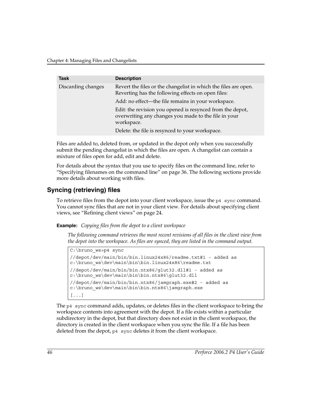| <b>Task</b>        | <b>Description</b>                                                                                                              |
|--------------------|---------------------------------------------------------------------------------------------------------------------------------|
| Discarding changes | Revert the files or the changelist in which the files are open.<br>Reverting has the following effects on open files:           |
|                    | Add: no effect—the file remains in your workspace.                                                                              |
|                    | Edit: the revision you opened is resynced from the depot,<br>overwriting any changes you made to the file in your<br>workspace. |
|                    | Delete: the file is resynced to your workspace.                                                                                 |

Files are added to, deleted from, or updated in the depot only when you successfully submit the pending changelist in which the files are open. A changelist can contain a mixture of files open for add, edit and delete.

For details about the syntax that you use to specify files on the command line, refer to ["Specifying filenames on the command line" on page 36](#page-35-0). The following sections provide more details about working with files.

# **Syncing (retrieving) files**

To retrieve files from the depot into your client workspace, issue the p4 sync command. You cannot sync files that are not in your client view. For details about specifying client views, see ["Refining client views" on page 24](#page-23-0).

**Example:** *Copying files from the depot to a client workspace*

*The following command retrieves the most recent revisions of all files in the client view from the depot into the workspace. As files are synced, they are listed in the command output.*

```
C:\bruno_ws>p4 sync
//depot/dev/main/bin/bin.linux24x86/readme.txt#1 - added as 
c:\bruno ws\dev\main\bin\bin.linux24x86\readme.txt
//depot/dev/main/bin/bin.ntx86/glut32.dll#1 - added as 
c:\bruno_ws\dev\main\bin\bin.ntx86\qlut32.dll
//depot/dev/main/bin/bin.ntx86/jamgraph.exe#2 - added as 
c:\bruno ws\dev\main\bin\bin.ntx86\jamgraph.exe
[...]
```
The p4 sync command adds, updates, or deletes files in the client workspace to bring the workspace contents into agreement with the depot. If a file exists within a particular subdirectory in the depot, but that directory does not exist in the client workspace, the directory is created in the client workspace when you sync the file. If a file has been deleted from the depot, p4 sync deletes it from the client workspace.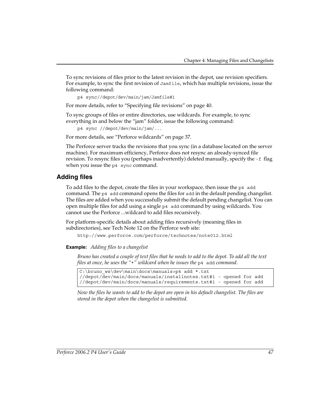To sync revisions of files prior to the latest revision in the depot, use revision specifiers. For example, to sync the first revision of Jamfile, which has multiple revisions, issue the following command:

```
p4 sync//depot/dev/main/jam/Jamfile#1
```
For more details, refer to ["Specifying file revisions" on page 40](#page-39-0).

To sync groups of files or entire directories, use wildcards. For example, to sync everything in and below the "jam" folder, issue the following command:

```
p4 sync //depot/dev/main/jam/...
```
For more details, see ["Perforce wildcards" on page 37.](#page-36-0)

The Perforce server tracks the revisions that you sync (in a database located on the server machine). For maximum efficiency, Perforce does not resync an already-synced file revision. To resync files you (perhaps inadvertently) deleted manually, specify the -f flag when you issue the p4 sync command.

## **Adding files**

To add files to the depot, create the files in your workspace, then issue the p4 add command. The p4 add command opens the files for add in the default pending changelist. The files are added when you successfully submit the default pending changelist. You can open multiple files for add using a single p4 add command by using wildcards. You cannot use the Perforce ...wildcard to add files recursively.

For platform-specific details about adding files recursively (meaning files in subdirectories), see Tech Note 12 on the Perforce web site:

http://www.perforce.com/perforce/technotes/note012.html

#### **Example:** *Adding files to a changelist*

*Bruno has created a couple of text files that he needs to add to the depot. To add all the text files at once, he uses the "*\**" wildcard when he issues the* p4 add *command.*

C:\bruno\_ws\dev\main\docs\manuals>p4 add \*.txt //depot/dev/main/docs/manuals/installnotes.txt#1 - opened for add //depot/dev/main/docs/manuals/requirements.txt#1 - opened for add

*Now the files he wants to add to the depot are open in his default changelist. The files are stored in the depot when the changelist is submitted.*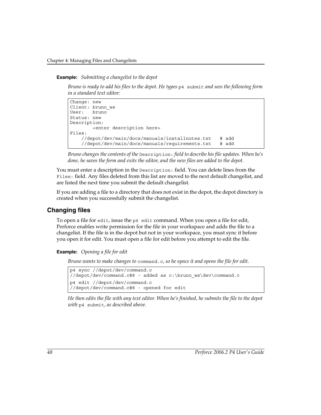#### **Example:** *Submitting a changelist to the depot*

*Bruno is ready to add his files to the depot. He types* p4 submit *and sees the following form in a standard text editor:*

```
Change: new
Client: bruno_ws
User: bruno
Status: new
Description:
        <enter description here>
Files:
    //depot/dev/main/docs/manuals/installnotes.txt # add
    //depot/dev/main/docs/manuals/requirements.txt # add
```
*Bruno changes the contents of the* Description: *field to describe his file updates. When he's done, he saves the form and exits the editor, and the new files are added to the depot.*

You must enter a description in the Description: field. You can delete lines from the Files: field. Any files deleted from this list are moved to the next default changelist, and are listed the next time you submit the default changelist.

If you are adding a file to a directory that does not exist in the depot, the depot directory is created when you successfully submit the changelist.

#### **Changing files**

To open a file for edit, issue the p4 edit command. When you open a file for edit, Perforce enables write permission for the file in your workspace and adds the file to a changelist. If the file is in the depot but not in your workspace, you must sync it before you open it for edit. You must open a file for edit before you attempt to edit the file.

**Example:** *Opening a file for edit*

*Bruno wants to make changes to* command.c*, so he syncs it and opens the file for edit.* 

```
p4 sync //depot/dev/command.c
//depot/dev/command.c#8 - added as c:\bruno_ws\dev\command.c
p4 edit //depot/dev/command.c
//depot/dev/command.c#8 - opened for edit
```
*He then edits the file with any text editor. When he's finished, he submits the file to the depot with* p4 submit*, as described above.*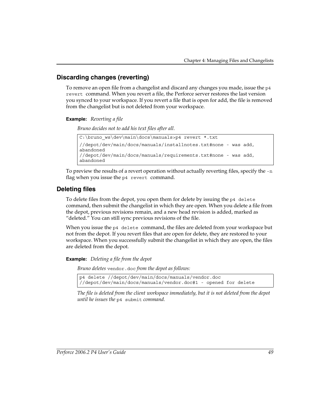# **Discarding changes (reverting)**

To remove an open file from a changelist and discard any changes you made, issue the p4 revert command. When you revert a file, the Perforce server restores the last version you synced to your workspace. If you revert a file that is open for add, the file is removed from the changelist but is not deleted from your workspace.

**Example:** *Reverting a file*

*Bruno decides not to add his text files after all.*

```
C:\bruno ws\dev\main\docs\manuals>p4 revert *.txt
//depot/dev/main/docs/manuals/installnotes.txt#none - was add, 
abandoned
//depot/dev/main/docs/manuals/requirements.txt#none - was add, 
abandoned
```
To preview the results of a revert operation without actually reverting files, specify the -n flag when you issue the p4 revert command.

# **Deleting files**

To delete files from the depot, you open them for delete by issuing the p4 delete command, then submit the changelist in which they are open. When you delete a file from the depot, previous revisions remain, and a new head revision is added, marked as "deleted." You can still sync previous revisions of the file.

When you issue the p4 delete command, the files are deleted from your workspace but not from the depot. If you revert files that are open for delete, they are restored to your workspace. When you successfully submit the changelist in which they are open, the files are deleted from the depot.

**Example:** *Deleting a file from the depot*

*Bruno deletes* vendor.doc *from the depot as follows:*

p4 delete //depot/dev/main/docs/manuals/vendor.doc //depot/dev/main/docs/manuals/vendor.doc#1 - opened for delete

*The file is deleted from the client workspace immediately, but it is not deleted from the depot until he issues the* p4 submit *command.*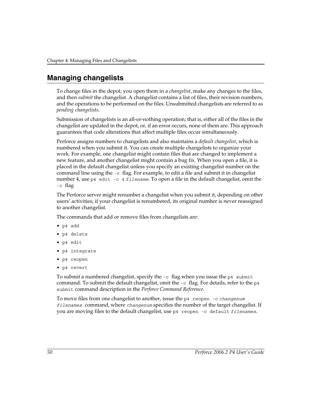# <span id="page-49-0"></span>**Managing changelists**

To change files in the depot, you open them in a *[changelist](#page-99-0)*, make any changes to the files, and then *[submit](#page-105-0)* the changelist. A changelist contains a list of files, their revision numbers, and the operations to be performed on the files. Unsubmitted changelists are referred to as *pending changelists*.

Submission of changelists is an all-or-nothing operation; that is, either all of the files in the changelist are updated in the depot, or, if an error occurs, none of them are. This approach guarantees that code alterations that affect multiple files occur simultaneously.

Perforce assigns numbers to changelists and also maintains a *[default changelist](#page-100-0)*, which is numbered when you submit it. You can create multiple changelists to organize your work. For example, one changelist might contain files that are changed to implement a new feature, and another changelist might contain a bug fix. When you open a file, it is placed in the default changelist unless you specify an existing changelist number on the command line using the  $-c$  flag. For example, to edit a file and submit it in changelist number 4, use p4 edit -c 4 *filename*. To open a file in the default changelist, omit the -c flag

The Perforce server might renumber a changelist when you submit it, depending on other users' activities; if your changelist is renumbered, its original number is never reassigned to another changelist.

The commands that add or remove files from changelists are:

- p4 add
- p4 delete
- p4 edit
- p4 integrate
- p4 reopen
- p4 revert

To submit a numbered changelist, specify the  $-c$  flag when you issue the p4 submit command. To submit the default changelist, omit the  $-c$  flag. For details, refer to the  $p4$ submit command description in the *Perforce Command Reference*.

To move files from one changelist to another, issue the p4 reopen -c *changenum filenames* command, where *changenum* specifies the number of the target changelist. If you are moving files to the default changelist, use p4 reopen -c default *filenames*.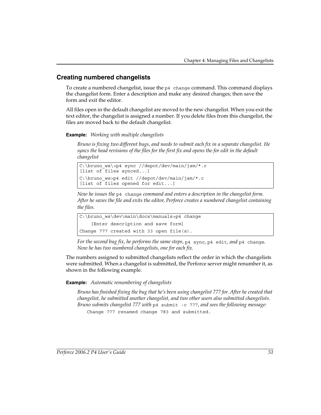# **Creating numbered changelists**

To create a numbered changelist, issue the p4 change command. This command displays the changelist form. Enter a description and make any desired changes; then save the form and exit the editor.

All files open in the default changelist are moved to the new changelist. When you exit the text editor, the changelist is assigned a number. If you delete files from this changelist, the files are moved back to the default changelist.

#### **Example:** *Working with multiple changelists*

*Bruno is fixing two different bugs, and needs to submit each fix in a separate changelist. He syncs the head revisions of the files for the first fix and opens the for edit in the default changelist*

```
C:\bruno_ws\>p4 sync //depot/dev/main/jam/*.c
[list of files synced...]
C:\bruno_ws>p4 edit //depot/dev/main/jam/*.c
[list of files opened for edit...]
```
*Now he issues the* p4 change *command and enters a description in the changelist form. After he saves the file and exits the editor, Perforce creates a numbered changelist containing the files.*

```
C:\bruno_ws\dev\main\docs\manuals>p4 change
     [Enter description and save form]
Change 777 created with 33 open file(s).
```
*For the second bug fix, he performs the same steps,* p4 sync*,* p4 edit*, and* p4 change*. Now he has two numbered changelists, one for each fix.*

The numbers assigned to submitted changelists reflect the order in which the changelists were submitted. When a changelist is submitted, the Perforce server might renumber it, as shown in the following example.

#### **Example:** *Automatic renumbering of changelists*

*Bruno has finished fixing the bug that he's been using changelist 777 for. After he created that changelist, he submitted another changelist, and two other users also submitted changelists. Bruno submits changelist 777 with* p4 submit -c 777*, and sees the following message:*  Change 777 renamed change 783 and submitted.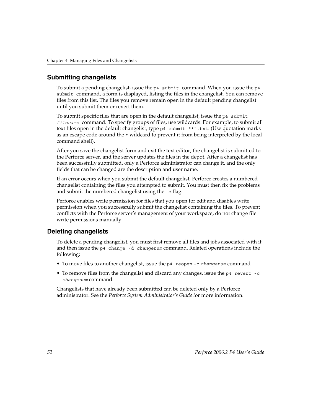## **Submitting changelists**

To submit a pending changelist, issue the p4 submit command. When you issue the p4 submit command, a form is displayed, listing the files in the changelist. You can remove files from this list. The files you remove remain open in the default pending changelist until you submit them or revert them.

To submit specific files that are open in the default changelist, issue the  $p4$  submit *filename* command. To specify groups of files, use wildcards. For example, to submit all text files open in the default changelist, type p4 submit "\*".txt. (Use quotation marks as an escape code around the  $*$  wildcard to prevent it from being interpreted by the local command shell).

After you save the changelist form and exit the text editor, the changelist is submitted to the Perforce server, and the server updates the files in the depot. After a changelist has been successfully submitted, only a Perforce administrator can change it, and the only fields that can be changed are the description and user name.

If an error occurs when you submit the default changelist, Perforce creates a numbered changelist containing the files you attempted to submit. You must then fix the problems and submit the numbered changelist using the -c flag.

Perforce enables write permission for files that you open for edit and disables write permission when you successfully submit the changelist containing the files. To prevent conflicts with the Perforce server's management of your workspace, do not change file write permissions manually.

# **Deleting changelists**

To delete a pending changelist, you must first remove all files and jobs associated with it and then issue the p4 change -d *changenum* command. Related operations include the following:

- To move files to another changelist, issue the p4 reopen -c *changenum* command.
- To remove files from the changelist and discard any changes, issue the p4 revert -c *changenum* command.

Changelists that have already been submitted can be deleted only by a Perforce administrator. See the *Perforce System Administrator's Guide* for more information.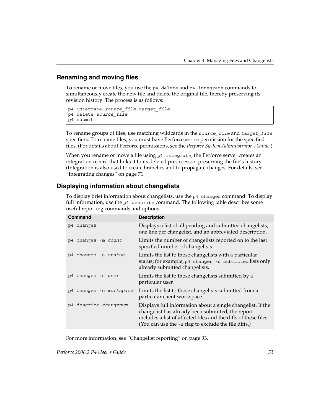# **Renaming and moving files**

To rename or move files, you use the p4 delete and p4 integrate commands to simultaneously create the new file and delete the original file, thereby preserving its revision history. The process is as follows:

```
p4 integrate source_file target_file
p4 delete source_file
p4 submit
```
To rename groups of files, use matching wildcards in the *source\_file* and *target\_file* specifiers. To rename files, you must have Perforce write permission for the specified files. (For details about Perforce permissions, see the *Perforce System Administrator's Guide.*)

When you rename or move a file using  $p4$  integrate, the Perforce server creates an integration record that links it to its deleted predecessor, preserving the file's history. (Integration is also used to create branches and to propagate changes. For details, see ["Integrating changes" on page 71](#page-70-0).

# **Displaying information about changelists**

To display brief information about changelists, use the p4 changes command. To display full information, use the p4 describe command. The following table describes some useful reporting commands and options.

| <b>Command</b>          | <b>Description</b>                                                                                                                                                                                                                          |
|-------------------------|---------------------------------------------------------------------------------------------------------------------------------------------------------------------------------------------------------------------------------------------|
| p4 changes              | Displays a list of all pending and submitted changelists,<br>one line per changelist, and an abbreviated description.                                                                                                                       |
| p4 changes -m count     | Limits the number of changelists reported on to the last<br>specified number of changelists.                                                                                                                                                |
| p4 changes -s status    | Limits the list to those changelists with a particular<br>status; for example, p4 changes -s submitted lists only<br>already submitted changelists.                                                                                         |
| p4 changes -u user      | Limits the list to those changelists submitted by a<br>particular user.                                                                                                                                                                     |
| p4 changes -c workspace | Limits the list to those changelists submitted from a<br>particular client workspace.                                                                                                                                                       |
| p4 describe changenum   | Displays full information about a single changelist. If the<br>changelist has already been submitted, the report<br>includes a list of affected files and the diffs of these files.<br>(You can use the -s flag to exclude the file diffs.) |

For more information, see ["Changelist reporting" on page 93.](#page-92-0)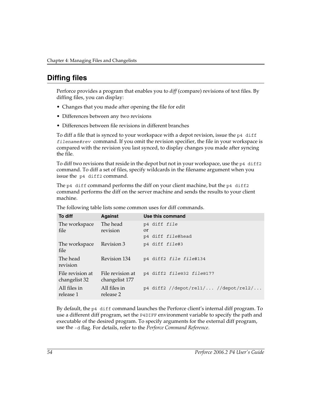# <span id="page-53-0"></span>**Diffing files**

Perforce provides a program that enables you to *diff* (compare) revisions of text files. By diffing files, you can display:

- Changes that you made after opening the file for edit
- Differences between any two revisions
- Differences between file revisions in different branches

To diff a file that is synced to your workspace with a depot revision, issue the  $p4$  diff *filename#rev* command. If you omit the revision specifier, the file in your workspace is compared with the revision you last synced, to display changes you made after syncing the file.

To diff two revisions that reside in the depot but not in your workspace, use the p4 diff2 command. To diff a set of files, specify wildcards in the filename argument when you issue the p4 diff2 command.

The  $p4$  diff command performs the diff on your client machine, but the  $p4$  diff2 command performs the diff on the server machine and sends the results to your client machine.

| To diff                           | <b>Against</b>                     | Use this command                       |
|-----------------------------------|------------------------------------|----------------------------------------|
| The workspace<br>file             | The head<br>revision               | p4 diff file<br><sub>or</sub>          |
|                                   |                                    | p4 diff file#head                      |
| The workspace<br>file             | Revision 3                         | p4 diff file#3                         |
| The head<br>revision              | Revision 134                       | p4 diff2 file file#134                 |
| File revision at<br>changelist 32 | File revision at<br>changelist 177 | p4 diff2 file@32 file@177              |
| All files in<br>release 1         | All files in<br>release 2          | $p4$ diff2 //depot/rel1/ //depot/rel2/ |

The following table lists some common uses for diff commands.

By default, the p4 diff command launches the Perforce client's internal diff program. To use a different diff program, set the P4DIFF environment variable to specify the path and executable of the desired program. To specify arguments for the external diff program, use the -d flag. For details, refer to the *Perforce Command Reference*.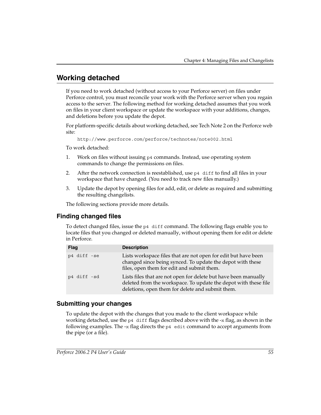# **Working detached**

If you need to work detached (without access to your Perforce server) on files under Perforce control, you must reconcile your work with the Perforce server when you regain access to the server. The following method for working detached assumes that you work on files in your client workspace or update the workspace with your additions, changes, and deletions before you update the depot.

For platform-specific details about working detached, see Tech Note 2 on the Perforce web site:

```
http://www.perforce.com/perforce/technotes/note002.html
```
To work detached:

- 1. Work on files without issuing p4 commands. Instead, use operating system commands to change the permissions on files.
- 2. After the network connection is reestablished, use  $p4$  diff to find all files in your workspace that have changed. (You need to track new files manually.)
- 3. Update the depot by opening files for add, edit, or delete as required and submitting the resulting changelists.

The following sections provide more details.

# **Finding changed files**

To detect changed files, issue the p4 diff command. The following flags enable you to locate files that you changed or deleted manually, without opening them for edit or delete in Perforce.

| <b>Flag</b> | <b>Description</b>                                                                                                                                                                     |
|-------------|----------------------------------------------------------------------------------------------------------------------------------------------------------------------------------------|
| p4 diff -se | Lists workspace files that are not open for edit but have been<br>changed since being synced. To update the depot with these<br>files, open them for edit and submit them.             |
| p4 diff -sd | Lists files that are not open for delete but have been manually<br>deleted from the workspace. To update the depot with these file<br>deletions, open them for delete and submit them. |

## **Submitting your changes**

To update the depot with the changes that you made to the client workspace while working detached, use the  $p4$  diff flags described above with the  $-x$  flag, as shown in the following examples. The  $-x$  flag directs the  $p4$  edit command to accept arguments from the pipe (or a file).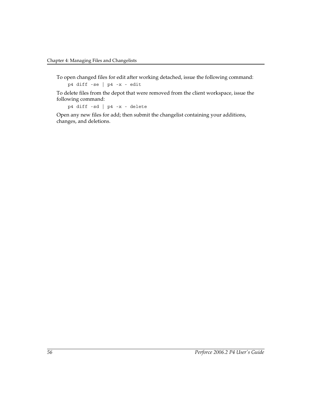To open changed files for edit after working detached, issue the following command:

p4 diff -se | p4 -x - edit

To delete files from the depot that were removed from the client workspace, issue the following command:

p4 diff -sd | p4 -x - delete

Open any new files for add; then submit the changelist containing your additions, changes, and deletions.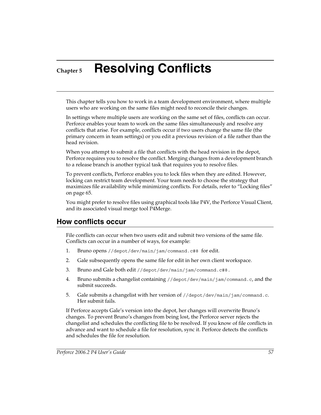# **Chapter 5 Resolving Conflicts**

This chapter tells you how to work in a team development environment, where multiple users who are working on the same files might need to reconcile their changes.

In settings where multiple users are working on the same set of files, conflicts can occur. Perforce enables your team to work on the same files simultaneously and resolve any conflicts that arise. For example, conflicts occur if two users change the same file (the primary concern in team settings) or you edit a previous revision of a file rather than the head revision.

When you attempt to submit a file that conflicts with the head revision in the depot, Perforce requires you to resolve the conflict. Merging changes from a development branch to a release branch is another typical task that requires you to resolve files.

To prevent conflicts, Perforce enables you to lock files when they are edited. However, locking can restrict team development. Your team needs to choose the strategy that maximizes file availability while minimizing conflicts. For details, refer to ["Locking files"](#page-64-0)  [on page 65.](#page-64-0)

You might prefer to resolve files using graphical tools like P4V, the Perforce Visual Client, and its associated visual merge tool P4Merge.

# **How conflicts occur**

File conflicts can occur when two users edit and submit two versions of the same file. Conflicts can occur in a number of ways, for example:

- 1. Bruno opens //depot/dev/main/jam/command.c#8 for edit.
- 2. Gale subsequently opens the same file for edit in her own client workspace.
- 3. Bruno and Gale both edit //depot/dev/main/jam/command.c#8.
- 4. Bruno submits a changelist containing //depot/dev/main/jam/command.c, and the submit succeeds.
- 5. Gale submits a changelist with her version of //depot/dev/main/jam/command.c. Her submit fails.

If Perforce accepts Gale's version into the depot, her changes will overwrite Bruno's changes. To prevent Bruno's changes from being lost, the Perforce server rejects the changelist and schedules the conflicting file to be resolved. If you know of file conflicts in advance and want to schedule a file for resolution, sync it. Perforce detects the conflicts and schedules the file for resolution.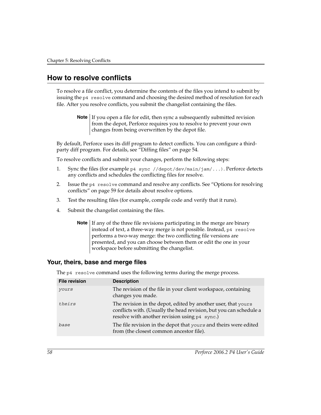# **How to resolve conflicts**

To resolve a file conflict, you determine the contents of the files you intend to submit by issuing the p4 resolve command and choosing the desired method of resolution for each file. After you resolve conflicts, you submit the changelist containing the files.

**Note** If you open a file for edit, then sync a subsequently submitted revision from the depot, Perforce requires you to resolve to prevent your own changes from being overwritten by the depot file.

By default, Perforce uses its diff program to detect conflicts. You can configure a thirdparty diff program. For details, see ["Diffing files" on page 54.](#page-53-0)

To resolve conflicts and submit your changes, perform the following steps:

- 1. Sync the files (for example p4 sync //depot/dev/main/jam/...). Perforce detects any conflicts and schedules the conflicting files for resolve.
- 2. Issue the p4 resolve command and resolve any conflicts. See ["Options for resolving](#page-58-0)  [conflicts" on page 59](#page-58-0) for details about resolve options.
- 3. Test the resulting files (for example, compile code and verify that it runs).
- 4. Submit the changelist containing the files.

**Note** If any of the three file revisions participating in the merge are binary instead of text, a three-way merge is not possible. Instead, p4 resolve performs a two-way merge: the two conflicting file versions are presented, and you can choose between them or edit the one in your workspace before submitting the changelist.

## **Your, theirs, base and merge files**

The p4 resolve command uses the following terms during the merge process.

| <b>File revision</b> | <b>Description</b>                                                                                                                                                                   |
|----------------------|--------------------------------------------------------------------------------------------------------------------------------------------------------------------------------------|
| yours                | The revision of the file in your client workspace, containing<br>changes you made.                                                                                                   |
| theirs               | The revision in the depot, edited by another user, that yours<br>conflicts with. (Usually the head revision, but you can schedule a<br>resolve with another revision using p4 sync.) |
| base                 | The file revision in the depot that yours and theirs were edited<br>from (the closest common ancestor file).                                                                         |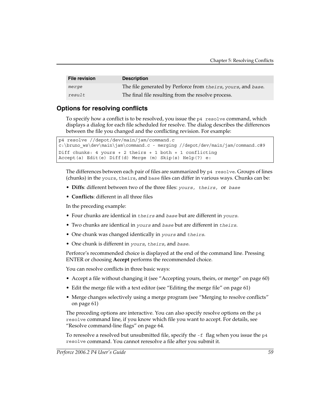| <b>File revision</b> | <b>Description</b>                                           |
|----------------------|--------------------------------------------------------------|
| merge                | The file generated by Perforce from theirs, yours, and base. |
| result               | The final file resulting from the resolve process.           |

# <span id="page-58-0"></span>**Options for resolving conflicts**

To specify how a conflict is to be resolved, you issue the p4 resolve command, which displays a dialog for each file scheduled for resolve. The dialog describes the differences between the file you changed and the conflicting revision. For example:

```
p4 resolve //depot/dev/main/jam/command.c
c:\bruno_ws\dev\main\jam\command.c - merging //depot/dev/main/jam/command.c#9
Diff chunks: 4 yours + 2 theirs + 1 both + 1 conflicting
Accept(a) Edit(e) Diff(d) Merge (m) Skip(s) Help(?) e:
```
The differences between each pair of files are summarized by  $p4$  resolve. Groups of lines (chunks) in the yours, theirs, and base files can differ in various ways. Chunks can be:

- **Diffs**: different between two of the three files: *yours, theirs,* or *base*
- **Conflicts**: different in all three files

In the preceding example:

- Four chunks are identical in *theirs* and *base* but are different in *yours*.
- Two chunks are identical in *yours* and *base* but are different in *theirs*.
- One chunk was changed identically in *yours* and *theirs*.
- One chunk is different in *yours*, *theirs*, and *base*.

Perforce's recommended choice is displayed at the end of the command line. Pressing ENTER or choosing **Accept** performs the recommended choice.

You can resolve conflicts in three basic ways:

- Accept a file without changing it (see ["Accepting yours, theirs, or merge" on page 60\)](#page-59-0)
- Edit the merge file with a text editor (see ["Editing the merge file" on page 61](#page-60-0))
- Merge changes selectively using a merge program (see ["Merging to resolve conflicts"](#page-60-1)  [on page 61](#page-60-1))

The preceding options are interactive. You can also specify resolve options on the p4 resolve command line, if you know which file you want to accept. For details, see ["Resolve command-line flags" on page 64.](#page-63-0)

To reresolve a resolved but unsubmitted file, specify the -f flag when you issue the p4 resolve command. You cannot reresolve a file after you submit it.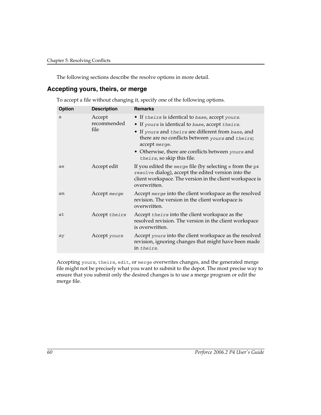The following sections describe the resolve options in more detail.

## <span id="page-59-0"></span>**Accepting yours, theirs, or merge**

To accept a file without changing it, specify one of the following options.

| <b>Option</b> | <b>Description</b>            | <b>Remarks</b>                                                                                                                                                                                                                                                                                                    |
|---------------|-------------------------------|-------------------------------------------------------------------------------------------------------------------------------------------------------------------------------------------------------------------------------------------------------------------------------------------------------------------|
| a             | Accept<br>recommended<br>file | • If theirs is identical to base, accept yours.<br>• If yours is identical to base, accept theirs.<br>• If yours and theirs are different from base, and<br>there are no conflicts between yours and theirs;<br>accept merge.<br>• Otherwise, there are conflicts between yours and<br>theirs, so skip this file. |
| ae            | Accept edit                   | If you edited the merge file (by selecting $e$ from the $p4$<br>resolve dialog), accept the edited version into the<br>client workspace. The version in the client workspace is<br>overwritten.                                                                                                                   |
| am            | Accept merge                  | Accept merge into the client workspace as the resolved<br>revision. The version in the client workspace is<br>overwritten.                                                                                                                                                                                        |
| at            | Accept theirs                 | Accept theirs into the client workspace as the<br>resolved revision. The version in the client workspace<br>is overwritten.                                                                                                                                                                                       |
| ay            | Accept yours                  | Accept yours into the client workspace as the resolved<br>revision, ignoring changes that might have been made<br>in theirs.                                                                                                                                                                                      |

Accepting yours, theirs, edit, or merge overwrites changes, and the generated merge file might not be precisely what you want to submit to the depot. The most precise way to ensure that you submit only the desired changes is to use a merge program or edit the merge file.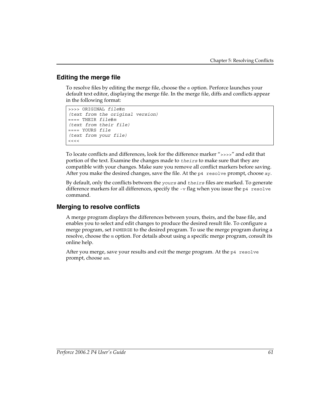# <span id="page-60-0"></span>**Editing the merge file**

To resolve files by editing the merge file, choose the e option. Perforce launches your default text editor, displaying the merge file. In the merge file, diffs and conflicts appear in the following format:

```
>>>> ORIGINAL file#n
(text from the original version)
==== THEIR file#m
(text from their file)
==== YOURS file
(text from your file)
<<
```
To locate conflicts and differences, look for the difference marker ">>>>" and edit that portion of the text. Examine the changes made to *theirs* to make sure that they are compatible with your changes. Make sure you remove all conflict markers before saving. After you make the desired changes, save the file. At the p4 resolve prompt, choose ay.

By default, only the conflicts between the *yours* and *theirs* files are marked. To generate difference markers for all differences, specify the  $-v$  flag when you issue the  $p4$  resolve command.

## <span id="page-60-1"></span>**Merging to resolve conflicts**

A merge program displays the differences between yours, theirs, and the base file, and enables you to select and edit changes to produce the desired result file. To configure a merge program, set P4MERGE to the desired program. To use the merge program during a resolve, choose the m option. For details about using a specific merge program, consult its online help.

After you merge, save your results and exit the merge program. At the  $p4$  resolve prompt, choose am.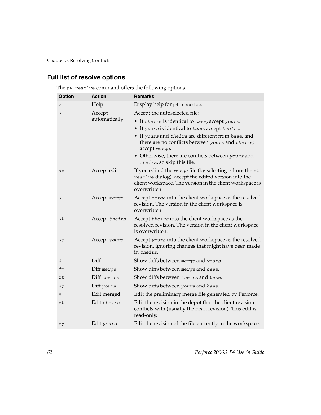## **Full list of resolve options**

| <b>Option</b> | <b>Action</b>           | <b>Remarks</b>                                                                                                                                                                                  |
|---------------|-------------------------|-------------------------------------------------------------------------------------------------------------------------------------------------------------------------------------------------|
| ?             | Help                    | Display help for p4 resolve.                                                                                                                                                                    |
| a             | Accept<br>automatically | Accept the autoselected file:                                                                                                                                                                   |
|               |                         | • If theirs is identical to base, accept yours.                                                                                                                                                 |
|               |                         | • If yours is identical to base, accept theirs.<br>• If yours and theirs are different from base, and<br>there are no conflicts between yours and theirs;<br>accept merge.                      |
|               |                         | • Otherwise, there are conflicts between yours and<br>theirs, so skip this file.                                                                                                                |
| ae            | Accept edit             | If you edited the merge file (by selecting $e$ from the $p4$<br>resolve dialog), accept the edited version into the<br>client workspace. The version in the client workspace is<br>overwritten. |
| am            | Accept merge            | Accept merge into the client workspace as the resolved<br>revision. The version in the client workspace is<br>overwritten.                                                                      |
| at            | Accept theirs           | Accept theirs into the client workspace as the<br>resolved revision. The version in the client workspace<br>is overwritten.                                                                     |
| aу            | Accept yours            | Accept yours into the client workspace as the resolved<br>revision, ignoring changes that might have been made<br>in theirs.                                                                    |
| d             | Diff                    | Show diffs between merge and yours.                                                                                                                                                             |
| dm            | Diff merge              | Show diffs between merge and base.                                                                                                                                                              |
| dt            | Diff theirs             | Show diffs between theirs and base.                                                                                                                                                             |
| dy            | Diff yours              | Show diffs between yours and base.                                                                                                                                                              |
| е             | Edit merged             | Edit the preliminary merge file generated by Perforce.                                                                                                                                          |
| et            | Edit theirs             | Edit the revision in the depot that the client revision<br>conflicts with (usually the head revision). This edit is<br>read-only.                                                               |
| ey            | Edit yours              | Edit the revision of the file currently in the workspace.                                                                                                                                       |

The p4 resolve command offers the following options.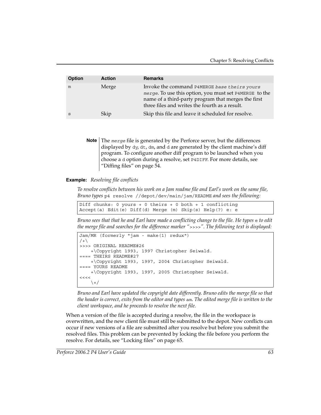| <b>Option</b> | <b>Action</b> | <b>Remarks</b>                                                                                                                                                                                                  |
|---------------|---------------|-----------------------------------------------------------------------------------------------------------------------------------------------------------------------------------------------------------------|
| m             | Merge         | Invoke the command P4MERGE base theirs yours<br>merge. To use this option, you must set P4MERGE to the<br>name of a third-party program that merges the first<br>three files and writes the fourth as a result. |
| S             | Skip          | Skip this file and leave it scheduled for resolve.                                                                                                                                                              |

**Note** The *merge* file is generated by the Perforce server, but the differences displayed by dy, dt, dm, and d are generated by the client machine's diff program. To configure another diff program to be launched when you choose a d option during a resolve, set P4DIFF. For more details, see ["Diffing files" on page 54](#page-53-0).

#### **Example:** *Resolving file conflicts*

*To resolve conflicts between his work on a Jam readme file and Earl's work on the same file, Bruno types* p4 resolve //depot/dev/main/jam/README *and sees the following:*

Diff chunks: 0 yours + 0 theirs + 0 both + 1 conflicting Accept(a) Edit(e) Diff(d) Merge (m) Skip(s) Help(?) e: e

*Bruno sees that that he and Earl have made a conflicting change to the file. He types*  $\in$  *to edit the merge file and searches for the difference marker "*>>>>*". The following text is displayed:*

```
Jam/MR (formerly "jam - make(1) redux") 
/+
>>>> ORIGINAL README#26
     +\Copyright 1993, 1997 Christopher Seiwald.
=== THEIRS README#27
     +\Copyright 1993, 1997, 2004 Christopher Seiwald.
==== YOURS README
     +\Copyright 1993, 1997, 2005 Christopher Seiwald.
<<<<\backslash +/
```
*Bruno and Earl have updated the copyright date differently. Bruno edits the merge file so that the header is correct, exits from the editor and types* am*. The edited merge file is written to the client workspace, and he proceeds to resolve the next file.*

When a version of the file is accepted during a resolve, the file in the workspace is overwritten, and the new client file must still be submitted to the depot. New conflicts can occur if new versions of a file are submitted after you resolve but before you submit the resolved files. This problem can be prevented by locking the file before you perform the resolve. For details, see ["Locking files" on page 65](#page-64-0).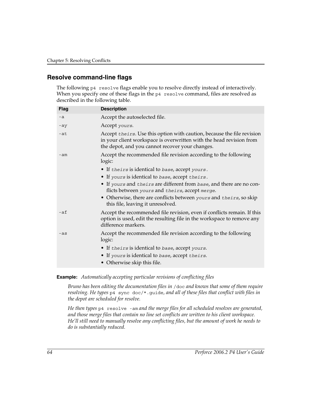## <span id="page-63-0"></span>**Resolve command-line flags**

The following p4 resolve flags enable you to resolve directly instead of interactively. When you specify one of these flags in the p4 resolve command, files are resolved as described in the following table.

| <b>Flag</b> | <b>Description</b>                                                                                                                                                                               |
|-------------|--------------------------------------------------------------------------------------------------------------------------------------------------------------------------------------------------|
| $-a$        | Accept the autoselected file.                                                                                                                                                                    |
| -ay         | Accept yours.                                                                                                                                                                                    |
| $-at$       | Accept theirs. Use this option with caution, because the file revision<br>in your client workspace is overwritten with the head revision from<br>the depot, and you cannot recover your changes. |
| $-am$       | Accept the recommended file revision according to the following<br>logic:                                                                                                                        |
|             | • If theirs is identical to base, accept yours.                                                                                                                                                  |
|             | • If yours is identical to base, accept theirs.                                                                                                                                                  |
|             | • If yours and theirs are different from base, and there are no con-<br>flicts between yours and theirs, accept merge.                                                                           |
|             | • Otherwise, there are conflicts between yours and theirs, so skip<br>this file, leaving it unresolved.                                                                                          |
| $-af$       | Accept the recommended file revision, even if conflicts remain. If this<br>option is used, edit the resulting file in the workspace to remove any<br>difference markers.                         |
| $-as$       | Accept the recommended file revision according to the following<br>logic:                                                                                                                        |
|             | • If theirs is identical to base, accept yours.                                                                                                                                                  |
|             | • If yours is identical to base, accept theirs.                                                                                                                                                  |
|             | • Otherwise skip this file.                                                                                                                                                                      |

#### **Example:** *Automatically accepting particular revisions of conflicting files*

*Bruno has been editing the documentation files in* /doc *and knows that some of them require resolving. He types* p4 sync doc/\*.guide*, and all of these files that conflict with files in the depot are scheduled for resolve.* 

*He then types* p4 resolve -am *and the merge files for all scheduled resolves are generated, and those merge files that contain no line set conflicts are written to his client workspace. He'll still need to manually resolve any conflicting files, but the amount of work he needs to do is substantially reduced.*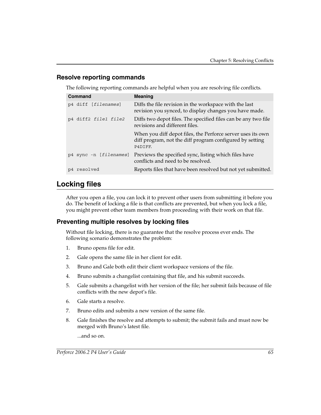# **Resolve reporting commands**

The following reporting commands are helpful when you are resolving file conflicts.

| Command                | <b>Meaning</b>                                                                                                                     |
|------------------------|------------------------------------------------------------------------------------------------------------------------------------|
| p4 diff [filenames]    | Diffs the file revision in the workspace with the last<br>revision you synced, to display changes you have made.                   |
| p4 diff2 file1 file2   | Diffs two depot files. The specified files can be any two file<br>revisions and different files.                                   |
|                        | When you diff depot files, the Perforce server uses its own<br>diff program, not the diff program configured by setting<br>P4DTFF. |
| p4 sync -n [filenames] | Previews the specified sync, listing which files have<br>conflicts and need to be resolved.                                        |
| p4 resolved            | Reports files that have been resolved but not yet submitted.                                                                       |

# <span id="page-64-0"></span>**Locking files**

After you open a file, you can lock it to prevent other users from submitting it before you do. The benefit of locking a file is that conflicts are prevented, but when you lock a file, you might prevent other team members from proceeding with their work on that file.

# **Preventing multiple resolves by locking files**

Without file locking, there is no guarantee that the resolve process ever ends. The following scenario demonstrates the problem:

- 1. Bruno opens file for edit.
- 2. Gale opens the same file in her client for edit.
- 3. Bruno and Gale both edit their client workspace versions of the file.
- 4. Bruno submits a changelist containing that file, and his submit succeeds.
- 5. Gale submits a changelist with her version of the file; her submit fails because of file conflicts with the new depot's file.
- 6. Gale starts a resolve.
- 7. Bruno edits and submits a new version of the same file.
- 8. Gale finishes the resolve and attempts to submit; the submit fails and must now be merged with Bruno's latest file.

...and so on.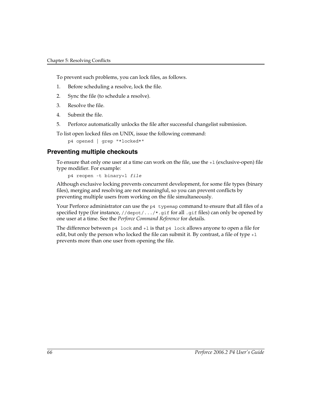To prevent such problems, you can lock files, as follows.

- 1. Before scheduling a resolve, lock the file.
- 2. Sync the file (to schedule a resolve).
- 3. Resolve the file.
- 4. Submit the file.
- 5. Perforce automatically unlocks the file after successful changelist submission.

To list open locked files on UNIX, issue the following command:

p4 opened | grep "\*locked\*"

# **Preventing multiple checkouts**

To ensure that only one user at a time can work on the file, use the  $+1$  (exclusive-open) file type modifier. For example:

p4 reopen -t binary+l *file*

Although exclusive locking prevents concurrent development, for some file types (binary files), merging and resolving are not meaningful, so you can prevent conflicts by preventing multiple users from working on the file simultaneously.

Your Perforce administrator can use the  $p4$  typemap command to ensure that all files of a specified type (for instance,  $//$ depot $/$ .../\*.gif for all .gif files) can only be opened by one user at a time. See the *Perforce Command Reference* for details.

The difference between  $p4 \text{ lock}$  and  $+1$  is that  $p4 \text{ lock}$  allows anyone to open a file for edit, but only the person who locked the file can submit it. By contrast, a file of type  $+1$ prevents more than one user from opening the file.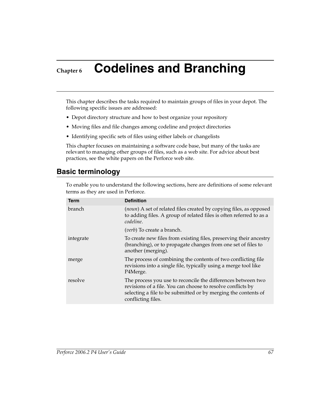# **Chapter 6 Codelines and Branching**

This chapter describes the tasks required to maintain groups of files in your depot. The following specific issues are addressed:

- Depot directory structure and how to best organize your repository
- Moving files and file changes among codeline and project directories
- Identifying specific sets of files using either labels or changelists

This chapter focuses on maintaining a software code base, but many of the tasks are relevant to managing other groups of files, such as a web site. For advice about best practices, see the white papers on the Perforce web site.

# **Basic terminology**

To enable you to understand the following sections, here are definitions of some relevant terms as they are used in Perforce.

| <b>Term</b> | <b>Definition</b>                                                                                                                                                                                                   |
|-------------|---------------------------------------------------------------------------------------------------------------------------------------------------------------------------------------------------------------------|
| branch.     | (noun) A set of related files created by copying files, as opposed<br>to adding files. A group of related files is often referred to as a<br>codeline.                                                              |
|             | ( <i>verb</i> ) To create a branch.                                                                                                                                                                                 |
| integrate   | To create new files from existing files, preserving their ancestry<br>(branching), or to propagate changes from one set of files to<br>another (merging).                                                           |
| merge       | The process of combining the contents of two conflicting file<br>revisions into a single file, typically using a merge tool like<br>P4Merge.                                                                        |
| resolve     | The process you use to reconcile the differences between two<br>revisions of a file. You can choose to resolve conflicts by<br>selecting a file to be submitted or by merging the contents of<br>conflicting files. |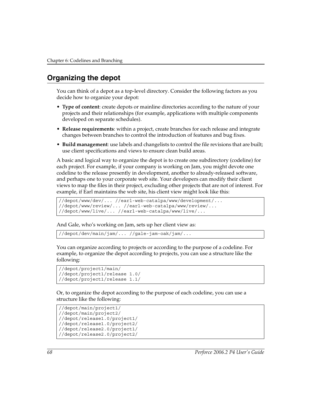# **Organizing the depot**

You can think of a depot as a top-level directory. Consider the following factors as you decide how to organize your depot:

- **Type of content**: create depots or mainline directories according to the nature of your projects and their relationships (for example, applications with multiple components developed on separate schedules).
- **Release requirements**: within a project, create branches for each release and integrate changes between branches to control the introduction of features and bug fixes.
- **Build management**: use labels and changelists to control the file revisions that are built; use client specifications and views to ensure clean build areas.

A basic and logical way to organize the depot is to create one subdirectory (codeline) for each project. For example, if your company is working on Jam, you might devote one codeline to the release presently in development, another to already-released software, and perhaps one to your corporate web site. Your developers can modify their client views to map the files in their project, excluding other projects that are not of interest. For example, if Earl maintains the web site, his client view might look like this:

```
//depot/www/dev/... //earl-web-catalpa/www/development/...
//depot/www/review/... //earl-web-catalpa/www/review/...
//depot/www/live/... //earl-web-catalpa/www/live/...
```
And Gale, who's working on Jam, sets up her client view as:

```
//depot/dev/main/jam/... //gale-jam-oak/jam/...
```
You can organize according to projects or according to the purpose of a codeline. For example, to organize the depot according to projects, you can use a structure like the following:

```
//depot/project1/main/
//depot/project1/release 1.0/
//depot/project1/release 1.1/
```
Or, to organize the depot according to the purpose of each codeline, you can use a structure like the following:

```
//depot/main/project1/
//depot/main/project2/
//depot/release1.0/project1/
//depot/release1.0/project2/
//depot/release2.0/project1/
//depot/release2.0/project2/
```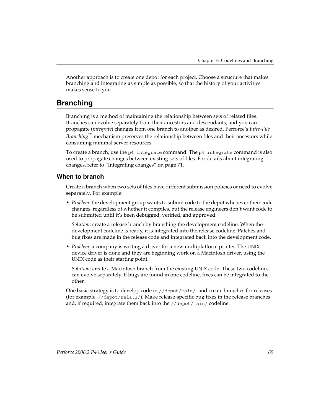Another approach is to create one depot for each project. Choose a structure that makes branching and integrating as simple as possible, so that the history of your activities makes sense to you.

# **Branching**

Branching is a method of maintaining the relationship between sets of related files. Branches can evolve separately from their ancestors and descendants, and you can propagate (*[integrate](#page-102-0)*) changes from one branch to another as desired. Perforce's *Inter-File Branching*™ mechanism preserves the relationship between files and their ancestors while consuming minimal server resources.

To create a branch, use the p4 integrate command. The p4 integrate command is also used to propagate changes between existing sets of files. For details about integrating changes, refer to ["Integrating changes" on page 71.](#page-70-1)

# **When to branch**

Create a branch when two sets of files have different submission policies or need to evolve separately. For example:

• *Problem*: the development group wants to submit code to the depot whenever their code changes, regardless of whether it compiles, but the release engineers don't want code to be submitted until it's been debugged, verified, and approved.

*Solution*: create a release branch by branching the development codeline. When the development codeline is ready, it is integrated into the release codeline. Patches and bug fixes are made in the release code and integrated back into the development code.

• *Problem:* a company is writing a driver for a new multiplatform printer. The UNIX device driver is done and they are beginning work on a Macintosh driver, using the UNIX code as their starting point.

*Solution*: create a Macintosh branch from the existing UNIX code. These two codelines can evolve separately. If bugs are found in one codeline, fixes can be integrated to the other.

One basic strategy is to develop code in //depot/main/ and create branches for releases (for example, //depot/rel1.1/). Make release-specific bug fixes in the release branches and, if required, integrate them back into the //depot/main/ codeline.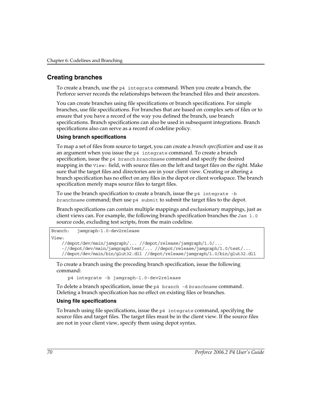# **Creating branches**

To create a branch, use the p4 integrate command. When you create a branch, the Perforce server records the relationships between the branched files and their ancestors.

You can create branches using file specifications or branch specifications. For simple branches, use file specifications. For branches that are based on complex sets of files or to ensure that you have a record of the way you defined the branch, use branch specifications. Branch specifications can also be used in subsequent integrations. Branch specifications also can serve as a record of codeline policy.

### **Using branch specifications**

To map a set of files from source to target, you can create a *branch specification* and use it as an argument when you issue the p4 integrate command. To create a branch specification, issue the p4 branch *branchname* command and specify the desired mapping in the View: field, with source files on the left and target files on the right. Make sure that the target files and directories are in your client view. Creating or altering a branch specification has no effect on any files in the depot or client workspace. The branch specification merely maps source files to target files.

To use the branch specification to create a branch, issue the p4 integrate -b *branchname* command; then use p4 submit to submit the target files to the depot.

Branch specifications can contain multiple mappings and exclusionary mappings, just as client views can. For example, the following branch specification branches the Jam 1.0 source code, excluding test scripts, from the main codeline.

```
Branch: jamgraph-1.0-dev2release
View:
```

```
 //depot/dev/main/jamgraph/... //depot/release/jamgraph/1.0/...
 -//depot/dev/main/jamgraph/test/... //depot/release/jamgraph/1.0/test/...
 //depot/dev/main/bin/glut32.dll //depot/release/jamgraph/1.0/bin/glut32.dll
```
To create a branch using the preceding branch specification, issue the following command:

p4 integrate -b jamgraph-1.0-dev2release

To delete a branch specification, issue the p4 branch -d *branchname* command*.*  Deleting a branch specification has no effect on existing files or branches.

#### **Using file specifications**

To branch using file specifications, issue the p4 integrate command, specifying the source files and target files. The target files must be in the client view. If the source files are not in your client view, specify them using depot syntax.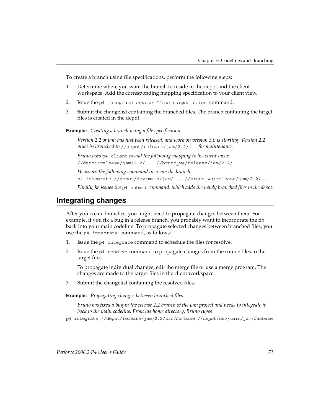To create a branch using file specifications, perform the following steps:

- 1. Determine where you want the branch to reside in the depot and the client workspace. Add the corresponding mapping specification to your client view.
- 2. Issue the p4 integrate *source\_files target\_files* command.
- 3. Submit the changelist containing the branched files. The branch containing the target files is created in the depot.

**Example:** *Creating a branch using a file specification*

*Version 2.2 of Jam has just been released, and work on version 3.0 is starting. Version 2.2 must be branched to* //depot/release/jam/2.2/... *for maintenance.* 

*Bruno uses* p4 client *to add the following mapping to his client view:*

//depot/release/jam/2.2/... //bruno\_ws/release/jam/2.2/...

*He issues the following command to create the branch:*

p4 integrate //depot/dev/main/jam/... //bruno\_ws/release/jam/2.2/...

*Finally, he issues the* p4 submit *command, which adds the newly branched files to the depot.*

# <span id="page-70-1"></span><span id="page-70-0"></span>**Integrating changes**

After you create branches, you might need to propagate changes between them. For example, if you fix a bug in a release branch, you probably want to incorporate the fix back into your main codeline. To propagate selected changes between branched files, you use the p4 integrate command, as follows:

- 1. Issue the p4 integrate command to schedule the files for resolve.
- 2. Issue the  $p4$  resolve command to propagate changes from the source files to the target files.

To propagate individual changes, edit the merge file or use a merge program. The changes are made to the target files in the client workspace.

3. Submit the changelist containing the resolved files.

**Example:** *Propagating changes between branched files*

*Bruno has fixed a bug in the release 2.2 branch of the Jam project and needs to integrate it back to the main codeline. From his home directory, Bruno types* 

p4 integrate //depot/release/jam/2.2/src/Jambase //depot/dev/main/jam/Jambase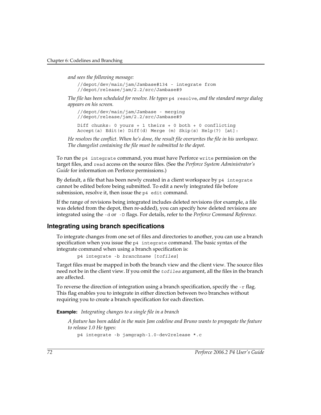*and sees the following message:*

//depot/dev/main/jam/Jambase#134 - integrate from //depot/release/jam/2.2/src/Jambase#9

*The file has been scheduled for resolve. He types* p4 resolve*, and the standard merge dialog appears on his screen.*

```
//depot/dev/main/jam/Jambase - merging 
//depot/release/jam/2.2/src/Jambase#9
Diff chunks: 0 yours + 1 theirs + 0 both + 0 conflicting
Accept(a) Edit(e) Diff(d) Merge (m) Skip(s) Help(?) [at]:
```
*He resolves the conflict. When he's done, the result file overwrites the file in his workspace. The changelist containing the file must be submitted to the depot.*

To run the p4 integrate command, you must have Perforce write permission on the target files, and read access on the source files. (See the *Perforce System Administrator's Guide* for information on Perforce permissions.)

By default, a file that has been newly created in a client workspace by p4 integrate cannot be edited before being submitted. To edit a newly integrated file before submission, resolve it, then issue the p4 edit command.

If the range of revisions being integrated includes deleted revisions (for example, a file was deleted from the depot, then re-added), you can specify how deleted revisions are integrated using the -d or -D flags. For details, refer to the *Perforce Command Reference*.

## **Integrating using branch specifications**

To integrate changes from one set of files and directories to another, you can use a branch specification when you issue the p4 integrate command. The basic syntax of the integrate command when using a branch specification is:

```
p4 integrate -b branchname [tofiles]
```
Target files must be mapped in both the branch view and the client view. The source files need not be in the client view. If you omit the *tofiles* argument, all the files in the branch are affected.

To reverse the direction of integration using a branch specification, specify the  $-r$  flag. This flag enables you to integrate in either direction between two branches without requiring you to create a branch specification for each direction.

**Example:** *Integrating changes to a single file in a branch*

*A feature has been added in the main Jam codeline and Bruno wants to propagate the feature to release 1.0 He types:* 

```
p4 integrate -b jamgraph-1.0-dev2release *.c
```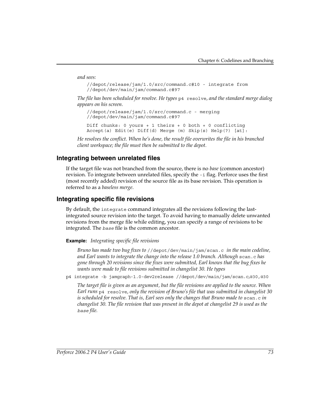*and sees:* 

```
//depot/release/jam/1.0/src/command.c#10 - integrate from 
//depot/dev/main/jam/command.c#97
```
*The file has been scheduled for resolve. He types* p4 resolve*, and the standard merge dialog appears on his screen.*

```
//depot/release/jam/1.0/src/command.c - merging 
//depot/dev/main/jam/command.c#97
```
Diff chunks: 0 yours + 1 theirs + 0 both + 0 conflicting Accept(a) Edit(e) Diff(d) Merge (m) Skip(s) Help(?) [at]:

*He resolves the conflict. When he's done, the result file overwrites the file in his branched client workspace; the file must then be submitted to the depot.*

### **Integrating between unrelated files**

If the target file was not branched from the source, there is no *base* (common ancestor) revision. To integrate between unrelated files, specify the -i flag. Perforce uses the first (most recently added) revision of the source file as its base revision. This operation is referred to as a *baseless merge*.

### **Integrating specific file revisions**

By default, the integrate command integrates all the revisions following the lastintegrated source revision into the target. To avoid having to manually delete unwanted revisions from the merge file while editing, you can specify a range of revisions to be integrated. The *base* file is the common ancestor.

**Example:** *Integrating specific file revisions*

*Bruno has made two bug fixes to* //depot/dev/main/jam/scan.c *in the main codeline, and Earl wants to integrate the change into the release 1.0 branch. Although* scan.c *has gone through 20 revisions since the fixes were submitted, Earl knows that the bug fixes he wants were made to file revisions submitted in changelist 30. He types* 

p4 integrate -b jamgraph-1.0-dev2release //depot/dev/main/jam/scan.c*,*@30,@30

*The target file is given as an argument, but the file revisions are applied to the source. When Earl runs* p4 resolve*, only the revision of Bruno's file that was submitted in changelist 30 is scheduled for resolve. That is, Earl sees only the changes that Bruno made to scan.c in changelist 30. The file revision that was present in the depot at changelist 29 is used as the base file.*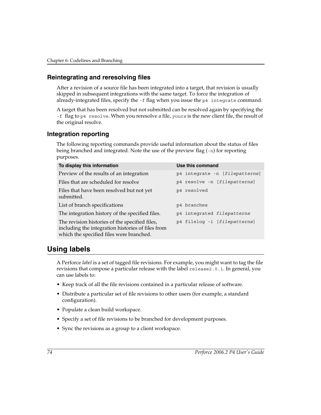### **Reintegrating and reresolving files**

After a revision of a source file has been integrated into a target, that revision is usually skipped in subsequent integrations with the same target. To force the integration of already-integrated files, specify the -f flag when you issue the p4 integrate command.

A target that has been resolved but not submitted can be resolved again by specifying the -f flag to p4 resolve. When you reresolve a file, *yours* is the new client file, the result of the original resolve.

### **Integration reporting**

The following reporting commands provide useful information about the status of files being branched and integrated. Note the use of the preview flag  $(-n)$  for reporting purposes.

| To display this information                                                                                                                     | <b>Use this command</b>        |
|-------------------------------------------------------------------------------------------------------------------------------------------------|--------------------------------|
| Preview of the results of an integration                                                                                                        | p4 integrate -n [filepatterns] |
| Files that are scheduled for resolve                                                                                                            | p4 resolve -n [filepatterns]   |
| Files that have been resolved but not yet<br>submitted.                                                                                         | p4 resolved                    |
| List of branch specifications                                                                                                                   | p4 branches                    |
| The integration history of the specified files.                                                                                                 | p4 integrated filepatterns     |
| The revision histories of the specified files,<br>including the integration histories of files from<br>which the specified files were branched. | p4 filelog -i [filepatterns]   |

## **Using labels**

A Perforce *label* is a set of tagged file revisions. For example, you might want to tag the file revisions that compose a particular release with the label release2.0.1. In general, you can use labels to:

- Keep track of all the file revisions contained in a particular release of software.
- Distribute a particular set of file revisions to other users (for example, a standard configuration).
- Populate a clean build workspace.
- Specify a set of file revisions to be branched for development purposes.
- Sync the revisions as a group to a client workspace.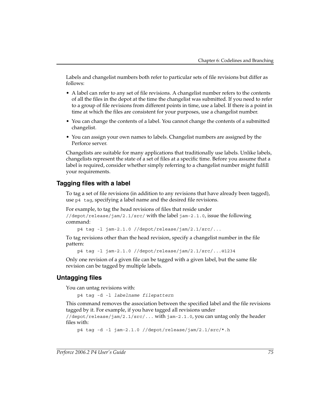Labels and changelist numbers both refer to particular sets of file revisions but differ as follows:

- A label can refer to any set of file revisions. A changelist number refers to the contents of all the files in the depot at the time the changelist was submitted. If you need to refer to a group of file revisions from different points in time, use a label. If there is a point in time at which the files are consistent for your purposes, use a changelist number.
- You can change the contents of a label. You cannot change the contents of a submitted changelist.
- You can assign your own names to labels. Changelist numbers are assigned by the Perforce server.

Changelists are suitable for many applications that traditionally use labels. Unlike labels, changelists represent the state of a set of files at a specific time. Before you assume that a label is required, consider whether simply referring to a changelist number might fulfill your requirements.

### **Tagging files with a label**

To tag a set of file revisions (in addition to any revisions that have already been tagged), use p4 tag, specifying a label name and the desired file revisions.

For example, to tag the head revisions of files that reside under //depot/release/jam/2.1/src/ with the label jam-2.1.0, issue the following command:

p4 tag -l jam-2.1.0 //depot/release/jam/2.1/src/...

To tag revisions other than the head revision, specify a changelist number in the file pattern:

p4 tag -l jam-2.1.0 //depot/release/jam/2.1/src/...@1234

Only one revision of a given file can be tagged with a given label, but the same file revision can be tagged by multiple labels.

### **Untagging files**

You can untag revisions with:

p4 tag -d -l *labelname filepattern*

This command removes the association between the specified label and the file revisions tagged by it. For example, if you have tagged all revisions under

//depot/release/jam/2.1/src/... with jam-2.1.0, you can untag only the header files with:

```
p4 tag -d -l jam-2.1.0 //depot/release/jam/2.1/src/*.h
```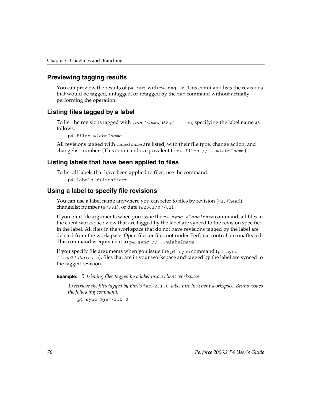### **Previewing tagging results**

You can preview the results of  $p4$  tag with  $p4$  tag -n. This command lists the revisions that would be tagged, untagged, or retagged by the tag command without actually performing the operation.

### **Listing files tagged by a label**

To list the revisions tagged with *labelname*, use p4 files, specifying the label name as follows:

p4 files @*labelname*

All revisions tagged with *labelname* are listed, with their file type, change action, and changelist number. (This command is equivalent to p4 files //...@*labelname*).

### **Listing labels that have been applied to files**

To list all labels that have been applied to files, use the command:

```
p4 labels filepattern
```
### **Using a label to specify file revisions**

You can use a label name anywhere you can refer to files by revision (#1, #head), changelist number (@7381), or date (@2003/07/01).

If you omit file arguments when you issue the p4 sync @*labelname* command, all files in the client workspace view that are tagged by the label are synced to the revision specified in the label. All files in the workspace that do not have revisions tagged by the label are deleted from the workspace. Open files or files not under Perforce control are unaffected. This command is equivalent to p4 sync //...@*labelname*.

If you specify file arguments when you issue the  $p4$  sync command ( $p4$  sync *files*@*labelname*), files that are in your workspace and tagged by the label are synced to the tagged revision.

**Example:** *Retrieving files tagged by a label into a client workspace*

*To retrieve the files tagged by Earl's* jam-2.1.0 *label into his client workspace, Bruno issues the following command:*

p4 sync @jam-2.1.0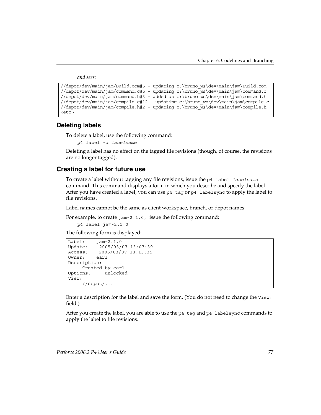*and sees:* 

```
//depot/dev/main/jam/Build.com#5 - updating c:\bruno_ws\dev\main\jam\Build.com
//depot/dev/main/jam/command.c#5 - updating c:\bruno_ws\dev\main\jam\command.c
//depot/dev/main/jam/command.h#3 - added as c:\bruno_ws\dev\main\jam\command.h
//depot/dev/main/jam/compile.c#12 - updating c:\bruno_ws\dev\main\jam\compile.c
//depot/dev/main/jam/compile.h#2 - updating c:\bruno_ws\dev\main\jam\compile.h
<etc>
```
### **Deleting labels**

To delete a label, use the following command:

p4 label -d *labelname*

Deleting a label has no effect on the tagged file revisions (though, of course, the revisions are no longer tagged).

### **Creating a label for future use**

To create a label without tagging any file revisions, issue the p4 label *labelname* command. This command displays a form in which you describe and specify the label. After you have created a label, you can use  $p4$  tag or  $p4$  labels ync to apply the label to file revisions.

Label names cannot be the same as client workspace, branch, or depot names.

For example, to create jam-2.1.0, issue the following command:

```
p4 label jam-2.1.0
```
The following form is displayed:

```
Label: jam-2.1.0
Update: 2005/03/07 13:07:39
Access: 2005/03/07 13:13:35
Owner: earl
Description:
    Created by earl.
Options: unlocked
View:
    //depot/...
```
Enter a description for the label and save the form. (You do not need to change the View: field.)

After you create the label, you are able to use the  $p4$  tag and  $p4$  labelsync commands to apply the label to file revisions.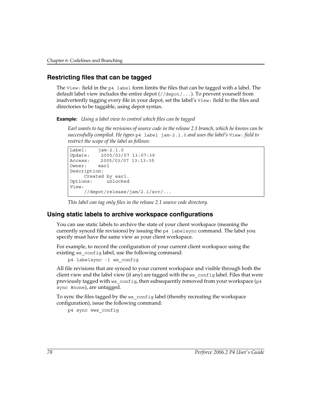### **Restricting files that can be tagged**

The View: field in the p4 label form limits the files that can be tagged with a label. The default label view includes the entire depot (//depot/...). To prevent yourself from inadvertently tagging every file in your depot, set the label's View: field to the files and directories to be taggable, using depot syntax.

**Example:** *Using a label view to control which files can be tagged*

*Earl wants to tag the revisions of source code in the release 2.1 branch, which he knows can be successfully compiled. He types* p4 label jam-2.1.0 *and uses the label's* View: *field to restrict the scope of the label as follows:*

```
Label: jam-2.1.0
Update: 2005/03/07 13:07:39
Access: 2005/03/07 13:13:35
Owner: earl
Description:
    Created by earl.
Options: unlocked
View:
    //depot/release/jam/2.1/src/...
```
*This label can tag only files in the release 2.1 source code directory.*

### **Using static labels to archive workspace configurations**

You can use static labels to archive the state of your client workspace (meaning the currently synced file revisions) by issuing the p4 labelsync command. The label you specify must have the same view as your client workspace.

For example, to record the configuration of your current client workspace using the existing ws\_config label, use the following command:

```
p4 labelsync -l ws_config
```
All file revisions that are synced to your current workspace and visible through both the client view and the label view (if any) are tagged with the ws-config label. Files that were previously tagged with ws\_config, then subsequently removed from your workspace (p4 sync #none), are untagged.

To sync the files tagged by the ws\_config label (thereby recreating the workspace configuration), issue the following command:

p4 sync @ws\_config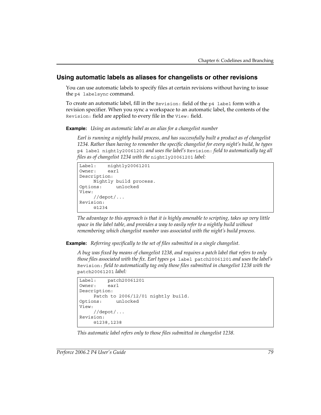### **Using automatic labels as aliases for changelists or other revisions**

You can use automatic labels to specify files at certain revisions without having to issue the p4 labelsync command.

To create an automatic label, fill in the Revision: field of the p4 label form with a revision specifier. When you sync a workspace to an automatic label, the contents of the Revision: field are applied to every file in the View: field.

**Example:** *Using an automatic label as an alias for a changelist number*

*Earl is running a nightly build process, and has successfully built a product as of changelist 1234. Rather than having to remember the specific changelist for every night's build, he types*  p4 label nightly20061201 *and uses the label's* Revision: *field to automatically tag all files as of changelist 1234 with the* nightly20061201 *label:*

```
Label: nightly20061201
Owner: earl
Description:
    Nightly build process.
Options: unlocked
View:
    //depot/...
Revision:
    @1234
```
*The advantage to this approach is that it is highly amenable to scripting, takes up very little space in the label table, and provides a way to easily refer to a nightly build without remembering which changelist number was associated with the night's build process.*

**Example:** *Referring specifically to the set of files submitted in a single changelist.*

*A bug was fixed by means of changelist 1238, and requires a patch label that refers to only those files associated with the fix. Earl types* p4 label patch20061201 *and uses the label's*  Revision: *field to automatically tag only those files submitted in changelist 1238 with the*  patch20061201 *label:*

```
Label: patch20061201
Owner: earl
Description:
    Patch to 2006/12/01 nightly build.
Options: unlocked
View:
    //depot/...
Revision:
    @1238,1238
```
*This automatic label refers only to those files submitted in changelist 1238.*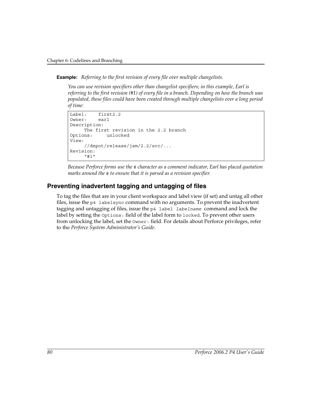**Example:** *Referring to the first revision of every file over multiple changelists.*

*You can use revision specifiers other than changelist specifiers; in this example, Earl is referring to the first revision (#1) of every file in a branch. Depending on how the branch was populated, these files could have been created through multiple changelists over a long period of time:* 

```
Label: first2.2
Owner: earl
Description:
    The first revision in the 2.2 branch
Options: unlocked
View:
    //depot/release/jam/2.2/src/...
Revision:
    "#1"
```
*Because Perforce forms use the* # *character as a comment indicator, Earl has placed quotation marks around the* # *to ensure that it is parsed as a revision specifier.*

### **Preventing inadvertent tagging and untagging of files**

To tag the files that are in your client workspace and label view (if set) and untag all other files, issue the p4 labelsync command with no arguments. To prevent the inadvertent tagging and untagging of files, issue the p4 label *labelname* command and lock the label by setting the Options: field of the label form to locked. To prevent other users from unlocking the label, set the Owner: field. For details about Perforce privileges, refer to the *Perforce System Administrator's Guide*.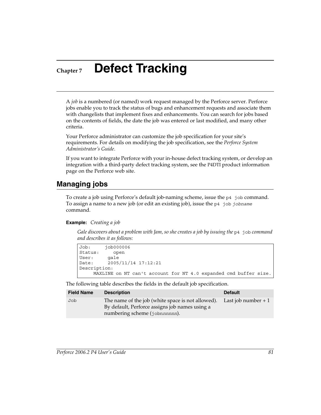## **Chapter 7 Defect Tracking**

A *job* is a numbered (or named) work request managed by the Perforce server. Perforce jobs enable you to track the status of bugs and enhancement requests and associate them with changelists that implement fixes and enhancements. You can search for jobs based on the contents of fields, the date the job was entered or last modified, and many other criteria.

Your Perforce administrator can customize the job specification for your site's requirements. For details on modifying the job specification, see the *Perforce System Administrator's Guide*.

If you want to integrate Perforce with your in-house defect tracking system, or develop an integration with a third-party defect tracking system, see the P4DTI product information page on the Perforce web site.

## **Managing jobs**

To create a job using Perforce's default job-naming scheme, issue the p4 job command. To assign a name to a new job (or edit an existing job), issue the p4 job *jobname* command.

### **Example:** *Creating a job*

*Gale discovers about a problem with Jam, so she creates a job by issuing the* p4 job *command and describes it as follows:*

```
Job: job000006
Status: open
User: gale
Date: 2005/11/14 17:12:21
Description:
    MAXLINE on NT can't account for NT 4.0 expanded cmd buffer size.
```
The following table describes the fields in the default job specification.

| <b>Field Name</b> | <b>Description</b>                                                                                                                                        | <b>Default</b> |
|-------------------|-----------------------------------------------------------------------------------------------------------------------------------------------------------|----------------|
| Job               | The name of the job (white space is not allowed). Last job number $+1$<br>By default, Perforce assigns job names using a<br>numbering scheme (jobnnnnnn). |                |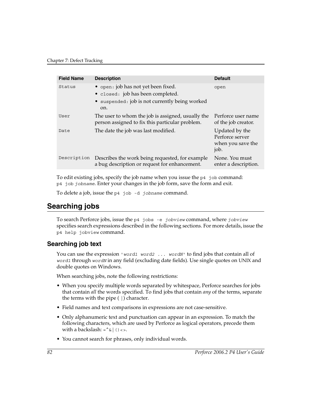| <b>Field Name</b> | <b>Description</b>                                                                                                                | <b>Default</b>                                                 |
|-------------------|-----------------------------------------------------------------------------------------------------------------------------------|----------------------------------------------------------------|
| Status            | • open: job has not yet been fixed.<br>• closed: job has been completed.<br>• suspended: job is not currently being worked<br>on. | open                                                           |
| User              | The user to whom the job is assigned, usually the<br>person assigned to fix this particular problem.                              | Perforce user name<br>of the job creator.                      |
| Date              | The date the job was last modified.                                                                                               | Updated by the<br>Perforce server<br>when you save the<br>job. |
| Description       | Describes the work being requested, for example<br>a bug description or request for enhancement.                                  | None. You must<br>enter a description.                         |

To edit existing jobs, specify the job name when you issue the p4 job command: p4 job *jobname*. Enter your changes in the job form, save the form and exit.

To delete a job, issue the p4 job -d *jobname* command.

## <span id="page-81-0"></span>**Searching jobs**

To search Perforce jobs, issue the p4 jobs -e *jobview* command, where *jobview* specifies search expressions described in the following sections. For more details, issue the p4 help jobview command.

### **Searching job text**

You can use the expression '*word1 word2 ... wordN*' to find jobs that contain all of *word1* through *wordN* in any field (excluding date fields). Use single quotes on UNIX and double quotes on Windows.

When searching jobs, note the following restrictions:

- When you specify multiple words separated by whitespace, Perforce searches for jobs that contain *all* the words specified. To find jobs that contain *any* of the terms, separate the terms with the pipe  $( )$  character.
- Field names and text comparisons in expressions are not case-sensitive.
- Only alphanumeric text and punctuation can appear in an expression. To match the following characters, which are used by Perforce as logical operators, precede them with a backslash:  $=\alpha$  () <>.
- You cannot search for phrases, only individual words.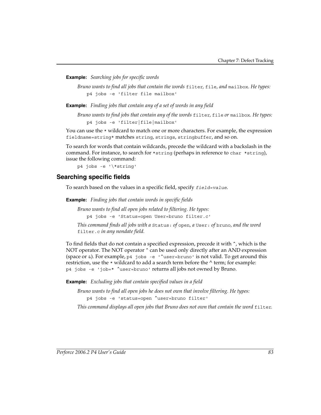**Example:** *Searching jobs for specific words*

*Bruno wants to find all jobs that contain the words* filter*,* file*, and* mailbox*. He types:*  p4 jobs -e 'filter file mailbox'

**Example:** *Finding jobs that contain any of a set of words in any field*

*Bruno wants to find jobs that contain any of the words* filter*,* file *or* mailbox*. He types:*  p4 jobs -e 'filter|file|mailbox'

You can use the  $*$  wildcard to match one or more characters. For example, the expression fieldname=string\* matches string, strings, stringbuffer, and so on.

To search for words that contain wildcards, precede the wildcard with a backslash in the command. For instance, to search for \*string (perhaps in reference to char \*string), issue the following command:

p4 jobs -e '\\*string'

### **Searching specific fields**

To search based on the values in a specific field, specify *field=value*.

**Example:** *Finding jobs that contain words in specific fields*

*Bruno wants to find all open jobs related to filtering. He types:*  p4 jobs -e 'Status=open User=bruno filter.c'

*This command finds all jobs with a* Status: *of* open*, a* User: *of* bruno*, and the word*  filter.c *in any nondate field.*

To find fields that do not contain a specified expression, precede it with  $\gamma$ , which is the NOT operator. The NOT operator  $\hat{ }$  can be used only directly after an AND expression (space or  $\&$ ). For example, p4 jobs -e ' $\text{``user=bruno' is not valid. To get around this}$ restriction, use the \* wildcard to add a search term before the ^ term; for example: p4 jobs -e 'job=\* ^user=bruno' returns all jobs not owned by Bruno.

**Example:** *Excluding jobs that contain specified values in a field*

*Bruno wants to find all open jobs he does not own that involve filtering. He types:*  p4 jobs -e 'status=open ^user=bruno filter'

*This command displays all open jobs that Bruno does not own that contain the word filter.*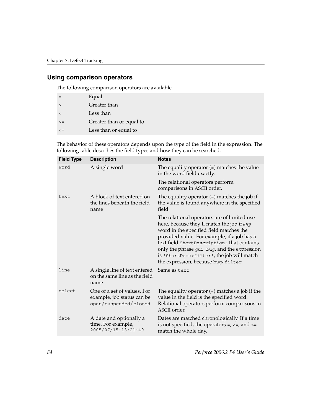### **Using comparison operators**

The following comparison operators are available.

|         | Equal                    |
|---------|--------------------------|
| $\geq$  | Greater than             |
| $\lt$   | Less than                |
| $>=$    | Greater than or equal to |
| $\lt$ = | Less than or equal to    |
|         |                          |

The behavior of these operators depends upon the type of the field in the expression. The following table describes the field types and how they can be searched.

| <b>Field Type</b> | <b>Description</b>                                                                 | <b>Notes</b>                                                                                                                                                                                                                                                                                                                                                                                                    |
|-------------------|------------------------------------------------------------------------------------|-----------------------------------------------------------------------------------------------------------------------------------------------------------------------------------------------------------------------------------------------------------------------------------------------------------------------------------------------------------------------------------------------------------------|
| word              | A single word                                                                      | The equality operator $(=)$ matches the value<br>in the word field exactly.                                                                                                                                                                                                                                                                                                                                     |
|                   |                                                                                    | The relational operators perform<br>comparisons in ASCII order.                                                                                                                                                                                                                                                                                                                                                 |
| text              | A block of text entered on<br>the lines beneath the field<br>name                  | The equality operator $(=)$ matches the job if<br>the value is found anywhere in the specified<br>field.                                                                                                                                                                                                                                                                                                        |
|                   |                                                                                    | The relational operators are of limited use<br>here, because they'll match the job if any<br>word in the specified field matches the<br>provided value. For example, if a job has a<br>text field ShortDescription: that contains<br>only the phrase gui bug, and the expression<br>is 'ShortDesc <filter', job="" match<br="" the="" will="">the expression, because bug<filter.< td=""></filter.<></filter',> |
| line              | A single line of text entered<br>on the same line as the field<br>name             | Same as text                                                                                                                                                                                                                                                                                                                                                                                                    |
| select            | One of a set of values. For<br>example, job status can be<br>open/suspended/closed | The equality operator $(=)$ matches a job if the<br>value in the field is the specified word.<br>Relational operators perform comparisons in<br>ASCII order.                                                                                                                                                                                                                                                    |
| date              | A date and optionally a<br>time. For example,<br>2005/07/15:13:21:40               | Dates are matched chronologically. If a time<br>is not specified, the operators $=$ , $\lt =$ , and $\gt =$<br>match the whole day.                                                                                                                                                                                                                                                                             |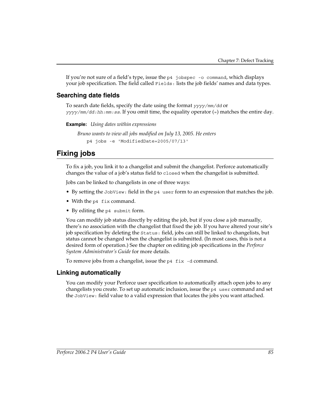If you're not sure of a field's type, issue the p4 jobspec -o command, which displays your job specification. The field called Fields: lists the job fields' names and data types.

### **Searching date fields**

To search date fields, specify the date using the format *yyyy/mm/dd* or *yyyy/mm/dd:hh:mm:ss*. If you omit time, the equality operator (=) matches the entire day.

**Example:** *Using dates within expressions*

```
Bruno wants to view all jobs modified on July 13, 2005. He enters
    p4 jobs -e 'ModifiedDate=2005/07/13'
```
## **Fixing jobs**

To fix a job, you link it to a changelist and submit the changelist. Perforce automatically changes the value of a job's status field to closed when the changelist is submitted.

Jobs can be linked to changelists in one of three ways:

- By setting the JobView: field in the p4 user form to an expression that matches the job.
- With the p4 fix command.
- By editing the p4 submit form.

You can modify job status directly by editing the job, but if you close a job manually, there's no association with the changelist that fixed the job. If you have altered your site's job specification by deleting the Status: field, jobs can still be linked to changelists, but status cannot be changed when the changelist is submitted. (In most cases, this is not a desired form of operation.) See the chapter on editing job specifications in the *Perforce System Administrator's Guide* for more details.

To remove jobs from a changelist, issue the  $p4$  fix  $-d$  command.

### **Linking automatically**

You can modify your Perforce user specification to automatically attach open jobs to any changelists you create. To set up automatic inclusion, issue the p4 user command and set the JobView: field value to a valid expression that locates the jobs you want attached.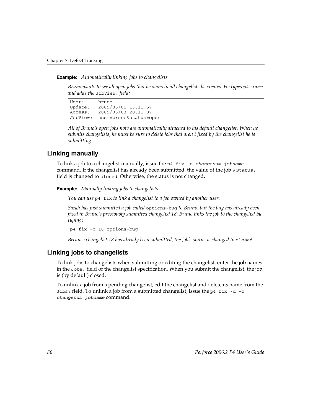**Example:** *Automatically linking jobs to changelists*

*Bruno wants to see all open jobs that he owns in all changelists he creates. He types*  $p4$  user *and adds the* JobView: *field:*

User: bruno Update: 2005/06/02 13:11:57 Access: 2005/06/03 20:11:07 JobView: user=bruno&status=open

*All of Bruno's open jobs now are automatically attached to his default changelist. When he submits changelists, he must be sure to delete jobs that aren't fixed by the changelist he is submitting.* 

### **Linking manually**

To link a job to a changelist manually, issue the p4 fix -c *changenum jobname* command. If the changelist has already been submitted, the value of the job's Status: field is changed to closed. Otherwise, the status is not changed.

**Example:** *Manually linking jobs to changelists*

*You can use* p4 fix *to link a changelist to a job owned by another user.*

*Sarah has just submitted a job called* options-bug *to Bruno, but the bug has already been fixed in Bruno's previously submitted changelist 18. Bruno links the job to the changelist by typing:*

p4 fix -c 18 options-bug

*Because changelist 18 has already been submitted, the job's status is changed to closed.* 

### **Linking jobs to changelists**

To link jobs to changelists when submitting or editing the changelist, enter the job names in the Jobs: field of the changelist specification. When you submit the changelist, the job is (by default) closed.

To unlink a job from a pending changelist, edit the changelist and delete its name from the Jobs: field. To unlink a job from a submitted changelist, issue the p4 fix  $-d$  -c *changenum jobname* command.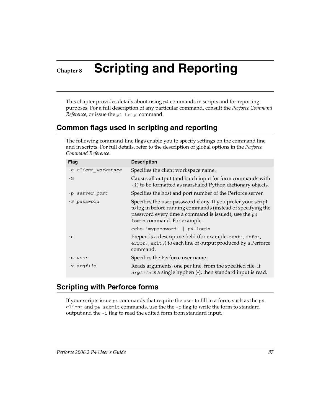# **Chapter 8 Scripting and Reporting**

This chapter provides details about using p4 commands in scripts and for reporting purposes. For a full description of any particular command, consult the *Perforce Command Reference*, or issue the p4 help command.

## **Common flags used in scripting and reporting**

The following command-line flags enable you to specify settings on the command line and in scripts. For full details, refer to the description of global options in the *Perforce Command Reference*.

| <b>Flag</b>         | <b>Description</b>                                                                                                                                                                                                   |
|---------------------|----------------------------------------------------------------------------------------------------------------------------------------------------------------------------------------------------------------------|
| -c client workspace | Specifies the client workspace name.                                                                                                                                                                                 |
| $-G$                | Causes all output (and batch input for form commands with<br>-i) to be formatted as marshaled Python dictionary objects.                                                                                             |
| -p server: port     | Specifies the host and port number of the Perforce server.                                                                                                                                                           |
| -P password         | Specifies the user password if any. If you prefer your script<br>to log in before running commands (instead of specifying the<br>password every time a command is issued), use the p4<br>login command. For example: |
|                     | echo 'mypassword'   p4 login                                                                                                                                                                                         |
| $-S$                | Prepends a descriptive field (for example, text:, info:,<br>error:, exit:) to each line of output produced by a Perforce<br>command.                                                                                 |
| -u <i>user</i>      | Specifies the Perforce user name.                                                                                                                                                                                    |
| -x argfile          | Reads arguments, one per line, from the specified file. If<br>argfile is a single hyphen (-), then standard input is read.                                                                                           |

### **Scripting with Perforce forms**

If your scripts issue  $p4$  commands that require the user to fill in a form, such as the  $p4$ client and p4 submit commands, use the the -o flag to write the form to standard output and the -i flag to read the edited form from standard input.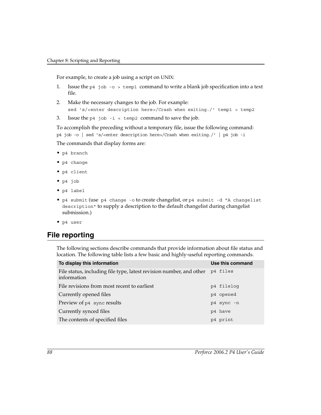For example, to create a job using a script on UNIX:

- 1. Issue the p4 job -o > temp1 command to write a blank job specification into a text file.
- 2. Make the necessary changes to the job. For example: sed 's/<enter description here>/Crash when exiting./' temp1 > temp2
- 3. Issue the p4 job  $-i < temp2$  command to save the job.

To accomplish the preceding without a temporary file, issue the following command: p4 job -o | sed 's/<enter description here>/Crash when exiting./' | p4 job -i The commands that display forms are:

- p4 branch
- p4 change
- p4 client
- p4 job
- p4 label
- p4 submit (use p4 change -o to create changelist, or p4 submit -d "A changelist description" to supply a description to the default changelist during changelist submission.)
- p4 user

## **File reporting**

The following sections describe commands that provide information about file status and location. The following table lists a few basic and highly-useful reporting commands.

| To display this information                                                                 | Use this command |
|---------------------------------------------------------------------------------------------|------------------|
| File status, including file type, latest revision number, and other p4 files<br>information |                  |
| File revisions from most recent to earliest                                                 | p4 filelog       |
| Currently opened files                                                                      | p4 opened        |
| Preview of p4 sync results                                                                  | p4 sync -n       |
| Currently synced files                                                                      | p4 have          |
| The contents of specified files                                                             | p4 print         |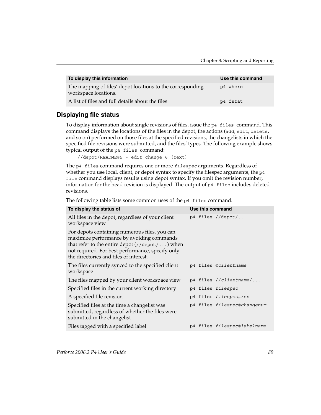| To display this information                                                        | Use this command |
|------------------------------------------------------------------------------------|------------------|
| The mapping of files' depot locations to the corresponding<br>workspace locations. | p4 where         |
| A list of files and full details about the files                                   | p4 fstat         |

### **Displaying file status**

To display information about single revisions of files, issue the p4 files command. This command displays the locations of the files in the depot, the actions (add, edit, delete, and so on) performed on those files at the specified revisions, the changelists in which the specified file revisions were submitted, and the files' types. The following example shows typical output of the p4 files command:

//depot/README#5 - edit change 6 (text)

The p4 files command requires one or more *filespec* arguments. Regardless of whether you use local, client, or depot syntax to specify the filespec arguments, the  $p4$ file command displays results using depot syntax. If you omit the revision number, information for the head revision is displayed. The output of  $p4$  files includes deleted revisions.

The following table lists some common uses of the p4 files command.

| To display the status of                                                                                                                                                                                                                         |  | Use this command            |
|--------------------------------------------------------------------------------------------------------------------------------------------------------------------------------------------------------------------------------------------------|--|-----------------------------|
| All files in the depot, regardless of your client<br>workspace view                                                                                                                                                                              |  | p4 files $//$ depot $/$     |
| For depots containing numerous files, you can<br>maximize performance by avoiding commands<br>that refer to the entire depot $//$ depot $/$ ) when<br>not required. For best performance, specify only<br>the directories and files of interest. |  |                             |
| The files currently synced to the specified client<br>workspace                                                                                                                                                                                  |  | p4 files @clientname        |
| The files mapped by your client workspace view                                                                                                                                                                                                   |  | p4 files $//clientname/$    |
| Specified files in the current working directory                                                                                                                                                                                                 |  | p4 files filespec           |
| A specified file revision                                                                                                                                                                                                                        |  | p4 files filespec#rev       |
| Specified files at the time a changelist was<br>submitted, regardless of whether the files were<br>submitted in the changelist                                                                                                                   |  | p4 files filespec@changenum |
| Files tagged with a specified label                                                                                                                                                                                                              |  | p4 files filespec@labelname |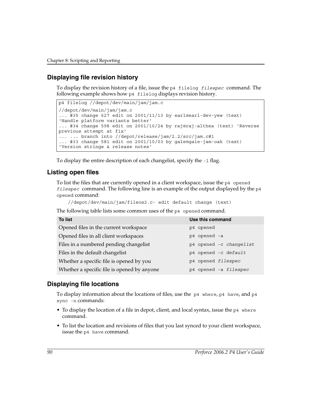### **Displaying file revision history**

To display the revision history of a file, issue the p4 filelog *filespec* command. The following example shows how p4 filelog displays revision history.

```
p4 filelog //depot/dev/main/jam/jam.c
//depot/dev/main/jam/jam.c
... #35 change 627 edit on 2001/11/13 by earl@earl-dev-yew (text) 
'Handle platform variants better'
... #34 change 598 edit on 2001/10/24 by raj@raj-althea (text) 'Reverse 
previous attempt at fix'
... ... branch into //depot/release/jam/2.2/src/jam.c#1
... #33 change 581 edit on 2001/10/03 by gale@gale-jam-oak (text) 
'Version strings & release notes'
```
To display the entire description of each changelist, specify the  $-1$  flag.

### **Listing open files**

To list the files that are currently opened in a client workspace, issue the p4 opened *filespec* command. The following line is an example of the output displayed by the p4 opened command:

//depot/dev/main/jam/fileos2.c- edit default change (text)

The following table lists some common uses of the p4 opened command.

| <b>To list</b>                              | Use this command        |
|---------------------------------------------|-------------------------|
| Opened files in the current workspace       | p4 opened               |
| Opened files in all client workspaces       | p4 opened -a            |
| Files in a numbered pending changelist      | p4 opened -c changelist |
| Files in the default changelist             | p4 opened -c default    |
| Whether a specific file is opened by you    | p4 opened filespec      |
| Whether a specific file is opened by anyone | p4 opened -a filespec   |

### **Displaying file locations**

To display information about the locations of files, use the  $p4$  where,  $p4$  have, and  $p4$ sync -n commands:

- To display the location of a file in depot, client, and local syntax, issue the p4 where command.
- To list the location and revisions of files that you last synced to your client workspace, issue the p4 have command.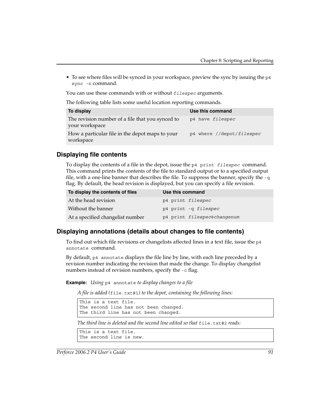• To see where files will be synced in your workspace, preview the sync by issuing the p4 sync -n command.

You can use these commands with or without *filespec* arguments.

The following table lists some useful location reporting commands.

| To display                                                         | Use this command          |
|--------------------------------------------------------------------|---------------------------|
| The revision number of a file that you synced to<br>your workspace | p4 have filespec          |
| How a particular file in the depot maps to your<br>workspace       | p4 where //depot/filespec |

### **Displaying file contents**

To display the contents of a file in the depot, issue the p4 print *filespec* command. This command prints the contents of the file to standard output or to a specified output file, with a one-line banner that describes the file. To suppress the banner, specify the  $-q$ flag. By default, the head revision is displayed, but you can specify a file revision.

| To display the contents of files | Use this command            |
|----------------------------------|-----------------------------|
| At the head revision             | p4 print filespec           |
| Without the banner               | p4 print -q filespec        |
| At a specified changelist number | p4 print filespec@changenum |

### **Displaying annotations (details about changes to file contents)**

To find out which file revisions or changelists affected lines in a text file, issue the p4 annotate command.

By default, p4 annotate displays the file line by line, with each line preceded by a revision number indicating the revision that made the change. To display changelist numbers instead of revision numbers, specify the -c flag.

**Example:** *Using* p4 annotate *to display changes to a file*

*A file is added (*file.txt#1*) to the depot, containing the following lines:*

This is a text file. The second line has not been changed. The third line has not been changed.

*The third line is deleted and the second line edited so that*  $\epsilon$  ile.txt#2 *reads:* 

```
This is a text file.
The second line is new.
```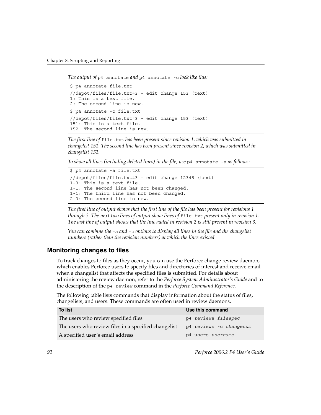*The output of* p4 annotate *and* p4 annotate -c *look like this:*

```
$ p4 annotate file.txt
//depot/files/file.txt#3 - edit change 153 (text)
1: This is a text file.
2: The second line is new.
$ p4 annotate -c file.txt
//depot/files/file.txt#3 - edit change 153 (text)
151: This is a text file.
152: The second line is new.
```
*The first line of* file.txt *has been present since revision 1, which was submitted in changelist 151. The second line has been present since revision 2, which was submitted in changelist 152.* 

*To show all lines (including deleted lines) in the file, use* p4 annotate -a *as follows:*

```
$ p4 annotate -a file.txt
//depot/files/file.txt#3 - edit change 12345 (text)
1-3: This is a text file.
1-1: The second line has not been changed.
1-1: The third line has not been changed.
2-3: The second line is new.
```
*The first line of output shows that the first line of the file has been present for revisions 1 through 3. The next two lines of output show lines of file.txt present only in revision 1. The last line of output shows that the line added in revision 2 is still present in revision 3.* 

*You can combine the* -a *and* -c *options to display all lines in the file and the changelist numbers (rather than the revision numbers) at which the lines existed.*

### **Monitoring changes to files**

To track changes to files as they occur, you can use the Perforce change review daemon, which enables Perforce users to specify files and directories of interest and receive email when a changelist that affects the specified files is submitted. For details about administering the review daemon, refer to the *Perforce System Administrator's Guide* and to the description of the p4 review command in the *Perforce Command Reference*.

The following table lists commands that display information about the status of files, changelists, and users. These commands are often used in review daemons.

| <b>To list</b>                                       | Use this command        |
|------------------------------------------------------|-------------------------|
| The users who review specified files                 | p4 reviews filespec     |
| The users who review files in a specified changelist | p4 reviews -c changenum |
| A specified user's email address                     | p4 users username       |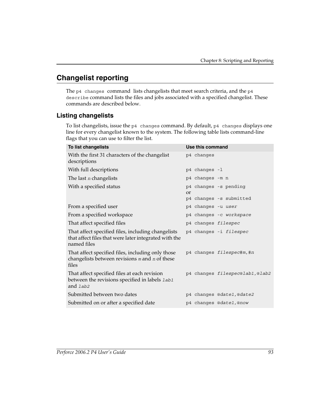## **Changelist reporting**

The  $p4$  changes command lists changelists that meet search criteria, and the  $p4$ describe command lists the files and jobs associated with a specified changelist. These commands are described below.

### **Listing changelists**

To list changelists, issue the p4 changes command. By default, p4 changes displays one line for every changelist known to the system. The following table lists command-line flags that you can use to filter the list.

| To list changelists                                                                                                        | Use this command                   |
|----------------------------------------------------------------------------------------------------------------------------|------------------------------------|
| With the first 31 characters of the changelist<br>descriptions                                                             | p4 changes                         |
| With full descriptions                                                                                                     | p4 changes -1                      |
| The last $n$ changelists                                                                                                   | p4 changes -m n                    |
| With a specified status                                                                                                    | p4 changes -s pending<br><b>or</b> |
|                                                                                                                            | p4 changes -s submitted            |
| From a specified user                                                                                                      | p4 changes -u user                 |
| From a specified workspace                                                                                                 | p4 changes -c workspace            |
| That affect specified files                                                                                                | p4 changes filespec                |
| That affect specified files, including changelists<br>that affect files that were later integrated with the<br>named files | p4 changes -i filespec             |
| That affect specified files, including only those<br>changelists between revisions $m$ and $n$ of these<br>files           | p4 changes filespec#m, #n          |
| That affect specified files at each revision<br>between the revisions specified in labels <i>lab1</i><br>and <i>lab2</i>   | p4 changes filespec@lab1,@lab2     |
| Submitted between two dates                                                                                                | p4 changes @date1,@date2           |
| Submitted on or after a specified date                                                                                     | p4 changes @date1,@now             |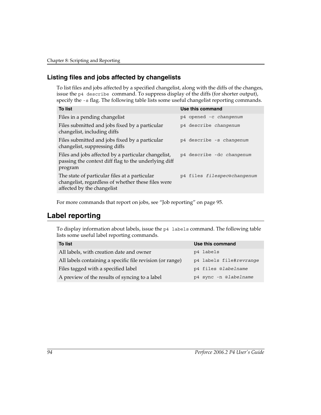### **Listing files and jobs affected by changelists**

To list files and jobs affected by a specified changelist, along with the diffs of the changes, issue the p4 describe command. To suppress display of the diffs (for shorter output), specify the -s flag. The following table lists some useful changelist reporting commands.

| Use this command            |
|-----------------------------|
| p4 opened -c changenum      |
| p4 describe changenum       |
| p4 describe -s changenum    |
| p4 describe -dc changenum   |
| p4 files filespec@changenum |
|                             |

For more commands that report on jobs, see ["Job reporting" on page 95](#page-94-0).

### **Label reporting**

To display information about labels, issue the p4 labels command. The following table lists some useful label reporting commands.

| <b>To list</b>                                            | Use this command        |
|-----------------------------------------------------------|-------------------------|
| All labels, with creation date and owner                  | p4 labels               |
| All labels containing a specific file revision (or range) | p4 labels file#revrange |
| Files tagged with a specified label                       | p4 files @labelname     |
| A preview of the results of syncing to a label            | p4 sync -n @labelname   |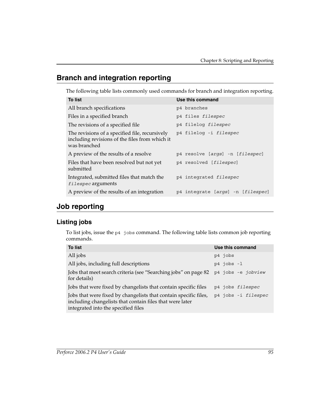## **Branch and integration reporting**

The following table lists commonly used commands for branch and integration reporting.

| <b>To list</b>                                                                                                   | Use this command                  |
|------------------------------------------------------------------------------------------------------------------|-----------------------------------|
| All branch specifications                                                                                        | p4 branches                       |
| Files in a specified branch                                                                                      | p4 files filespec                 |
| The revisions of a specified file.                                                                               | p4 filelog filespec               |
| The revisions of a specified file, recursively<br>including revisions of the files from which it<br>was branched | p4 filelog -i filespec            |
| A preview of the results of a resolve                                                                            | p4 resolve [args] -n [filespec]   |
| Files that have been resolved but not yet<br>submitted                                                           | p4 resolved [filespec]            |
| Integrated, submitted files that match the<br>filespec arguments                                                 | p4 integrated filespec            |
| A preview of the results of an integration                                                                       | p4 integrate [args] -n [filespec] |

## <span id="page-94-0"></span>**Job reporting**

### **Listing jobs**

To list jobs, issue the p4 jobs command. The following table lists common job reporting commands.

| <b>To list</b>                                                                                                                                                      | Use this command    |
|---------------------------------------------------------------------------------------------------------------------------------------------------------------------|---------------------|
| All jobs                                                                                                                                                            | p4 jobs             |
| All jobs, including full descriptions                                                                                                                               | $p4$ jobs $-1$      |
| Jobs that meet search criteria (see "Searching jobs" on page 82<br>for details)                                                                                     | p4 jobs -e jobview  |
| Jobs that were fixed by changelists that contain specific files                                                                                                     | p4 jobs filespec    |
| Jobs that were fixed by changelists that contain specific files,<br>including changelists that contain files that were later<br>integrated into the specified files | p4 jobs -i filespec |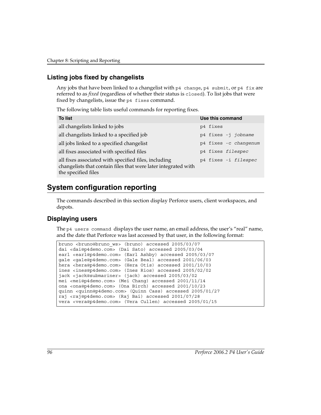### **Listing jobs fixed by changelists**

Any jobs that have been linked to a changelist with  $p4$  change,  $p4$  submit, or  $p4$  fix are referred to as *fixed* (regardless of whether their status is closed). To list jobs that were fixed by changelists, issue the p4 fixes command.

The following table lists useful commands for reporting fixes.

| <b>To list</b>                                                                                                                                | Use this command      |
|-----------------------------------------------------------------------------------------------------------------------------------------------|-----------------------|
| all changelists linked to jobs                                                                                                                | p4 fixes              |
| all changelists linked to a specified job                                                                                                     | p4 fixes -j jobname   |
| all jobs linked to a specified changelist                                                                                                     | p4 fixes -c changenum |
| all fixes associated with specified files                                                                                                     | p4 fixes filespec     |
| all fixes associated with specified files, including<br>changelists that contain files that were later integrated with<br>the specified files | p4 fixes -i filespec  |

## **System configuration reporting**

The commands described in this section display Perforce users, client workspaces, and depots.

### **Displaying users**

The p4 users command displays the user name, an email address, the user's "real" name, and the date that Perforce was last accessed by that user, in the following format:

```
bruno <bruno@bruno ws> (bruno) accessed 2005/03/07
dai <dai@p4demo.com> (Dai Sato) accessed 2005/03/04
earl <earl@p4demo.com> (Earl Ashby) accessed 2005/03/07
gale <gale@p4demo.com> (Gale Beal) accessed 2001/06/03
hera <hera@p4demo.com> (Hera Otis) accessed 2001/10/03
ines <ines@p4demo.com> (Ines Rios) accessed 2005/02/02
jack <jack@submariner> (jack) accessed 2005/03/02
mei <mei@p4demo.com> (Mei Chang) accessed 2001/11/14
ona <ona@p4demo.com> (Ona Birch) accessed 2001/10/23
quinn <quinn@p4demo.com> (Quinn Cass) accessed 2005/01/27
raj <raj@p4demo.com> (Raj Bai) accessed 2001/07/28
vera <vera@p4demo.com> (Vera Cullen) accessed 2005/01/15
```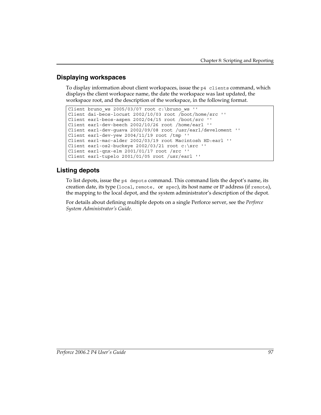### **Displaying workspaces**

To display information about client workspaces, issue the  $p4$  clients command, which displays the client workspace name, the date the workspace was last updated, the workspace root, and the description of the workspace, in the following format.

```
Client bruno_ws 2005/03/07 root c:\bruno_ws ''
Client dai-beos-locust 2002/10/03 root /boot/home/src ''
Client earl-beos-aspen 2002/04/15 root /boot/src ''
Client earl-dev-beech 2002/10/26 root /home/earl ''
Client earl-dev-guava 2002/09/08 root /usr/earl/develoment ''
Client earl-dev-yew 2004/11/19 root /tmp ''
Client earl-mac-alder 2002/03/19 root Macintosh HD:earl ''
Client earl-os2-buckeye 2002/03/21 root c:\src ''
Client earl-qnx-elm 2001/01/17 root /src ''
Client earl-tupelo 2001/01/05 root /usr/earl ''
```
### **Listing depots**

To list depots, issue the p4 depots command. This command lists the depot's name, its creation date, its type (local, remote, or spec), its host name or IP address (if remote), the mapping to the local depot, and the system administrator's description of the depot.

For details about defining multiple depots on a single Perforce server, see the *Perforce System Administrator's Guide*.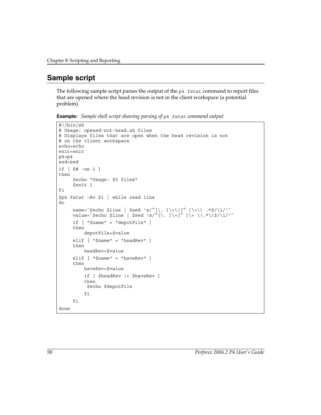## **Sample script**

The following sample script parses the output of the p4 fstat command to report files that are opened where the head revision is not in the client workspace (a potential problem).

**Example:** *Sample shell script showing parsing of* p4 fstat *command output*

```
#!/bin/sh
# Usage: opened-not-head.sh files
# Displays files that are open when the head revision is not 
# on the client workspace
echo=echo
exit=exit
p4 = p4sed=sed
if [ $# -ne 1 ]
then
     $echo "Usage: $0 files"
     $exit 1
fi
$p4 fstat -Ro $1 | while read line
do
     name=`$echo $line | $sed 's/^[\. ]\+\([^ ]\+\) .*$/\1/'`
     value=`$echo $line | $sed 's/^[\. ]\+[^ ]\+ \(.*\)$/\1/'`
     if [ "$name" = "depotFile" ]
     then
          depotFile=$value
     elif [ "$name" = "headRev" ]
     then
          headRev=$value
     elif [ "$name" = "haveRev" ]
     then
          haveRev=$value
          if [ $headRev != $haveRev ]
          then
          $echo $depotFile
          fi
     fi
done
```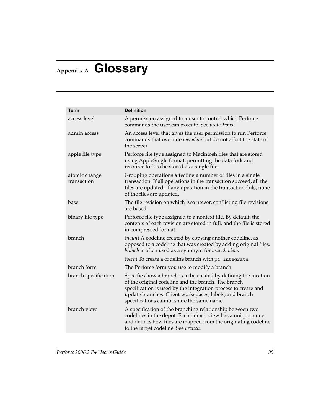## **Appendix A Glossary**

<span id="page-98-2"></span><span id="page-98-1"></span><span id="page-98-0"></span>

| <b>Term</b>                  | <b>Definition</b>                                                                                                                                                                                                                                                                                 |
|------------------------------|---------------------------------------------------------------------------------------------------------------------------------------------------------------------------------------------------------------------------------------------------------------------------------------------------|
| access level                 | A permission assigned to a user to control which Perforce<br>commands the user can execute. See protections.                                                                                                                                                                                      |
| admin access                 | An access level that gives the user permission to run Perforce<br>commands that override <i>metadata</i> but do not affect the state of<br>the server.                                                                                                                                            |
| apple file type              | Perforce file type assigned to Macintosh files that are stored<br>using AppleSingle format, permitting the data fork and<br>resource fork to be stored as a single file.                                                                                                                          |
| atomic change<br>transaction | Grouping operations affecting a number of files in a single<br>transaction. If all operations in the transaction succeed, all the<br>files are updated. If any operation in the transaction fails, none<br>of the files are updated.                                                              |
| base                         | The file revision on which two newer, conflicting file revisions<br>are based.                                                                                                                                                                                                                    |
| binary file type             | Perforce file type assigned to a nontext file. By default, the<br>contents of each revision are stored in full, and the file is stored<br>in compressed format.                                                                                                                                   |
| branch                       | (noun) A codeline created by copying another codeline, as<br>opposed to a codeline that was created by adding original files.<br>branch is often used as a synonym for branch view.                                                                                                               |
|                              | (verb) To create a codeline branch with p4 integrate.                                                                                                                                                                                                                                             |
| branch form                  | The Perforce form you use to modify a branch.                                                                                                                                                                                                                                                     |
| branch specification         | Specifies how a branch is to be created by defining the location<br>of the original codeline and the branch. The branch<br>specification is used by the integration process to create and<br>update branches. Client workspaces, labels, and branch<br>specifications cannot share the same name. |
| branch view                  | A specification of the branching relationship between two<br>codelines in the depot. Each branch view has a unique name<br>and defines how files are mapped from the originating codeline<br>to the target codeline. See branch.                                                                  |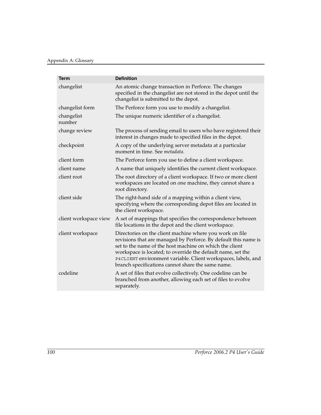<span id="page-99-2"></span><span id="page-99-1"></span><span id="page-99-0"></span>

| <b>Term</b>           | <b>Definition</b>                                                                                                                                                                                                                                                                                                                                                           |
|-----------------------|-----------------------------------------------------------------------------------------------------------------------------------------------------------------------------------------------------------------------------------------------------------------------------------------------------------------------------------------------------------------------------|
| changelist            | An atomic change transaction in Perforce. The changes<br>specified in the changelist are not stored in the depot until the<br>changelist is submitted to the depot.                                                                                                                                                                                                         |
| changelist form       | The Perforce form you use to modify a changelist.                                                                                                                                                                                                                                                                                                                           |
| changelist<br>number  | The unique numeric identifier of a changelist.                                                                                                                                                                                                                                                                                                                              |
| change review         | The process of sending email to users who have registered their<br>interest in changes made to specified files in the depot.                                                                                                                                                                                                                                                |
| checkpoint            | A copy of the underlying server metadata at a particular<br>moment in time. See metadata.                                                                                                                                                                                                                                                                                   |
| client form           | The Perforce form you use to define a client workspace.                                                                                                                                                                                                                                                                                                                     |
| client name           | A name that uniquely identifies the current client workspace.                                                                                                                                                                                                                                                                                                               |
| client root           | The root directory of a client workspace. If two or more client<br>workspaces are located on one machine, they cannot share a<br>root directory.                                                                                                                                                                                                                            |
| client side           | The right-hand side of a mapping within a client view,<br>specifying where the corresponding depot files are located in<br>the client workspace.                                                                                                                                                                                                                            |
| client workspace view | A set of mappings that specifies the correspondence between<br>file locations in the depot and the client workspace.                                                                                                                                                                                                                                                        |
| client workspace      | Directories on the client machine where you work on file<br>revisions that are managed by Perforce. By default this name is<br>set to the name of the host machine on which the client<br>workspace is located; to override the default name, set the<br>P4CLIENT environment variable. Client workspaces, labels, and<br>branch specifications cannot share the same name. |
| codeline              | A set of files that evolve collectively. One codeline can be<br>branched from another, allowing each set of files to evolve<br>separately.                                                                                                                                                                                                                                  |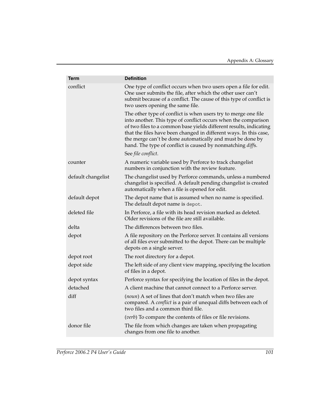<span id="page-100-2"></span><span id="page-100-1"></span><span id="page-100-0"></span>

| <b>Term</b>        | <b>Definition</b>                                                                                                                                                                                                                                                                                                                                                                                      |
|--------------------|--------------------------------------------------------------------------------------------------------------------------------------------------------------------------------------------------------------------------------------------------------------------------------------------------------------------------------------------------------------------------------------------------------|
| conflict           | One type of conflict occurs when two users open a file for edit.<br>One user submits the file, after which the other user can't<br>submit because of a conflict. The cause of this type of conflict is<br>two users opening the same file.                                                                                                                                                             |
|                    | The other type of conflict is when users try to merge one file<br>into another. This type of conflict occurs when the comparison<br>of two files to a common base yields different results, indicating<br>that the files have been changed in different ways. In this case,<br>the merge can't be done automatically and must be done by<br>hand. The type of conflict is caused by nonmatching diffs. |
|                    | See file conflict.                                                                                                                                                                                                                                                                                                                                                                                     |
| counter            | A numeric variable used by Perforce to track changelist<br>numbers in conjunction with the review feature.                                                                                                                                                                                                                                                                                             |
| default changelist | The changelist used by Perforce commands, unless a numbered<br>changelist is specified. A default pending changelist is created<br>automatically when a file is opened for edit.                                                                                                                                                                                                                       |
| default depot      | The depot name that is assumed when no name is specified.<br>The default depot name is depot.                                                                                                                                                                                                                                                                                                          |
| deleted file       | In Perforce, a file with its head revision marked as deleted.<br>Older revisions of the file are still available.                                                                                                                                                                                                                                                                                      |
| delta              | The differences between two files.                                                                                                                                                                                                                                                                                                                                                                     |
| depot              | A file repository on the Perforce server. It contains all versions<br>of all files ever submitted to the depot. There can be multiple<br>depots on a single server.                                                                                                                                                                                                                                    |
| depot root         | The root directory for a depot.                                                                                                                                                                                                                                                                                                                                                                        |
| depot side         | The left side of any client view mapping, specifying the location<br>of files in a depot.                                                                                                                                                                                                                                                                                                              |
| depot syntax       | Perforce syntax for specifying the location of files in the depot.                                                                                                                                                                                                                                                                                                                                     |
| detached           | A client machine that cannot connect to a Perforce server.                                                                                                                                                                                                                                                                                                                                             |
| diff               | (noun) A set of lines that don't match when two files are<br>compared. A conflict is a pair of unequal diffs between each of<br>two files and a common third file.                                                                                                                                                                                                                                     |
|                    | (verb) To compare the contents of files or file revisions.                                                                                                                                                                                                                                                                                                                                             |
| donor file         | The file from which changes are taken when propagating<br>changes from one file to another.                                                                                                                                                                                                                                                                                                            |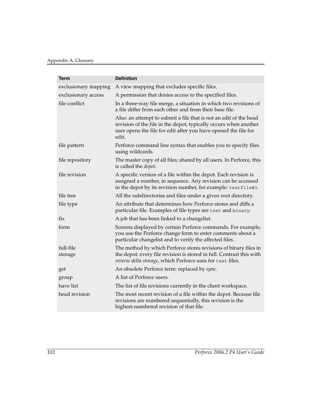<span id="page-101-1"></span><span id="page-101-0"></span>

| Term                 | <b>Definition</b>                                                                                                                                                                                                 |
|----------------------|-------------------------------------------------------------------------------------------------------------------------------------------------------------------------------------------------------------------|
| exclusionary mapping | A view mapping that excludes specific files.                                                                                                                                                                      |
| exclusionary access  | A permission that denies access to the specified files.                                                                                                                                                           |
| file conflict        | In a three-way file merge, a situation in which two revisions of<br>a file differ from each other and from their base file.                                                                                       |
|                      | Also: an attempt to submit a file that is not an edit of the head<br>revision of the file in the depot; typically occurs when another<br>user opens the file for edit after you have opened the file for<br>edit. |
| file pattern         | Perforce command line syntax that enables you to specify files<br>using wildcards.                                                                                                                                |
| file repository      | The master copy of all files; shared by all users. In Perforce, this<br>is called the <i>depot</i> .                                                                                                              |
| file revision        | A specific version of a file within the depot. Each revision is<br>assigned a number, in sequence. Any revision can be accessed<br>in the depot by its revision number, for example: testfile#3.                  |
| file tree            | All the subdirectories and files under a given root directory.                                                                                                                                                    |
| file type            | An attribute that determines how Perforce stores and diffs a<br>particular file. Examples of file types are text and binary.                                                                                      |
| fix                  | A job that has been linked to a changelist.                                                                                                                                                                       |
| form                 | Screens displayed by certain Perforce commands. For example,<br>you use the Perforce change form to enter comments about a<br>particular changelist and to verify the affected files.                             |
| full-file<br>storage | The method by which Perforce stores revisions of binary files in<br>the depot: every file revision is stored in full. Contrast this with<br>reverse delta storage, which Perforce uses for text files.            |
| get                  | An obsolete Perforce term: replaced by sync.                                                                                                                                                                      |
| group                | A list of Perforce users.                                                                                                                                                                                         |
| have list            | The list of file revisions currently in the client workspace.                                                                                                                                                     |
| head revision        | The most recent revision of a file within the depot. Because file<br>revisions are numbered sequentially, this revision is the<br>highest-numbered revision of that file.                                         |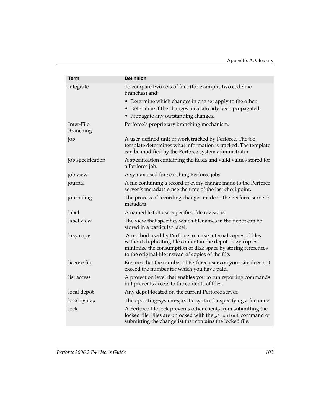<span id="page-102-0"></span>

| Term                           | <b>Definition</b>                                                                                                                                                                                                                               |
|--------------------------------|-------------------------------------------------------------------------------------------------------------------------------------------------------------------------------------------------------------------------------------------------|
| integrate                      | To compare two sets of files (for example, two codeline<br>branches) and:                                                                                                                                                                       |
|                                | • Determine which changes in one set apply to the other.<br>• Determine if the changes have already been propagated.<br>• Propagate any outstanding changes.                                                                                    |
| Inter-File<br><b>Branching</b> | Perforce's proprietary branching mechanism.                                                                                                                                                                                                     |
| job                            | A user-defined unit of work tracked by Perforce. The job<br>template determines what information is tracked. The template<br>can be modified by the Perforce system administrator                                                               |
| job specification              | A specification containing the fields and valid values stored for<br>a Perforce job.                                                                                                                                                            |
| job view                       | A syntax used for searching Perforce jobs.                                                                                                                                                                                                      |
| journal                        | A file containing a record of every change made to the Perforce<br>server's metadata since the time of the last checkpoint.                                                                                                                     |
| journaling                     | The process of recording changes made to the Perforce server's<br>metadata.                                                                                                                                                                     |
| label                          | A named list of user-specified file revisions.                                                                                                                                                                                                  |
| label view                     | The view that specifies which filenames in the depot can be<br>stored in a particular label.                                                                                                                                                    |
| lazy copy                      | A method used by Perforce to make internal copies of files<br>without duplicating file content in the depot. Lazy copies<br>minimize the consumption of disk space by storing references<br>to the original file instead of copies of the file. |
| license file                   | Ensures that the number of Perforce users on your site does not<br>exceed the number for which you have paid.                                                                                                                                   |
| list access                    | A protection level that enables you to run reporting commands<br>but prevents access to the contents of files.                                                                                                                                  |
| local depot                    | Any depot located on the current Perforce server.                                                                                                                                                                                               |
| local syntax                   | The operating-system-specific syntax for specifying a filename.                                                                                                                                                                                 |
| lock                           | A Perforce file lock prevents other clients from submitting the<br>locked file. Files are unlocked with the p4 unlock command or<br>submitting the changelist that contains the locked file.                                                    |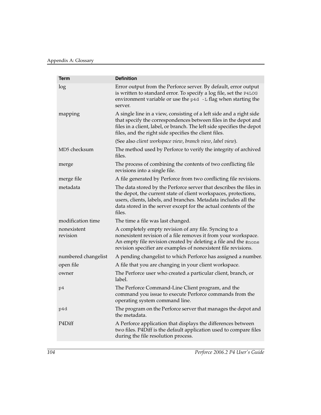<span id="page-103-0"></span>

| <b>Term</b>             | <b>Definition</b>                                                                                                                                                                                                                                                                     |
|-------------------------|---------------------------------------------------------------------------------------------------------------------------------------------------------------------------------------------------------------------------------------------------------------------------------------|
| log                     | Error output from the Perforce server. By default, error output<br>is written to standard error. To specify a log file, set the P4LOG<br>environment variable or use the p4d -L flag when starting the<br>server.                                                                     |
| mapping                 | A single line in a view, consisting of a left side and a right side<br>that specify the correspondences between files in the depot and<br>files in a client, label, or branch. The left side specifies the depot<br>files, and the right side specifies the client files.             |
|                         | (See also client workspace view, branch view, label view).                                                                                                                                                                                                                            |
| MD5 checksum            | The method used by Perforce to verify the integrity of archived<br>files.                                                                                                                                                                                                             |
| merge                   | The process of combining the contents of two conflicting file<br>revisions into a single file.                                                                                                                                                                                        |
| merge file              | A file generated by Perforce from two conflicting file revisions.                                                                                                                                                                                                                     |
| metadata                | The data stored by the Perforce server that describes the files in<br>the depot, the current state of client workspaces, protections,<br>users, clients, labels, and branches. Metadata includes all the<br>data stored in the server except for the actual contents of the<br>files. |
| modification time       | The time a file was last changed.                                                                                                                                                                                                                                                     |
| nonexistent<br>revision | A completely empty revision of any file. Syncing to a<br>nonexistent revision of a file removes it from your workspace.<br>An empty file revision created by deleting a file and the #none<br>revision specifier are examples of nonexistent file revisions.                          |
| numbered changelist     | A pending changelist to which Perforce has assigned a number.                                                                                                                                                                                                                         |
| open file               | A file that you are changing in your client workspace.                                                                                                                                                                                                                                |
| owner                   | The Perforce user who created a particular client, branch, or<br>label.                                                                                                                                                                                                               |
| p4                      | The Perforce Command-Line Client program, and the<br>command you issue to execute Perforce commands from the<br>operating system command line.                                                                                                                                        |
| p4d                     | The program on the Perforce server that manages the depot and<br>the metadata.                                                                                                                                                                                                        |
| P4Diff                  | A Perforce application that displays the differences between<br>two files. P4Diff is the default application used to compare files<br>during the file resolution process.                                                                                                             |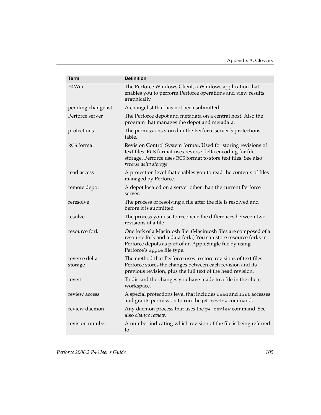<span id="page-104-1"></span><span id="page-104-0"></span>

| Term                     | <b>Definition</b>                                                                                                                                                                                                             |
|--------------------------|-------------------------------------------------------------------------------------------------------------------------------------------------------------------------------------------------------------------------------|
| P4Win                    | The Perforce Windows Client, a Windows application that<br>enables you to perform Perforce operations and view results<br>graphically.                                                                                        |
| pending changelist       | A changelist that has not been submitted.                                                                                                                                                                                     |
| Perforce server          | The Perforce depot and metadata on a central host. Also the<br>program that manages the depot and metadata.                                                                                                                   |
| protections              | The permissions stored in the Perforce server's protections<br>table.                                                                                                                                                         |
| <b>RCS</b> format        | Revision Control System format. Used for storing revisions of<br>text files. RCS format uses reverse delta encoding for file<br>storage. Perforce uses RCS format to store text files. See also<br>reverse delta storage.     |
| read access              | A protection level that enables you to read the contents of files<br>managed by Perforce.                                                                                                                                     |
| remote depot             | A depot located on a server other than the current Perforce<br>server.                                                                                                                                                        |
| reresolve                | The process of resolving a file after the file is resolved and<br>before it is submitted                                                                                                                                      |
| resolve                  | The process you use to reconcile the differences between two<br>revisions of a file.                                                                                                                                          |
| resource fork            | One fork of a Macintosh file. (Macintosh files are composed of a<br>resource fork and a data fork.) You can store resource forks in<br>Perforce depots as part of an AppleSingle file by using<br>Perforce's apple file type. |
| reverse delta<br>storage | The method that Perforce uses to store revisions of text files.<br>Perforce stores the changes between each revision and its<br>previous revision, plus the full text of the head revision.                                   |
| revert                   | To discard the changes you have made to a file in the client<br>workspace.                                                                                                                                                    |
| review access            | A special protections level that includes read and list accesses<br>and grants permission to run the p4 review command.                                                                                                       |
| review daemon            | Any daemon process that uses the p4 review command. See<br>also change review.                                                                                                                                                |
| revision number          | A number indicating which revision of the file is being referred<br>to.                                                                                                                                                       |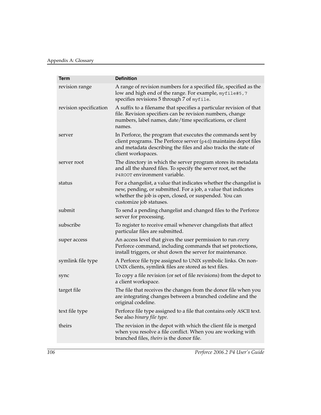<span id="page-105-1"></span><span id="page-105-0"></span>

| <b>Term</b>            | <b>Definition</b>                                                                                                                                                                                                        |
|------------------------|--------------------------------------------------------------------------------------------------------------------------------------------------------------------------------------------------------------------------|
| revision range         | A range of revision numbers for a specified file, specified as the<br>low and high end of the range. For example, myfile#5, 7<br>specifies revisions 5 through 7 of myfile.                                              |
| revision specification | A suffix to a filename that specifies a particular revision of that<br>file. Revision specifiers can be revision numbers, change<br>numbers, label names, date/time specifications, or client<br>names.                  |
| server                 | In Perforce, the program that executes the commands sent by<br>client programs. The Perforce server (p4d) maintains depot files<br>and metadata describing the files and also tracks the state of<br>client workspaces.  |
| server root            | The directory in which the server program stores its metadata<br>and all the shared files. To specify the server root, set the<br>P4ROOT environment variable.                                                           |
| status                 | For a changelist, a value that indicates whether the changelist is<br>new, pending, or submitted. For a job, a value that indicates<br>whether the job is open, closed, or suspended. You can<br>customize job statuses. |
| submit                 | To send a pending changelist and changed files to the Perforce<br>server for processing.                                                                                                                                 |
| subscribe              | To register to receive email whenever changelists that affect<br>particular files are submitted.                                                                                                                         |
| super access           | An access level that gives the user permission to run every<br>Perforce command, including commands that set protections,<br>install triggers, or shut down the server for maintenance.                                  |
| symlink file type      | A Perforce file type assigned to UNIX symbolic links. On non-<br>UNIX clients, symlink files are stored as text files.                                                                                                   |
| sync                   | To copy a file revision (or set of file revisions) from the depot to<br>a client workspace.                                                                                                                              |
| target file            | The file that receives the changes from the donor file when you<br>are integrating changes between a branched codeline and the<br>original codeline.                                                                     |
| text file type         | Perforce file type assigned to a file that contains only ASCII text.<br>See also binary file type.                                                                                                                       |
| theirs                 | The revision in the depot with which the client file is merged<br>when you resolve a file conflict. When you are working with<br>branched files, theirs is the donor file.                                               |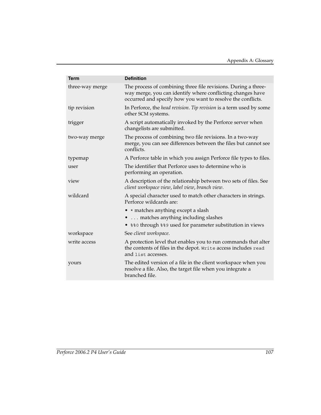| <b>Term</b>     | <b>Definition</b>                                                                                                                                                                           |
|-----------------|---------------------------------------------------------------------------------------------------------------------------------------------------------------------------------------------|
| three-way merge | The process of combining three file revisions. During a three-<br>way merge, you can identify where conflicting changes have<br>occurred and specify how you want to resolve the conflicts. |
| tip revision    | In Perforce, the head revision. Tip revision is a term used by some<br>other SCM systems.                                                                                                   |
| trigger         | A script automatically invoked by the Perforce server when<br>changelists are submitted.                                                                                                    |
| two-way merge   | The process of combining two file revisions. In a two-way<br>merge, you can see differences between the files but cannot see<br>conflicts.                                                  |
| typemap         | A Perforce table in which you assign Perforce file types to files.                                                                                                                          |
| user            | The identifier that Perforce uses to determine who is<br>performing an operation.                                                                                                           |
| view            | A description of the relationship between two sets of files. See<br>client workspace view, label view, branch view.                                                                         |
| wildcard        | A special character used to match other characters in strings.<br>Perforce wildcards are:                                                                                                   |
|                 | • * matches anything except a slash                                                                                                                                                         |
|                 | matches anything including slashes                                                                                                                                                          |
|                 | • %%0 through %%9 used for parameter substitution in views                                                                                                                                  |
| workspace       | See client workspace.                                                                                                                                                                       |
| write access    | A protection level that enables you to run commands that alter<br>the contents of files in the depot. Write access includes read<br>and list accesses.                                      |
| yours           | The edited version of a file in the client workspace when you<br>resolve a file. Also, the target file when you integrate a<br>branched file.                                               |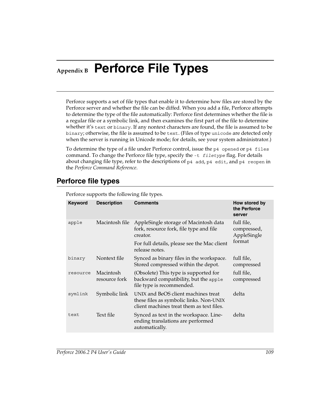# **Appendix B Perforce File Types**

Perforce supports a set of file types that enable it to determine how files are stored by the Perforce server and whether the file can be diffed. When you add a file, Perforce attempts to determine the type of the file automatically: Perforce first determines whether the file is a regular file or a symbolic link, and then examines the first part of the file to determine whether it's text or binary. If any nontext characters are found, the file is assumed to be binary; otherwise, the file is assumed to be text. (Files of type unicode are detected only when the server is running in Unicode mode; for details, see your system administrator.)

<span id="page-108-0"></span>To determine the type of a file under Perforce control, issue the p4 opened or p4 files command. To change the Perforce file type, specify the -t *filetype* flag. For details about changing file type, refer to the descriptions of  $p4$  add,  $p4$  edit, and  $p4$  reopen in the *Perforce Command Reference*.

# **Perforce file types**

<span id="page-108-3"></span><span id="page-108-2"></span><span id="page-108-1"></span>

| <b>Keyword</b> | <b>Description</b>         | <b>Comments</b>                                                                                                             | How stored by<br>the Perforce<br>server            |
|----------------|----------------------------|-----------------------------------------------------------------------------------------------------------------------------|----------------------------------------------------|
| apple          | Macintosh file             | AppleSingle storage of Macintosh data<br>fork, resource fork, file type and file<br>creator.                                | full file,<br>compressed,<br>AppleSingle<br>format |
|                |                            | For full details, please see the Mac client<br>release notes.                                                               |                                                    |
| binary         | Nontext file               | Synced as binary files in the workspace.<br>Stored compressed within the depot.                                             | full file,<br>compressed                           |
| resource       | Macintosh<br>resource fork | (Obsolete) This type is supported for<br>backward compatibility, but the apple<br>file type is recommended.                 | full file,<br>compressed                           |
| symlink        | Symbolic link              | UNIX and BeOS client machines treat<br>these files as symbolic links. Non-UNIX<br>client machines treat them as text files. | delta                                              |
| text           | Text file                  | Synced as text in the workspace. Line-<br>ending translations are performed<br>automatically.                               | delta                                              |

Perforce supports the following file types.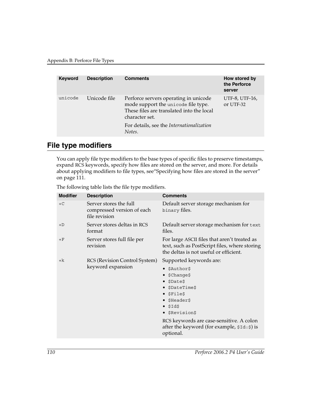| <b>Keyword</b> | <b>Description</b> | <b>Comments</b>                                                                                                                                                                          | How stored by<br>the Perforce<br>server |
|----------------|--------------------|------------------------------------------------------------------------------------------------------------------------------------------------------------------------------------------|-----------------------------------------|
| unicode        | Unicode file       | Perforce servers operating in unicode<br>mode support the unicode file type.<br>These files are translated into the local<br>character set.<br>For details, see the Internationalization | UTF-8, UTF-16,<br>or UTF-32             |
|                |                    | Notes.                                                                                                                                                                                   |                                         |

# <span id="page-109-0"></span>**File type modifiers**

You can apply file type modifiers to the base types of specific files to preserve timestamps, expand RCS keywords, specify how files are stored on the server, and more. For details about applying modifiers to file types, se[e"Specifying how files are stored in the server"](#page-110-0)  [on page 111.](#page-110-0)

The following table lists the file type modifiers.

<span id="page-109-1"></span>

| <b>Modifier</b> | <b>Description</b>                                                    | <b>Comments</b>                                                                                                                         |
|-----------------|-----------------------------------------------------------------------|-----------------------------------------------------------------------------------------------------------------------------------------|
| $+C$            | Server stores the full<br>compressed version of each<br>file revision | Default server storage mechanism for<br>binary files.                                                                                   |
| $+D$            | Server stores deltas in RCS<br>format                                 | Default server storage mechanism for text<br>files.                                                                                     |
| $+F$            | Server stores full file per<br>revision                               | For large ASCII files that aren't treated as<br>text, such as PostScript files, where storing<br>the deltas is not useful or efficient. |
| $+{\bf k}$      | RCS (Revision Control System)<br>keyword expansion                    | Supported keywords are:                                                                                                                 |
|                 |                                                                       | \$Author\$                                                                                                                              |
|                 |                                                                       | \$Change\$<br>\$Date\$                                                                                                                  |
|                 |                                                                       | • \$DateTime\$                                                                                                                          |
|                 |                                                                       | $\bullet$ \$File\$                                                                                                                      |
|                 |                                                                       | • \$Header\$<br>\$Id\$                                                                                                                  |
|                 |                                                                       | • \$Revision\$                                                                                                                          |
|                 |                                                                       | RCS keywords are case-sensitive. A colon<br>after the keyword (for example, $\frac{1}{2}$ d: $\frac{2}{3}$ ) is<br>optional.            |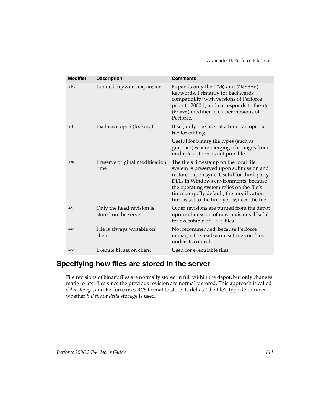| <b>Modifier</b> | <b>Description</b>                                | <b>Comments</b>                                                                                                                                                                                                                                                                                                  |
|-----------------|---------------------------------------------------|------------------------------------------------------------------------------------------------------------------------------------------------------------------------------------------------------------------------------------------------------------------------------------------------------------------|
| +ko             | Limited keyword expansion                         | Expands only the \$1d\$ and \$Header\$<br>keywords. Primarily for backwards<br>compatibility with versions of Perforce<br>prior to 2000.1, and corresponds to the $+k$<br>(ktext) modifier in earlier versions of<br>Perforce.                                                                                   |
| $+1$            | Exclusive open (locking)                          | If set, only one user at a time can open a<br>file for editing.                                                                                                                                                                                                                                                  |
|                 |                                                   | Useful for binary file types (such as<br>graphics) where merging of changes from<br>multiple authors is not possible.                                                                                                                                                                                            |
| $+m$            | Preserve original modification<br>time            | The file's timestamp on the local file<br>system is preserved upon submission and<br>restored upon sync. Useful for third-party<br>DLLs in Windows environments, because<br>the operating system relies on the file's<br>timestamp. By default, the modification<br>time is set to the time you synced the file. |
| $+S$            | Only the head revision is<br>stored on the server | Older revisions are purged from the depot<br>upon submission of new revisions. Useful<br>for executable or .obj files.                                                                                                                                                                                           |
| $+W$            | File is always writable on<br>client              | Not recommended, because Perforce<br>manages the read-write settings on files<br>under its control.                                                                                                                                                                                                              |
| $+X$            | Execute bit set on client                         | Used for executable files.                                                                                                                                                                                                                                                                                       |

# <span id="page-110-1"></span><span id="page-110-0"></span>**Specifying how files are stored in the server**

File revisions of binary files are normally stored in full within the depot, but only changes made to text files since the previous revision are normally stored. This approach is called *delta storage*, and Perforce uses RCS format to store its deltas. The file's type determines whether *full file* or *delta* storage is used.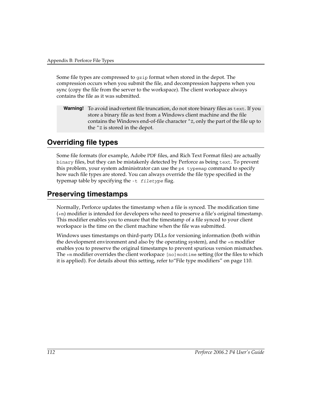Some file types are compressed to gzip format when stored in the depot. The compression occurs when you submit the file, and decompression happens when you sync (copy the file from the server to the workspace). The client workspace always contains the file as it was submitted.

<span id="page-111-1"></span>**Warning!** To avoid inadvertent file truncation, do not store binary files as text. If you store a binary file as text from a Windows client machine and the file contains the Windows end-of-file character  $\hat{z}$ , only the part of the file up to the ^Z is stored in the depot.

# **Overriding file types**

Some file formats (for example, Adobe PDF files, and Rich Text Format files) are actually binary files, but they can be mistakenly detected by Perforce as being text. To prevent this problem, your system administrator can use the p4 typemap command to specify how such file types are stored. You can always override the file type specified in the typemap table by specifying the -t *filetype* flag.

# **Preserving timestamps**

<span id="page-111-2"></span><span id="page-111-0"></span>Normally, Perforce updates the timestamp when a file is synced. The modification time (+m) modifier is intended for developers who need to preserve a file's original timestamp. This modifier enables you to ensure that the timestamp of a file synced to your client workspace is the time on the client machine when the file was submitted.

Windows uses timestamps on third-party DLLs for versioning information (both within the development environment and also by the operating system), and the  $+m$  modifier enables you to preserve the original timestamps to prevent spurious version mismatches. The +m modifier overrides the client workspace [no]modtime setting (for the files to which it is applied). For details about this setting, refer to["File type modifiers" on page 110](#page-109-0).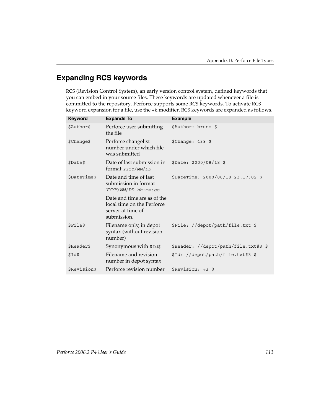# **Expanding RCS keywords**

RCS (Revision Control System), an early version control system, defined keywords that you can embed in your source files. These keywords are updated whenever a file is committed to the repository. Perforce supports some RCS keywords. To activate RCS keyword expansion for a file, use the +k modifier. RCS keywords are expanded as follows.

<span id="page-112-0"></span>

| Keyword      | <b>Expands To</b>                                                                             | <b>Example</b>                       |
|--------------|-----------------------------------------------------------------------------------------------|--------------------------------------|
| \$Author\$   | Perforce user submitting<br>the file                                                          | \$Author: bruno \$                   |
| \$Change\$   | Perforce changelist<br>number under which file<br>was submitted                               | $$Change: 439$ \$                    |
| \$Date\$     | Date of last submission in<br>format YYYY/MM/DD                                               | \$Date: 2000/08/18 \$                |
| \$DateTime\$ | Date and time of last<br>submission in format<br>YYYY/MM/DD hh:mm:ss                          | \$DateTime: 2000/08/18 23:17:02 \$   |
|              | Date and time are as of the<br>local time on the Perforce<br>server at time of<br>submission. |                                      |
| \$File\$     | Filename only, in depot<br>syntax (without revision<br>number)                                | \$File: //depot/path/file.txt \$     |
| \$Header\$   | Synonymous with \$1d\$                                                                        | \$Header: //depot/path/file.txt#3 \$ |
| \$Id\$       | Filename and revision<br>number in depot syntax                                               | \$Id: //depot/path/file.txt#3 \$     |
| \$Revision\$ | Perforce revision number                                                                      | \$Revision: #3 \$                    |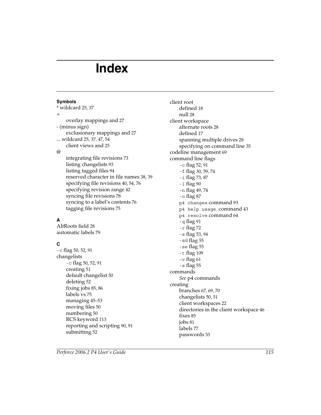# **Index**

#### **Symbols**

\* wildcar[d 25,](#page-24-0) [37](#page-36-0) + overlay mappings and [27](#page-26-0) - (minus sign) exclusionary mappings and [27](#page-26-1) ... wildcard [25,](#page-24-1) [37,](#page-36-1) [47,](#page-46-0) [54](#page-53-0) client views and [25](#page-24-2) @ integrating file revisions [73](#page-72-0) listing changelists [93](#page-92-0) listing tagged file[s 94](#page-93-0) reserved character in file name[s 38,](#page-37-0) [39](#page-38-0) specifying file revision[s 40,](#page-39-0) [54,](#page-53-1) [76](#page-75-0) specifying revision rang[e 42](#page-41-0) syncing file revision[s 78](#page-77-0) syncing to a label's content[s 76](#page-75-1) tagging file revisions [75](#page-74-0)

# **A**

AltRoots field [28](#page-27-0) automatic label[s 79](#page-78-0)

## **C**

-c fla[g 50,](#page-49-0) [52,](#page-51-0) [91](#page-90-0) changelists -c fla[g 50,](#page-49-0) [52,](#page-51-0) [91](#page-90-0) creating [51](#page-50-0) default changelist [50](#page-49-1) deletin[g 52](#page-51-1) fixing jobs [85,](#page-84-0) [86](#page-85-0) labels vs [75](#page-74-1) managing [45–](#page-44-0)[53](#page-52-0) moving files [50](#page-49-2) numberin[g 50](#page-49-3) RCS keywor[d 113](#page-112-0) reporting and scripting [90,](#page-89-0) [91](#page-90-1) submittin[g 52](#page-51-2)

client root defined [18](#page-17-0) null [28](#page-27-1) client workspace alternate roots [28](#page-27-2) defined [17](#page-16-0) spanning multiple drive[s 28](#page-27-1) specifying on command lin[e 35](#page-34-0) codeline managemen[t 69](#page-68-0) command line flags -c fla[g 52,](#page-51-0) [91](#page-90-0) -f fla[g 30,](#page-29-0) [59,](#page-58-0) [74](#page-73-0) -i fla[g 73,](#page-72-1) [87](#page-86-0) -l fla[g 90](#page-89-1) -n fla[g 49,](#page-48-0) [74](#page-73-1) -o fla[g 87](#page-86-1) p4 changes command [93](#page-92-1) p4 help usage command [43](#page-42-0) p4 resolve command [64](#page-63-0) -q fla[g 91](#page-90-2) -r fla[g 72](#page-71-0) -s fla[g 53,](#page-52-1) [94](#page-93-1) -sd flag [55](#page-54-0) -se flag [55](#page-54-1) -t fla[g 109](#page-108-0)  $-v$  fla[g 61](#page-60-0) -x fla[g 55](#page-54-2) commands *[See](#page-13-0)* p4 commands creating branches [67,](#page-66-0) [69,](#page-68-1) [70](#page-69-0) changelists [50,](#page-49-4) [51](#page-50-1) client workspaces [22](#page-21-0) directories in the client workspac[e 46](#page-45-0) fixe[s 85](#page-84-1) jobs [81](#page-80-0) label[s 77](#page-76-0) passwords [33](#page-32-0)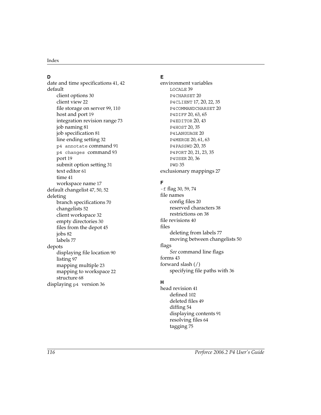#### **D**

date and time specification[s 41,](#page-40-0) [42](#page-41-1) default client options [30](#page-29-1) client vie[w 22](#page-21-1) file storage on serve[r 99,](#page-98-0) [110](#page-109-1) host and por[t 19](#page-18-0) integration revision rang[e 73](#page-72-2) job naming [81](#page-80-1) job specificatio[n 81](#page-80-2) line ending settin[g 32](#page-31-0) p4 annotate comman[d 91](#page-90-3) p4 changes command [93](#page-92-2) port [19](#page-18-0) submit option setting [31](#page-30-0) text edito[r 61](#page-60-1) time [41](#page-40-1) workspace name [17](#page-16-1) default changelist [47,](#page-46-1) [50,](#page-49-1) [52](#page-51-3) deleting branch specifications [70](#page-69-1) changelists [52](#page-51-1) client workspac[e 32](#page-31-1) empty directories [30](#page-29-2) files from the depot [45](#page-44-1) jobs [82](#page-81-0) label[s 77](#page-76-1) depots displaying file locatio[n 90](#page-89-2) listing [97](#page-96-0) mapping multipl[e 23](#page-22-0) mapping to workspace [22](#page-21-2) structure [68](#page-67-0) displaying p4 version [36](#page-35-0)

# **E**

environment variables LOCALE [39](#page-38-1) P4CHARSET [20](#page-19-0) P4CLIENT [17,](#page-16-2) [20](#page-19-1)[, 22,](#page-21-3) [35](#page-34-1) P4COMMANDCHARSET [20](#page-19-2) P4DIFF [20,](#page-19-3) [63,](#page-62-0) [65](#page-64-0) P4EDITOR [20](#page-19-4)[, 43](#page-42-1) P4HOST [20,](#page-19-5) [35](#page-34-2) P4LANGUAGE [20](#page-19-6) P4MERGE [20,](#page-19-7) [61,](#page-60-2) [63](#page-62-1) P4PASSWD [20](#page-19-8)[, 35](#page-34-3) P4PORT [20,](#page-19-9) [21,](#page-20-0) [23,](#page-22-1) [35](#page-34-4) P4USER [20,](#page-19-10) [36](#page-35-1) PWD [35](#page-34-5) exclusionary mapping[s 27](#page-26-2)

## **F**

-f fla[g 30,](#page-29-0) [59,](#page-58-0) [74](#page-73-0) file names config file[s 20](#page-19-11) reserved characters [38](#page-37-1) restrictions on [38](#page-37-2) file revision[s 40](#page-39-1) files deleting from label[s 77](#page-76-1) moving between changelists [50](#page-49-2) flags *[See](#page-13-0)* command line flags forms [43](#page-42-2) forward slash (/) specifying file paths with [36](#page-35-2)

## **H**

head revision [41](#page-40-2) defined [102](#page-101-0) deleted file[s 49](#page-48-1) diffing [54](#page-53-2) displaying contents [91](#page-90-4) resolving files [64](#page-63-1) tagging [75](#page-74-0)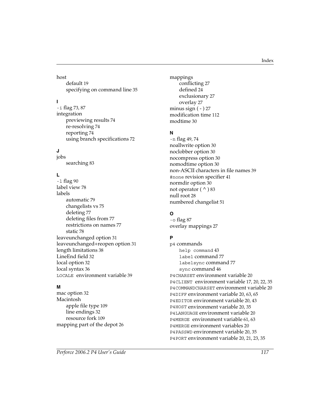host

defaul[t 19](#page-18-0) specifying on command lin[e 35](#page-34-6)

## **I**

-i fla[g 73,](#page-72-1) [87](#page-86-0) integration previewing results [74](#page-73-2) re-resolvin[g 74](#page-73-3) reporting [74](#page-73-4) using branch specifications [72](#page-71-1)

## **J**

jobs searchin[g 83](#page-82-0)

#### **L**

-l fla[g 90](#page-89-1) label vie[w 78](#page-77-1) labels automati[c 79](#page-78-0) changelists v[s 75](#page-74-1) deletin[g 77](#page-76-1) deleting files from [77](#page-76-1) restrictions on name[s 77](#page-76-2) stati[c 78](#page-77-2) leaveunchanged option [31](#page-30-1) leaveunchanged+reopen option [31](#page-30-2) length limitation[s 38](#page-37-3) LineEnd fiel[d 32](#page-31-2) local optio[n 32](#page-31-3) local synta[x 36](#page-35-3) LOCALE environment variabl[e 39](#page-38-1)

#### **M**

mac option [32](#page-31-4) Macintosh apple file typ[e 109](#page-108-1) line ending[s 32](#page-31-5) resource for[k 109](#page-108-2) mapping part of the depot [26](#page-25-0) mappings conflicting [27](#page-26-3) defined [24](#page-23-0) exclusionar[y 27](#page-26-1) overla[y 27](#page-26-4) minus sign  $(-)$  27 modification time [112](#page-111-0) modtim[e 30](#page-29-3)

#### **N**

-n fla[g 49,](#page-48-0) [74](#page-73-1) noallwrite option [30](#page-29-4) noclobber optio[n 30](#page-29-5) nocompress option [30](#page-29-6) nomodtime option [30](#page-29-7) non-ASCII characters in file name[s 39](#page-38-2) #none revision specifier [41](#page-40-3) normdir optio[n 30](#page-29-8) not operator  $( \wedge )$  83 null roo[t 28](#page-27-3) numbered changelis[t 51](#page-50-2)

## **O**

-o fla[g 87](#page-86-1) overlay mapping[s 27](#page-26-4)

#### **P**

p4 commands help command [43](#page-42-3) label command [77](#page-76-1) labelsync command [77](#page-76-3) sync command [46](#page-45-1) P4CHARSET environment variabl[e 20](#page-19-0) P4CLIENT environment variable [17,](#page-16-2) [20,](#page-19-1) [22,](#page-21-3) [35](#page-34-1) P4COMMANDCHARSET environment variabl[e 20](#page-19-2) P4DIFF environment variabl[e 20,](#page-19-3) [63,](#page-62-0) [65](#page-64-0) P4EDITOR environment variable [20,](#page-19-4) [43](#page-42-1) P4HOST environment variabl[e 20,](#page-19-5) [35](#page-34-2) P4LANGUAGE environment variable [20](#page-19-6) P4MERGE environment variabl[e 61,](#page-60-2) [63](#page-62-1) P4MERGE environment variables [20](#page-19-7) P4PASSWD environment variable [20,](#page-19-8) [35](#page-34-3) P4PORT environment variabl[e 20,](#page-19-9) [21,](#page-20-0) [23,](#page-22-1) [35](#page-34-4)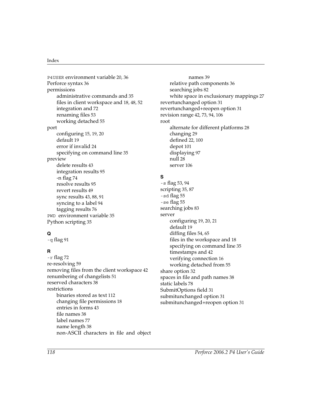P4USER environment variabl[e 20,](#page-19-10) [36](#page-35-1) Perforce synta[x 36](#page-35-4) permissions administrative commands an[d 35](#page-34-7) files in client workspace and [18,](#page-17-1) [48,](#page-47-0) [52](#page-51-4) integration an[d 72](#page-71-2) renaming file[s 53](#page-52-2) working detache[d 55](#page-54-3) port configuring [15,](#page-14-0) [19,](#page-18-1) [20](#page-19-12) defaul[t 19](#page-18-2) error if invalid [24](#page-23-1) specifying on command lin[e 35](#page-34-8) preview delete results [43](#page-42-4) integration results [95](#page-94-0) -n fla[g 74](#page-73-2) resolve results [95](#page-94-1) revert result[s 49](#page-48-2) sync results [43,](#page-42-5) [88,](#page-87-0) [91](#page-90-5) syncing to a label [94](#page-93-2) tagging results [76](#page-75-2) PWD environment variable [35](#page-34-5) Python scripting [35](#page-34-9)

# **Q**

-q fla[g 91](#page-90-2)

#### **R**

-r fla[g 72](#page-71-0) re-resolvin[g 59](#page-58-0) removing files from the client workspace [42](#page-41-2) renumbering of changelists [51](#page-50-3) reserved characters [38](#page-37-2) restrictions binaries stored as tex[t 112](#page-111-1) changing file permission[s 18](#page-17-2) entries in form[s 43](#page-42-6) file name[s 38](#page-37-4) label name[s 77](#page-76-2) name length [38](#page-37-5) non-ASCII characters in file and object

names [39](#page-38-3) relative path component[s 36](#page-35-5) searching jobs [82](#page-81-1) white space in exclusionary mappings [27](#page-26-5) revertunchanged optio[n 31](#page-30-3) revertunchanged+reopen option [31](#page-30-4) revision rang[e 42,](#page-41-3) [73,](#page-72-3) [94,](#page-93-3) [106](#page-105-0) root alternate for different platform[s 28](#page-27-0) changing [29](#page-28-0) defined [22,](#page-21-4) [100](#page-99-0) depot [101](#page-100-0) displaying [97](#page-96-1) null [28](#page-27-3) serve[r 106](#page-105-1)

#### **S**

-s fla[g 53,](#page-52-1) [94](#page-93-1) scriptin[g 35,](#page-34-10) [87](#page-86-2) -sd flag [55](#page-54-0) -se flag [55](#page-54-1) searching jobs [83](#page-82-0) server configuring [19,](#page-18-3) [20,](#page-19-13) [21](#page-20-1) defaul[t 19](#page-18-4) diffing files [54,](#page-53-3) [65](#page-64-1) files in the workspace an[d 18](#page-17-3) specifying on command lin[e 35](#page-34-11) timestamps and [42](#page-41-4) verifying connectio[n 16](#page-15-0) working detached fro[m 55](#page-54-4) share optio[n 32](#page-31-6) spaces in file and path name[s 38](#page-37-6) static labels [78](#page-77-2) SubmitOptions field [31](#page-30-5) submitunchanged option [31](#page-30-6) submitunchanged+reopen optio[n 31](#page-30-7)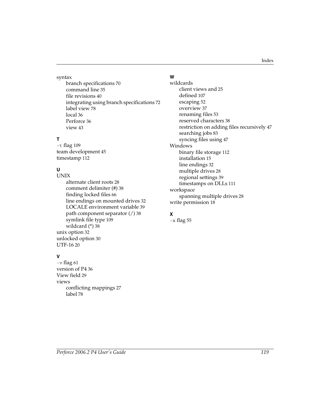#### syntax

branch specifications [70](#page-69-2) command lin[e 35](#page-34-12) file revision[s 40](#page-39-2) integrating using branch specification[s 72](#page-71-3) label vie[w 78](#page-77-3) local [36](#page-35-6) Perforce [36](#page-35-6) view [43](#page-42-7)

# **T**

-t fla[g 109](#page-108-0) team development [45](#page-44-2) timestam[p 112](#page-111-2)

# **U**

UNIX alternate client root[s 28](#page-27-4) comment delimiter (#) [38](#page-37-7) finding locked files [66](#page-65-0) line endings on mounted drives [32](#page-31-7) LOCALE environment variable [39](#page-38-4) path component separator (/) [38](#page-37-8) symlink file typ[e 109](#page-108-3) wildcard (\*) [38](#page-37-9) unix optio[n 32](#page-31-8) unlocked optio[n 30](#page-29-9) UTF-16 [20](#page-19-2)

## **V**

 $-v$  fla[g 61](#page-60-0) version of P4 [36](#page-35-0) View field [29](#page-28-1) views conflicting mappings [27](#page-26-3) labe[l 78](#page-77-1)

## **W**

wildcards client views and [25](#page-24-3) defined [107](#page-106-0) escaping [52](#page-51-5) overview [37](#page-36-2) renaming file[s 53](#page-52-3) reserved characters [38](#page-37-10) restriction on adding files recursivel[y 47](#page-46-0) searching jobs [83](#page-82-2) syncing files using [47](#page-46-2) Windows binary file storage [112](#page-111-1) installatio[n 15](#page-14-1) line ending[s 32](#page-31-9) multiple drives [28](#page-27-1) regional settings [39](#page-38-5) timestamps on DLLs [111](#page-110-1) workspace spanning multiple drive[s 28](#page-27-1) write permission [18](#page-17-4)

# **X**

-x fla[g 55](#page-54-2)